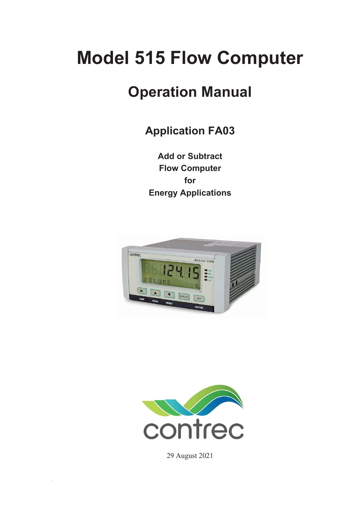# **Model 515 Flow Computer**

# **Operation Manual**

**Application FA03**

**Add or Subtract Flow Computer for Energy Applications** 





29 August 2021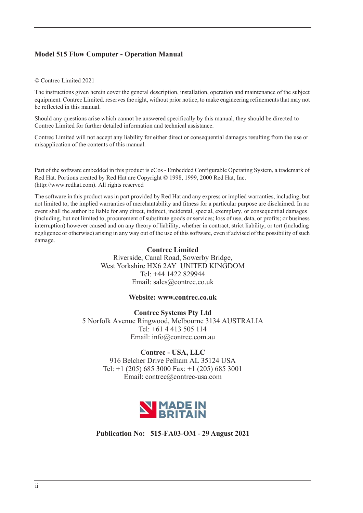### **Model 515 Flow Computer - Operation Manual**

#### © Contrec Limited 2021

The instructions given herein cover the general description, installation, operation and maintenance of the subject equipment. Contrec Limited. reserves the right, without prior notice, to make engineering refinements that may not be reflected in this manual.

Should any questions arise which cannot be answered specifically by this manual, they should be directed to Contrec Limited for further detailed information and technical assistance.

Contrec Limited will not accept any liability for either direct or consequential damages resulting from the use or misapplication of the contents of this manual.

Part of the software embedded in this product is eCos - Embedded Configurable Operating System, a trademark of Red Hat. Portions created by Red Hat are Copyright © 1998, 1999, 2000 Red Hat, Inc. (http://www.redhat.com). All rights reserved

The software in this product was in part provided by Red Hat and any express or implied warranties, including, but not limited to, the implied warranties of merchantability and fitness for a particular purpose are disclaimed. In no event shall the author be liable for any direct, indirect, incidental, special, exemplary, or consequential damages (including, but not limited to, procurement of substitute goods or services; loss of use, data, or profits; or business interruption) however caused and on any theory of liability, whether in contract, strict liability, or tort (including negligence or otherwise) arising in any way out of the use of this software, even if advised of the possibility of such damage.

#### **Contrec Limited**

Riverside, Canal Road, Sowerby Bridge, West Yorkshire HX6 2AY UNITED KINGDOM Tel: +44 1422 829944 Email: sales@contrec.co.uk

#### **Website: www.contrec.co.uk**

**Contrec Systems Pty Ltd** 5 Norfolk Avenue Ringwood, Melbourne 3134 AUSTRALIA Tel: +61 4 413 505 114 Email: info@contrec.com.au

#### **Contrec - USA, LLC**

916 Belcher Drive Pelham AL 35124 USA Tel: +1 (205) 685 3000 Fax: +1 (205) 685 3001 Email: contrec@contrec-usa.com



**Publication No: 515-FA03-OM - 29 August 2021**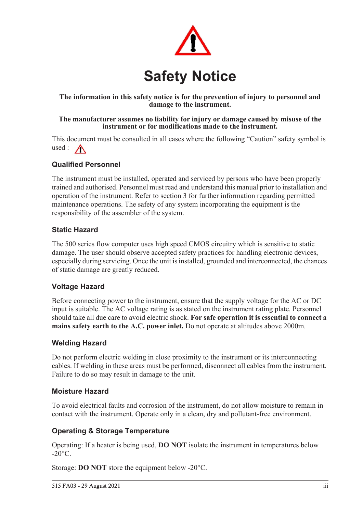

### **The information in this safety notice is for the prevention of injury to personnel and damage to the instrument.**

#### **The manufacturer assumes no liability for injury or damage caused by misuse of the instrument or for modifications made to the instrument.**

This document must be consulted in all cases where the following "Caution" safety symbol is used :  $\bigwedge$ 

### **Qualified Personnel**

The instrument must be installed, operated and serviced by persons who have been properly trained and authorised. Personnel must read and understand this manual prior to installation and operation of the instrument. Refer to section 3 for further information regarding permitted maintenance operations. The safety of any system incorporating the equipment is the responsibility of the assembler of the system.

### **Static Hazard**

The 500 series flow computer uses high speed CMOS circuitry which is sensitive to static damage. The user should observe accepted safety practices for handling electronic devices, especially during servicing. Once the unit is installed, grounded and interconnected, the chances of static damage are greatly reduced.

### **Voltage Hazard**

Before connecting power to the instrument, ensure that the supply voltage for the AC or DC input is suitable. The AC voltage rating is as stated on the instrument rating plate. Personnel should take all due care to avoid electric shock. **For safe operation it is essential to connect a mains safety earth to the A.C. power inlet.** Do not operate at altitudes above 2000m.

### **Welding Hazard**

Do not perform electric welding in close proximity to the instrument or its interconnecting cables. If welding in these areas must be performed, disconnect all cables from the instrument. Failure to do so may result in damage to the unit.

### **Moisture Hazard**

To avoid electrical faults and corrosion of the instrument, do not allow moisture to remain in contact with the instrument. Operate only in a clean, dry and pollutant-free environment.

### **Operating & Storage Temperature**

Operating: If a heater is being used, **DO NOT** isolate the instrument in temperatures below  $-20^{\circ}$ C.

Storage: **DO NOT** store the equipment below -20°C.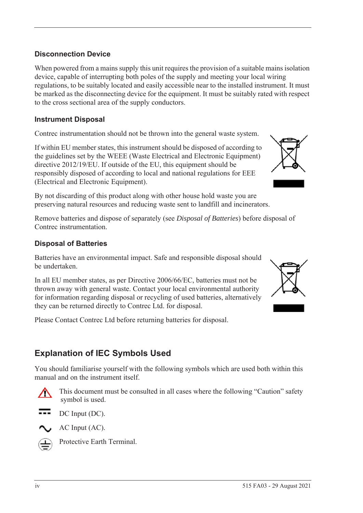### **Disconnection Device**

When powered from a mains supply this unit requires the provision of a suitable mains isolation device, capable of interrupting both poles of the supply and meeting your local wiring regulations, to be suitably located and easily accessible near to the installed instrument. It must be marked as the disconnecting device for the equipment. It must be suitably rated with respect to the cross sectional area of the supply conductors.

### **Instrument Disposal**

Contrec instrumentation should not be thrown into the general waste system.

If within EU member states, this instrument should be disposed of according to the guidelines set by the WEEE (Waste Electrical and Electronic Equipment) directive 2012/19/EU. If outside of the EU, this equipment should be responsibly disposed of according to local and national regulations for EEE (Electrical and Electronic Equipment).

By not discarding of this product along with other house hold waste you are preserving natural resources and reducing waste sent to landfill and incinerators.

Remove batteries and dispose of separately (see *Disposal of Batteries*) before disposal of Contrec instrumentation.

### **Disposal of Batteries**

Batteries have an environmental impact. Safe and responsible disposal should be undertaken.

In all EU member states, as per Directive 2006/66/EC, batteries must not be thrown away with general waste. Contact your local environmental authority for information regarding disposal or recycling of used batteries, alternatively they can be returned directly to Contrec Ltd. for disposal.

Please Contact Contrec Ltd before returning batteries for disposal.

# **Explanation of IEC Symbols Used**

You should familiarise yourself with the following symbols which are used both within this manual and on the instrument itself.



 This document must be consulted in all cases where the following "Caution" safety symbol is used.



AC Input (AC).



Protective Earth Terminal.



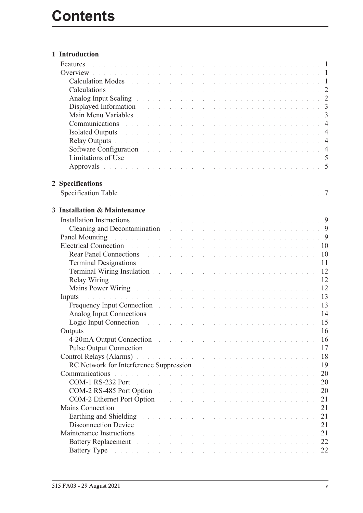| 1 Introduction                                                                                                                                                                                                                                               |  |  |  |  |  |  |  |  |                 |
|--------------------------------------------------------------------------------------------------------------------------------------------------------------------------------------------------------------------------------------------------------------|--|--|--|--|--|--|--|--|-----------------|
| Features<br>. The contract of the contract of the contract of the contract of the contract of the $\,1\,$                                                                                                                                                    |  |  |  |  |  |  |  |  |                 |
|                                                                                                                                                                                                                                                              |  |  |  |  |  |  |  |  |                 |
| Calculation Modes residence in the contract of the contract of the contract of the 1                                                                                                                                                                         |  |  |  |  |  |  |  |  |                 |
| Calculations experience in the contract of the contract of the contract of the contract of the 2                                                                                                                                                             |  |  |  |  |  |  |  |  |                 |
| Analog Input Scaling <b>Executive Contract Contract Contract Contract Contract Contract Contract Contract Contract Contract Contract Contract Contract Contract Contract Contract Contract Contract Contract Contract Contract C</b>                         |  |  |  |  |  |  |  |  |                 |
| Displayed Information and the contract of the contract of the contract of the contract of the contract of the contract of the contract of the contract of the contract of the contract of the contract of the contract of the                                |  |  |  |  |  |  |  |  |                 |
|                                                                                                                                                                                                                                                              |  |  |  |  |  |  |  |  |                 |
| Communications research and contract the contract of the contract of the contract of the 4                                                                                                                                                                   |  |  |  |  |  |  |  |  |                 |
| Isolated Outputs and a subsequently served by the contract of the served of the served of the served of the served of the served of the served of the served of the served of the served of the served of the served of the se                               |  |  |  |  |  |  |  |  |                 |
| Relay Outputs and a contract the contract of the contract of the contract of the 4                                                                                                                                                                           |  |  |  |  |  |  |  |  |                 |
| Software Configuration entering the contract of the contract of the contract of the 4                                                                                                                                                                        |  |  |  |  |  |  |  |  |                 |
| Limitations of Use the community of the community of the community of the state of the state of the S                                                                                                                                                        |  |  |  |  |  |  |  |  |                 |
| Approvals received a conservation of the conservation of the conservation of 5                                                                                                                                                                               |  |  |  |  |  |  |  |  |                 |
|                                                                                                                                                                                                                                                              |  |  |  |  |  |  |  |  |                 |
| 2 Specifications                                                                                                                                                                                                                                             |  |  |  |  |  |  |  |  |                 |
|                                                                                                                                                                                                                                                              |  |  |  |  |  |  |  |  | $7\phantom{.0}$ |
|                                                                                                                                                                                                                                                              |  |  |  |  |  |  |  |  |                 |
| 3 Installation & Maintenance                                                                                                                                                                                                                                 |  |  |  |  |  |  |  |  |                 |
| Installation Instructions                                                                                                                                                                                                                                    |  |  |  |  |  |  |  |  |                 |
| Cleaning and Decontamination and a substitution of the contract of the set of the set of the Second Press, and $9$                                                                                                                                           |  |  |  |  |  |  |  |  |                 |
| Panel Mounting research and contract the contract of the contract of the contract of the 9                                                                                                                                                                   |  |  |  |  |  |  |  |  |                 |
| Electrical Connection and a constant of the contract of the contract of the contract of the contract of the contract of the contract of the contract of the contract of the contract of the contract of the contract of the co                               |  |  |  |  |  |  |  |  | 10              |
| <b>Rear Panel Connections <i>Rear Panel Connections Rear Panel Connections</i></b>                                                                                                                                                                           |  |  |  |  |  |  |  |  | 10              |
| Terminal Designations and a contract the contract of the contract of the contract of the contract of the contract of the contract of the contract of the contract of the contract of the contract of the contract of the contr                               |  |  |  |  |  |  |  |  | 11              |
| Terminal Wiring Insulation and a contract of the contract of the contract of the contract of the contract of the contract of the contract of the contract of the contract of the contract of the contract of the contract of t                               |  |  |  |  |  |  |  |  | 12              |
|                                                                                                                                                                                                                                                              |  |  |  |  |  |  |  |  | 12              |
| Mains Power Wiring Theory of the company of the company of the company of the company of the company of the company of the company of the company of the company of the company of the company of the company of the company o                               |  |  |  |  |  |  |  |  | 12              |
| a de la caractería de la caractería de la caractería de la caractería de la caractería de la caractería de la<br>Inputs                                                                                                                                      |  |  |  |  |  |  |  |  | 13              |
| Frequency Input Connection and a construction of the contract of the contract of the contract of the contract of the contract of the contract of the contract of the contract of the contract of the contract of the contract                                |  |  |  |  |  |  |  |  | 13              |
| Analog Input Connections and a contract the contract of the contract of the contract of the contract of the contract of the contract of the contract of the contract of the contract of the contract of the contract of the co                               |  |  |  |  |  |  |  |  | 14              |
| Logic Input Connection and a contract the contract of the contract of the contract of the contract of the contract of the contract of the contract of the contract of the contract of the contract of the contract of the cont                               |  |  |  |  |  |  |  |  | 15              |
|                                                                                                                                                                                                                                                              |  |  |  |  |  |  |  |  | 16              |
| 4-20 mA Output Connection and a contract of the contract of the contract of the contract of the contract of the contract of the contract of the contract of the contract of the contract of the contract of the contract of th                               |  |  |  |  |  |  |  |  | 16              |
| Pulse Output Connection and and a connection of the connection of the connection of the connection of the connection                                                                                                                                         |  |  |  |  |  |  |  |  | 17              |
| Control Relays (Alarms) and the contract the contract of the contract of the contract of the contract of the contract of the contract of the contract of the contract of the contract of the contract of the contract of the c                               |  |  |  |  |  |  |  |  | 18              |
| RC Network for Interference Suppression and a contract to the contract of the contract of                                                                                                                                                                    |  |  |  |  |  |  |  |  | 19              |
| Communications<br>.<br>In the second complete state of the second complete state of the second complete state of the second complete                                                                                                                         |  |  |  |  |  |  |  |  | 20              |
| COM-1 RS-232 Port<br>.<br>In the second contract of the second contract of the second contract of the second contract of the second cont                                                                                                                     |  |  |  |  |  |  |  |  | 20              |
| <b>COM-2 RS-485 Port Option</b>                                                                                                                                                                                                                              |  |  |  |  |  |  |  |  | 20              |
| COM-2 Ethernet Port Option<br>.<br>The contract of the contract of the contract of the contract of the contract of the contract of the contract of                                                                                                           |  |  |  |  |  |  |  |  | 21              |
| Mains Connection                                                                                                                                                                                                                                             |  |  |  |  |  |  |  |  | 21              |
| .<br>In the second contract of the second contract of the second contract of the second contract of the second cont                                                                                                                                          |  |  |  |  |  |  |  |  | 21              |
| Earthing and Shielding Theory of the contract of the contract of the contract of the contract of the contract of the contract of the contract of the contract of the contract of the contract of the contract of the contract<br><b>Disconnection Device</b> |  |  |  |  |  |  |  |  | 21              |
| de la caractería de la caractería de la caractería de la caractería de la caractería de la caractería                                                                                                                                                        |  |  |  |  |  |  |  |  |                 |
| Maintenance Instructions<br>.<br>In the second complete state of the second complete state of the second complete state of the second complete                                                                                                               |  |  |  |  |  |  |  |  | 21              |
| <b>Battery Replacement</b>                                                                                                                                                                                                                                   |  |  |  |  |  |  |  |  | 22              |
| Battery Type and a subsequently served as a server of the server of the server of the server of the server of the server of the server of the server of the server of the server of the server of the server of the server of                                |  |  |  |  |  |  |  |  | 22              |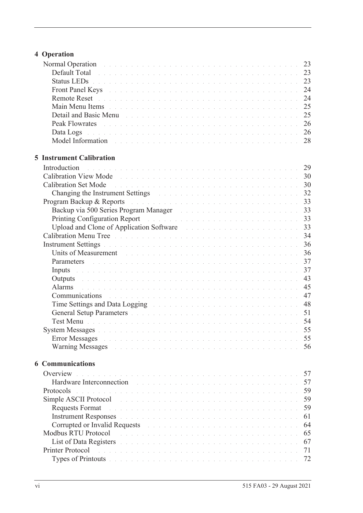# **[4 Operation](#page-32-0)**

| Normal Operation and a construction of the contract of the contract of the contract of the 23                                                                                                                                                                                                                                                |  |  |  |  |  |  |  |  |    |
|----------------------------------------------------------------------------------------------------------------------------------------------------------------------------------------------------------------------------------------------------------------------------------------------------------------------------------------------|--|--|--|--|--|--|--|--|----|
| Default Total de la commune de la commune de la commune de la commune de la commune de 23                                                                                                                                                                                                                                                    |  |  |  |  |  |  |  |  |    |
| Status LEDs <b>And Alternative Contract Contract Contract Contract Contract Contract Contract Contract Contract Contract Contract Contract Contract Contract Contract Contract Contract Contract Contract Contract Contract Cont</b>                                                                                                         |  |  |  |  |  |  |  |  |    |
| Front Panel Keys And All Albert Hans and Albert Hans and Albert Hans and Albert 24                                                                                                                                                                                                                                                           |  |  |  |  |  |  |  |  |    |
|                                                                                                                                                                                                                                                                                                                                              |  |  |  |  |  |  |  |  |    |
| Main Menu Items de la component de la component de la component de la component de 25                                                                                                                                                                                                                                                        |  |  |  |  |  |  |  |  |    |
|                                                                                                                                                                                                                                                                                                                                              |  |  |  |  |  |  |  |  |    |
|                                                                                                                                                                                                                                                                                                                                              |  |  |  |  |  |  |  |  |    |
| Data Logs de la componentación de la componentación de la componentación de 26                                                                                                                                                                                                                                                               |  |  |  |  |  |  |  |  |    |
| Model Information and a contract the contract of the contract of the contract of the 28                                                                                                                                                                                                                                                      |  |  |  |  |  |  |  |  |    |
|                                                                                                                                                                                                                                                                                                                                              |  |  |  |  |  |  |  |  |    |
| <b>5 Instrument Calibration</b>                                                                                                                                                                                                                                                                                                              |  |  |  |  |  |  |  |  |    |
| Introduction                                                                                                                                                                                                                                                                                                                                 |  |  |  |  |  |  |  |  |    |
| Calibration View Mode                                                                                                                                                                                                                                                                                                                        |  |  |  |  |  |  |  |  |    |
|                                                                                                                                                                                                                                                                                                                                              |  |  |  |  |  |  |  |  |    |
| Changing the Instrument Settings and a contract of the contract of the settings of the contract of the contract of the contract of the contract of the contract of the contract of the contract of the contract of the contrac                                                                                                               |  |  |  |  |  |  |  |  |    |
| Program Backup & Reports and a contract the contract of the contract of the 23                                                                                                                                                                                                                                                               |  |  |  |  |  |  |  |  |    |
|                                                                                                                                                                                                                                                                                                                                              |  |  |  |  |  |  |  |  |    |
|                                                                                                                                                                                                                                                                                                                                              |  |  |  |  |  |  |  |  |    |
|                                                                                                                                                                                                                                                                                                                                              |  |  |  |  |  |  |  |  |    |
| Calibration Menu Tree Albert and Albert and Albert and Albert and Albert and Albert 34                                                                                                                                                                                                                                                       |  |  |  |  |  |  |  |  |    |
|                                                                                                                                                                                                                                                                                                                                              |  |  |  |  |  |  |  |  |    |
| Units of Measurement entry the contract of the contract of the contract of the state of the state of the 36                                                                                                                                                                                                                                  |  |  |  |  |  |  |  |  |    |
| Parameters and a construction of the construction of the construction of the 37                                                                                                                                                                                                                                                              |  |  |  |  |  |  |  |  |    |
| Inputs and a construction of the construction of the construction of the construction of $37$                                                                                                                                                                                                                                                |  |  |  |  |  |  |  |  |    |
| Outputs and a construction of the construction of the construction of the construction of the construction of the construction of the construction of the construction of the construction of the construction of the construc                                                                                                               |  |  |  |  |  |  |  |  | 43 |
| Alarms<br>.<br>In the company of the company of the company of the company of the company of the company of the company of th                                                                                                                                                                                                                |  |  |  |  |  |  |  |  | 45 |
| Communications de la communication de la communication de la communication de la communication de la communication de la communication de la communication de la communication de la communication de la communication de la c                                                                                                               |  |  |  |  |  |  |  |  |    |
| Time Settings and Data Logging The Contract of the Contract of the Settings and Data Logging                                                                                                                                                                                                                                                 |  |  |  |  |  |  |  |  | 48 |
| General Setup Parameters and a construction of the construction of the set of the S1                                                                                                                                                                                                                                                         |  |  |  |  |  |  |  |  |    |
|                                                                                                                                                                                                                                                                                                                                              |  |  |  |  |  |  |  |  |    |
|                                                                                                                                                                                                                                                                                                                                              |  |  |  |  |  |  |  |  |    |
| <b>Error Messages</b><br>and the contract of the contract of the contract of the contract of the contract of the contract of the                                                                                                                                                                                                             |  |  |  |  |  |  |  |  | 55 |
| Warning Messages and a contract the contract of the contract of the contract of the contract of the contract of                                                                                                                                                                                                                              |  |  |  |  |  |  |  |  | 56 |
| <b>6 Communications</b>                                                                                                                                                                                                                                                                                                                      |  |  |  |  |  |  |  |  |    |
| Overview<br>and a complete that the complete complete the complete the complete theory of the complete the complete the co                                                                                                                                                                                                                   |  |  |  |  |  |  |  |  | 57 |
| Hardware Interconnection<br>.<br>In de la casa de la casa de la casa de la casa de la casa de la casa de la casa de la casa de la casa de la ca                                                                                                                                                                                              |  |  |  |  |  |  |  |  | 57 |
| Protocols<br>a constitution de la constitución de la constitución de la constitución de la constitución de la constitución                                                                                                                                                                                                                   |  |  |  |  |  |  |  |  | 59 |
| Simple ASCII Protocol<br>.<br>In decrease and a carried and a carried and a carried and a carried and a carried and a carried and a carried                                                                                                                                                                                                  |  |  |  |  |  |  |  |  | 59 |
| Requests Format                                                                                                                                                                                                                                                                                                                              |  |  |  |  |  |  |  |  | 59 |
| Instrument Responses and a construction of the construction of the construction of the construction of the construction of the construction of the construction of the construction of the construction of the construction of                                                                                                               |  |  |  |  |  |  |  |  | 61 |
| Corrupted or Invalid Requests and the contract of the contract of the contract of the contract of the contract of the contract of the contract of the contract of the contract of the contract of the contract of the contract                                                                                                               |  |  |  |  |  |  |  |  | 64 |
| Modbus RTU Protocol                                                                                                                                                                                                                                                                                                                          |  |  |  |  |  |  |  |  | 65 |
| والمتعاون والمتعاون والمتعاون والمتعاونة والمتعاونة والمتعاونة والمتعاونة والمتعاونة والمتعاونة والمتعاونات<br>List of Data Registers and a conservation of the conservation of the conservation of the conservation of the conservation of the conservation of the conservation of the conservation of the conservation of the conservation |  |  |  |  |  |  |  |  | 67 |
| Printer Protocol<br><u>. In the second contract of the second contract of the second contract of the second contract of the second contract of the second contract of the second contract of the second contract of the second contract of the secon</u>                                                                                     |  |  |  |  |  |  |  |  | 71 |
|                                                                                                                                                                                                                                                                                                                                              |  |  |  |  |  |  |  |  | 72 |
| Types of Printouts and a companion of the companion of the companion of the companion of the companion of the companion of the companion of the companion of the companion of the companion of the companion of the companion                                                                                                                |  |  |  |  |  |  |  |  |    |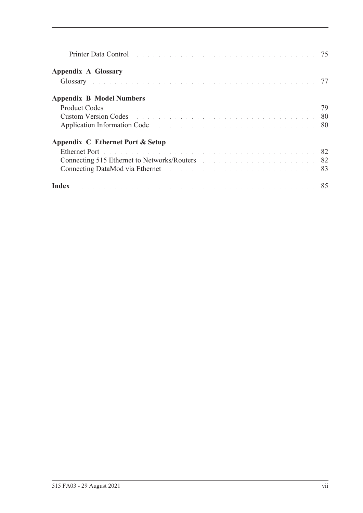| Printer Data Control entrepreneur and the control of the control of the control of the control of the control of the control of the control of the control of the control of the control of the control of the control of the  |  |
|--------------------------------------------------------------------------------------------------------------------------------------------------------------------------------------------------------------------------------|--|
| <b>Appendix A Glossary</b>                                                                                                                                                                                                     |  |
| Glossary and the contract of the contract of the contract of the contract of the contract of the contract of the contract of the contract of the contract of the contract of the contract of the contract of the contract of t |  |
| <b>Appendix B Model Numbers</b>                                                                                                                                                                                                |  |
|                                                                                                                                                                                                                                |  |
| <b>Custom Version Codes Contract Codes Codes Codes Code Reserves Additional Codes Code Reserves Additional Codes Codes Codes Codes Codes Codes Codes Codes Codes Codes Codes Codes Codes Cod</b>                               |  |
| Application Information Code experience and a series and a series and a series of 80                                                                                                                                           |  |
| Appendix C Ethernet Port & Setup                                                                                                                                                                                               |  |
| Ethernet Port de la communication de la communication de la communication de la S2                                                                                                                                             |  |
| Connecting 515 Ethernet to Networks/Routers and the connection of the 1982                                                                                                                                                     |  |
|                                                                                                                                                                                                                                |  |
| Index <b>Executive Contract Contract Contract Contract Contract Contract Contract Contract RS</b>                                                                                                                              |  |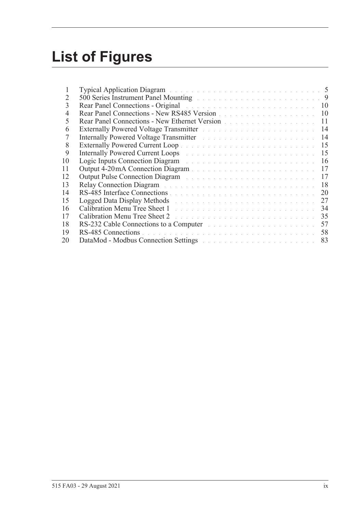# **List of Figures**

| L  | <b>Typical Application Diagram</b> and the substitution of the substitution of the substitution of the substitution of the substitution of the substitution of the substitution of the substitution of the substitution of the subs  |  |
|----|--------------------------------------------------------------------------------------------------------------------------------------------------------------------------------------------------------------------------------------|--|
| 2  | 500 Series Instrument Panel Mounting and a contract of the contract of the 19                                                                                                                                                        |  |
| 3  | Rear Panel Connections - Original and a substitution of the contract of the 10                                                                                                                                                       |  |
| 4  | Rear Panel Connections - New RS485 Version<br>10                                                                                                                                                                                     |  |
| 5  | Rear Panel Connections - New Ethernet Version<br>11                                                                                                                                                                                  |  |
| 6  | Externally Powered Voltage Transmitter and a contract to the contract of 14                                                                                                                                                          |  |
| 7  | 14<br>Internally Powered Voltage Transmitter March 2014 and State and State and State and                                                                                                                                            |  |
| 8  | 15                                                                                                                                                                                                                                   |  |
| 9  | 15<br>Internally Powered Current Loops and a substitution of the state of the state of the state of the state of the                                                                                                                 |  |
| 10 | Logic Inputs Connection Diagram and a connection of the Connection of the Connection of the Connection of the Connection of the Connection of the Connection of the Connection of the Connection of the Connection of the Conn<br>16 |  |
| 11 | 17                                                                                                                                                                                                                                   |  |
| 12 | 17<br>Output Pulse Connection Diagram and a connection of the Connection of the Connection of the Connection of the Connection of the Connection of the Connection of the Connection of the Connection of the Connection of the Conn |  |
| 13 | 18<br>Relay Connection Diagram and a connection of the connection of the connection of the connection of the connection of the connection of the connection of the connection of the connection of the connection of the connection  |  |
| 14 | 20                                                                                                                                                                                                                                   |  |
| 15 | 27<br>Logged Data Display Methods and a contract the contract of the contract of the contract of the contract of the contract of the contract of the contract of the contract of the contract of the contract of the contract of the |  |
| 16 | Calibration Menu Tree Sheet 1 and the contract of the contract of the contract of the contract of the contract of the contract of the contract of the contract of the contract of the contract of the contract of the contract<br>34 |  |
| 17 | 35<br>Calibration Menu Tree Sheet 2 and the contract of the contract of the contract of the contract of the contract of the contract of the contract of the contract of the contract of the contract of the contract of the contract |  |
| 18 | 57<br>RS-232 Cable Connections to a Computer and the substantial contract the set of the set of the set of the set of the set of the set of the set of the set of the set of the set of the set of the set of the set of the set of  |  |
| 19 | 58                                                                                                                                                                                                                                   |  |
| 20 | 83<br>DataMod - Modbus Connection Settings and the connection of the connection of the settings of the connection of the connection of the connection of the connection of the connection of the connection of the connection of the |  |
|    |                                                                                                                                                                                                                                      |  |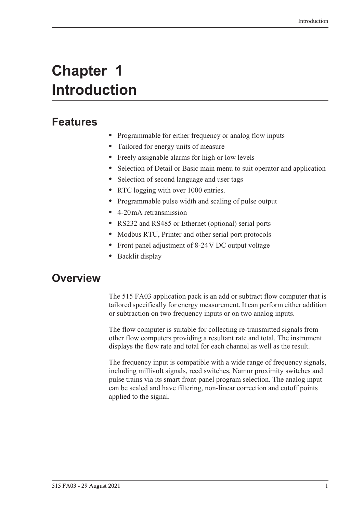# <span id="page-10-0"></span>**Chapter 1 Introduction**

# <span id="page-10-1"></span>**Features**

- **•** Programmable for either frequency or analog flow inputs
- **•** Tailored for energy units of measure
- **•** Freely assignable alarms for high or low levels
- **•** Selection of Detail or Basic main menu to suit operator and application
- **•** Selection of second language and user tags
- RTC logging with over 1000 entries.
- **•** Programmable pulse width and scaling of pulse output
- **•** 4-20 mA retransmission
- **•** RS232 and RS485 or Ethernet (optional) serial ports
- **•** Modbus RTU, Printer and other serial port protocols
- **•** Front panel adjustment of 8-24 V DC output voltage
- **•** Backlit display

# <span id="page-10-2"></span>**Overview**

The 515 FA03 application pack is an add or subtract flow computer that is tailored specifically for energy measurement. It can perform either addition or subtraction on two frequency inputs or on two analog inputs.

The flow computer is suitable for collecting re-transmitted signals from other flow computers providing a resultant rate and total. The instrument displays the flow rate and total for each channel as well as the result.

The frequency input is compatible with a wide range of frequency signals, including millivolt signals, reed switches, Namur proximity switches and pulse trains via its smart front-panel program selection. The analog input can be scaled and have filtering, non-linear correction and cutoff points applied to the signal.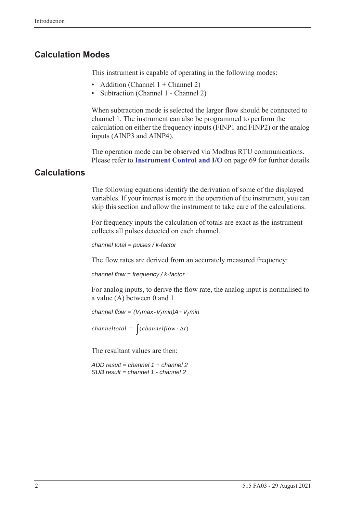### <span id="page-11-0"></span>**Calculation Modes**

This instrument is capable of operating in the following modes:

- Addition (Channel  $1 +$ Channel 2)
- Subtraction (Channel 1 Channel 2)

When subtraction mode is selected the larger flow should be connected to channel 1. The instrument can also be programmed to perform the calculation on either the frequency inputs (FINP1 and FINP2) or the analog inputs (AINP3 and AINP4).

The operation mode can be observed via Modbus RTU communications. Please refer to **[Instrument Control and I/O](#page-78-0)** on page 69 for further details.

### <span id="page-11-1"></span>**Calculations**

The following equations identify the derivation of some of the displayed variables. If your interest is more in the operation of the instrument, you can skip this section and allow the instrument to take care of the calculations.

For frequency inputs the calculation of totals are exact as the instrument collects all pulses detected on each channel.

```
channel total = pulses / k-factor
```
The flow rates are derived from an accurately measured frequency:

*channel flow = frequency / k-factor*

For analog inputs, to derive the flow rate, the analog input is normalised to a value (A) between 0 and 1.

*channel flow =*  $(V_f max - V_f min)A + V_f min$ 

*channeltotal* =  $\int (channelflow \cdot \Delta t)$ 

The resultant values are then:

*ADD result = channel 1 + channel 2 SUB result = channel 1 - channel 2*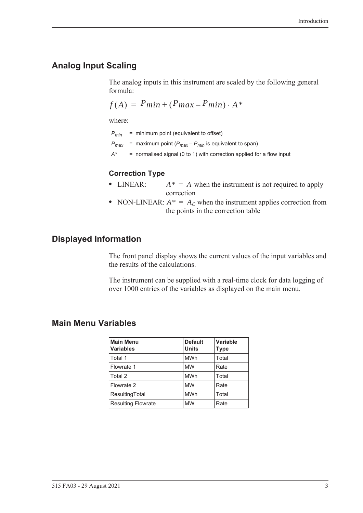# <span id="page-12-0"></span>**Analog Input Scaling**

The analog inputs in this instrument are scaled by the following general formula:

$$
f(A) = P_{min} + (P_{max} - P_{min}) \cdot A^*
$$

where:

*Pmin* = minimum point (equivalent to offset)

- $P_{max}$  = maximum point ( $P_{max} P_{min}$  is equivalent to span)
- *A\** = normalised signal (0 to 1) with correction applied for a flow input

#### **Correction Type**

- LINEAR:  $A^* = A$  when the instrument is not required to apply correction
- NON-LINEAR:  $A^* = A_c$  when the instrument applies correction from the points in the correction table

### <span id="page-12-1"></span>**Displayed Information**

The front panel display shows the current values of the input variables and the results of the calculations.

The instrument can be supplied with a real-time clock for data logging of over 1000 entries of the variables as displayed on the main menu.

### <span id="page-12-2"></span>**Main Menu Variables**

| <b>Main Menu</b><br><b>Variables</b> | <b>Default</b><br><b>Units</b> | Variable<br><b>Type</b> |
|--------------------------------------|--------------------------------|-------------------------|
| Total 1                              | <b>MWh</b>                     | Total                   |
| Flowrate 1                           | <b>MW</b>                      | Rate                    |
| Total 2                              | <b>MWh</b>                     | Total                   |
| Flowrate 2                           | <b>MW</b>                      | Rate                    |
| ResultingTotal                       | <b>MWh</b>                     | Total                   |
| <b>Resulting Flowrate</b>            | <b>MW</b>                      | Rate                    |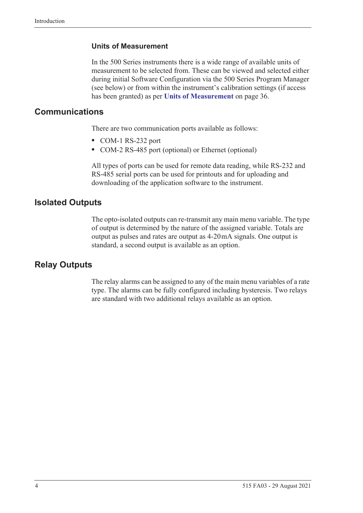#### **Units of Measurement**

In the 500 Series instruments there is a wide range of available units of measurement to be selected from. These can be viewed and selected either during initial Software Configuration via the 500 Series Program Manager (see below) or from within the instrument's calibration settings (if access has been granted) as per **[Units of Measurement](#page-45-2)** on page 36.

### <span id="page-13-0"></span>**Communications**

There are two communication ports available as follows:

- **•** COM-1 RS-232 port
- **•** COM-2 RS-485 port (optional) or Ethernet (optional)

All types of ports can be used for remote data reading, while RS-232 and RS-485 serial ports can be used for printouts and for uploading and downloading of the application software to the instrument.

### <span id="page-13-1"></span>**Isolated Outputs**

The opto-isolated outputs can re-transmit any main menu variable. The type of output is determined by the nature of the assigned variable. Totals are output as pulses and rates are output as 4-20 mA signals. One output is standard, a second output is available as an option.

### <span id="page-13-2"></span>**Relay Outputs**

The relay alarms can be assigned to any of the main menu variables of a rate type. The alarms can be fully configured including hysteresis. Two relays are standard with two additional relays available as an option.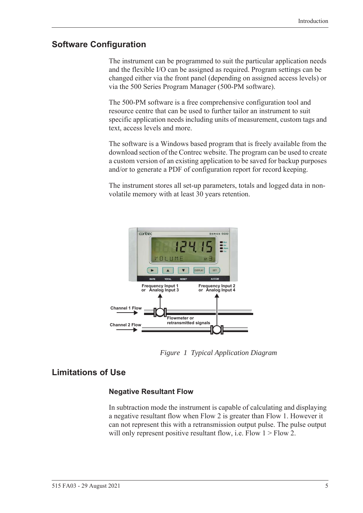### <span id="page-14-0"></span>**Software Configuration**

The instrument can be programmed to suit the particular application needs and the flexible I/O can be assigned as required. Program settings can be changed either via the front panel (depending on assigned access levels) or via the 500 Series Program Manager (500-PM software).

The 500-PM software is a free comprehensive configuration tool and resource centre that can be used to further tailor an instrument to suit specific application needs including units of measurement, custom tags and text, access levels and more.

The software is a Windows based program that is freely available from the download section of the Contrec website. The program can be used to create a custom version of an existing application to be saved for backup purposes and/or to generate a PDF of configuration report for record keeping.

The instrument stores all set-up parameters, totals and logged data in nonvolatile memory with at least 30 years retention.



*Figure 1 Typical Application Diagram*

### <span id="page-14-1"></span>**Limitations of Use**

### <span id="page-14-2"></span>**Negative Resultant Flow**

In subtraction mode the instrument is capable of calculating and displaying a negative resultant flow when Flow 2 is greater than Flow 1. However it can not represent this with a retransmission output pulse. The pulse output will only represent positive resultant flow, i.e. Flow  $1 >$  Flow 2.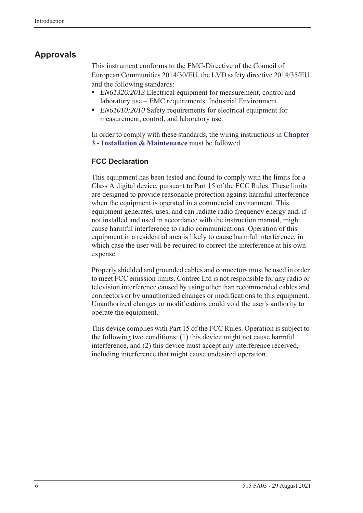# <span id="page-15-0"></span>**Approvals**

This instrument conforms to the EMC-Directive of the Council of European Communities 2014/30/EU, the LVD safety directive 2014/35/EU and the following standards:

- **•** *EN61326:2013* Electrical equipment for measurement, control and laboratory use – EMC requirements: Industrial Environment.
- **•** *EN61010:2010* Safety requirements for electrical equipment for measurement, control, and laboratory use.

In order to comply with these standards, the wiring instructions in **[Chapter](#page-18-5)  [3 - Installation & Maintenance](#page-18-5)** must be followed.

### **FCC Declaration**

This equipment has been tested and found to comply with the limits for a Class A digital device, pursuant to Part 15 of the FCC Rules. These limits are designed to provide reasonable protection against harmful interference when the equipment is operated in a commercial environment. This equipment generates, uses, and can radiate radio frequency energy and, if not installed and used in accordance with the instruction manual, might cause harmful interference to radio communications. Operation of this equipment in a residential area is likely to cause harmful interference, in which case the user will be required to correct the interference at his own expense.

Properly shielded and grounded cables and connectors must be used in order to meet FCC emission limits. Contrec Ltd is not responsible for any radio or television interference caused by using other than recommended cables and connectors or by unauthorized changes or modifications to this equipment. Unauthorized changes or modifications could void the user's authority to operate the equipment.

This device complies with Part 15 of the FCC Rules. Operation is subject to the following two conditions: (1) this device might not cause harmful interference, and (2) this device must accept any interference received, including interference that might cause undesired operation.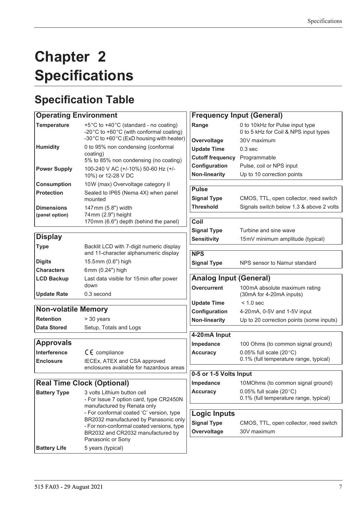# <span id="page-16-0"></span>**Chapter 2 Specifications**

# <span id="page-16-1"></span>**Specification Table**

# **Operating Environment**

| <b>Temperature</b>                  | +5°C to +40°C (standard - no coating)<br>-20 $\degree$ C to +60 $\degree$ C (with conformal coating)<br>-30°C to +60°C (ExD housing with heater) |
|-------------------------------------|--------------------------------------------------------------------------------------------------------------------------------------------------|
| <b>Humidity</b>                     | 0 to 95% non condensing (conformal<br>coating)<br>5% to 85% non condensing (no coating)                                                          |
| <b>Power Supply</b>                 | 100-240 V AC (+/-10%) 50-60 Hz (+/-<br>10%) or 12-28 V DC                                                                                        |
| <b>Consumption</b>                  | 10W (max) Overvoltage category II                                                                                                                |
| <b>Protection</b>                   | Sealed to IP65 (Nema 4X) when panel<br>mounted                                                                                                   |
| <b>Dimensions</b><br>(panel option) | 147 mm (5.8") width<br>74 mm (2.9") height<br>170mm (6.6") depth (behind the panel)                                                              |

# **Display**

| <b>Type</b>        | Backlit LCD with 7-digit numeric display<br>and 11-character alphanumeric display |
|--------------------|-----------------------------------------------------------------------------------|
| <b>Digits</b>      | 15.5mm (0.6") high                                                                |
| <b>Characters</b>  | 6 $mm(0.24")$ high                                                                |
| <b>LCD Backup</b>  | Last data visible for 15 min after power<br>down                                  |
| <b>Update Rate</b> | 0.3 second                                                                        |

### **Non-volatile Memory**

**Retention** > 30 years **Data Stored** Setup, Totals and Logs

### **Approvals**

| <b>Interference</b> | $C \in \mathbb{C}$ compliance                                            |
|---------------------|--------------------------------------------------------------------------|
| <b>Enclosure</b>    | IECEX, ATEX and CSA approved<br>enclosures available for hazardous areas |

# **Real Time Clock (Optional)**

| <b>Battery Type</b> | 3 volts Lithium button cell<br>- For Issue 7 option card, type CR2450N<br>manufactured by Renata only<br>- For conformal coated 'C' version, type<br>BR2032 manufactured by Panasonic only<br>- For non-conformal coated versions, type<br>BR2032 and CR2032 manufactured by<br>Panasonic or Sony |
|---------------------|---------------------------------------------------------------------------------------------------------------------------------------------------------------------------------------------------------------------------------------------------------------------------------------------------|
| <b>Battery Life</b> | 5 years (typical)                                                                                                                                                                                                                                                                                 |

|                               | <b>Frequency Input (General)</b>         |
|-------------------------------|------------------------------------------|
| Range                         | 0 to 10kHz for Pulse input type          |
|                               | 0 to 5 kHz for Coil & NPS input types    |
| Overvoltage                   | 30V maximum                              |
| <b>Update Time</b>            | 0.3 <sub>sec</sub>                       |
| <b>Cutoff frequency</b>       | Programmable                             |
| Configuration                 | Pulse, coil or NPS input                 |
| <b>Non-linearity</b>          | Up to 10 correction points               |
|                               |                                          |
| <b>Pulse</b>                  |                                          |
| <b>Signal Type</b>            | CMOS, TTL, open collector, reed switch   |
| <b>Threshold</b>              | Signals switch below 1.3 & above 2 volts |
|                               |                                          |
| Coil                          |                                          |
| <b>Signal Type</b>            | Turbine and sine wave                    |
| <b>Sensitivity</b>            | 15mV minimum amplitude (typical)         |
| <b>NPS</b>                    |                                          |
| <b>Signal Type</b>            | NPS sensor to Namur standard             |
|                               |                                          |
| <b>Analog Input (General)</b> |                                          |
| Overcurrent                   | 100mA absolute maximum rating            |
|                               | (30mA for 4-20mA inputs)                 |
| <b>Update Time</b>            | $< 1.0$ sec                              |
| Configuration                 | 4-20 mA, 0-5V and 1-5V input             |
| <b>Non-linearity</b>          | Up to 20 correction points (some inputs) |
|                               |                                          |
| 4-20mA Input                  |                                          |
| Impedance                     | 100 Ohms (to common signal ground)       |
| <b>Accuracy</b>               | 0.05% full scale $(20^{\circ}C)$         |
|                               | 0.1% (full temperature range, typical)   |
| 0-5 or 1-5 Volts Input        |                                          |
| Impedance                     | 10 MOhms (to common signal ground)       |
| <b>Accuracy</b>               | 0.05% full scale $(20^{\circ}C)$         |
|                               | 0.1% (full temperature range, typical)   |
|                               |                                          |
| <b>Logic Inputs</b>           |                                          |
| <b>Signal Type</b>            | CMOS, TTL, open collector, reed switch   |

**Overvoltage** 30V maximum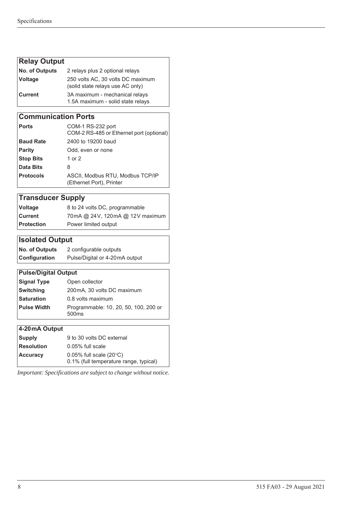# **Relay Output**

| <b>No. of Outputs</b> | 2 relays plus 2 optional relays                                       |
|-----------------------|-----------------------------------------------------------------------|
| Voltage               | 250 volts AC, 30 volts DC maximum<br>(solid state relays use AC only) |
| l Current l           | 3A maximum - mechanical relays<br>1.5A maximum - solid state relays   |

### **Communication Ports**

| ∣ Ports          | COM-1 RS-232 port<br>COM-2 RS-485 or Ethernet port (optional) |
|------------------|---------------------------------------------------------------|
| <b>Baud Rate</b> | 2400 to 19200 baud                                            |
| Parity           | Odd, even or none                                             |
| <b>Stop Bits</b> | 1 or 2                                                        |
| Data Bits        | 8                                                             |
| <b>Protocols</b> | ASCII, Modbus RTU, Modbus TCP/IP<br>(Ethernet Port), Printer  |

# **Transducer Supply**

| Voltage    | 8 to 24 volts DC, programmable  |
|------------|---------------------------------|
| ∣Current   | 70mA @ 24V, 120mA @ 12V maximum |
| Protection | Power limited output            |

# **Isolated Output**

| <b>No. of Outputs</b> | 2 configurable outputs         |
|-----------------------|--------------------------------|
| <b>Configuration</b>  | Pulse/Digital or 4-20mA output |

### **Pulse/Digital Output**

| Signal Type | Open collector                                             |
|-------------|------------------------------------------------------------|
| Switching   | 200 mA, 30 volts DC maximum                                |
| Saturation  | 0.8 volts maximum                                          |
| Pulse Width | Programmable: 10, 20, 50, 100, 200 or<br>500 <sub>ms</sub> |
|             |                                                            |

### **4-20 mA Output**

| <b>Supply</b>     | 9 to 30 volts DC external                                                  |  |  |
|-------------------|----------------------------------------------------------------------------|--|--|
| <b>Resolution</b> | $0.05\%$ full scale                                                        |  |  |
| <b>Accuracy</b>   | 0.05% full scale $(20^{\circ}C)$<br>0.1% (full temperature range, typical) |  |  |

*Important: Specifications are subject to change without notice.*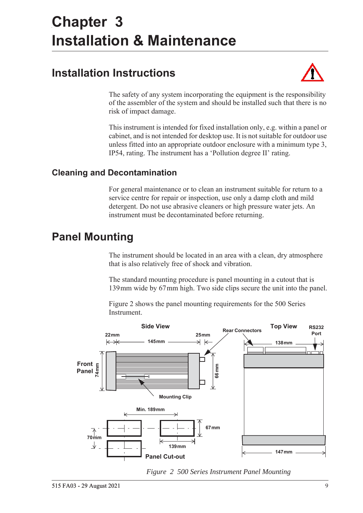# <span id="page-18-5"></span><span id="page-18-0"></span>**Chapter 3 Installation & Maintenance**

# <span id="page-18-1"></span>**Installation Instructions**



The safety of any system incorporating the equipment is the responsibility of the assembler of the system and should be installed such that there is no risk of impact damage.

This instrument is intended for fixed installation only, e.g. within a panel or cabinet, and is not intended for desktop use. It is not suitable for outdoor use unless fitted into an appropriate outdoor enclosure with a minimum type 3, IP54, rating. The instrument has a 'Pollution degree II' rating.

# <span id="page-18-2"></span>**Cleaning and Decontamination**

For general maintenance or to clean an instrument suitable for return to a service centre for repair or inspection, use only a damp cloth and mild detergent. Do not use abrasive cleaners or high pressure water jets. An instrument must be decontaminated before returning.

# <span id="page-18-3"></span>**Panel Mounting**

The instrument should be located in an area with a clean, dry atmosphere that is also relatively free of shock and vibration.

The standard mounting procedure is panel mounting in a cutout that is 139 mm wide by 67 mm high. Two side clips secure the unit into the panel.

[Figure 2](#page-18-4) shows the panel mounting requirements for the 500 Series Instrument.



<span id="page-18-4"></span>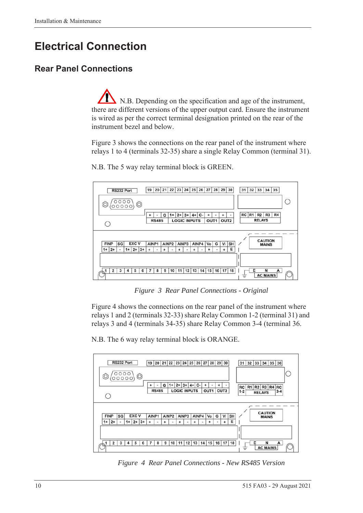# <span id="page-19-0"></span>**Electrical Connection**

# <span id="page-19-1"></span>**Rear Panel Connections**

N.B. Depending on the specification and age of the instrument, there are different versions of the upper output card. Ensure the instrument is wired as per the correct terminal designation printed on the rear of the instrument bezel and below.

[Figure 3](#page-19-2) shows the connections on the rear panel of the instrument where relays 1 to 4 (terminals 32-35) share a single Relay Common (terminal 31).



N.B. The 5 way relay terminal block is GREEN.

*Figure 3 Rear Panel Connections - Original*

<span id="page-19-2"></span>[Figure 4](#page-19-3) shows the connections on the rear panel of the instrument where relays 1 and 2 (terminals 32-33) share Relay Common 1-2 (terminal 31) and relays 3 and 4 (terminals 34-35) share Relay Common 3-4 (terminal 36.

N.B. The 6 way relay terminal block is ORANGE.



<span id="page-19-3"></span>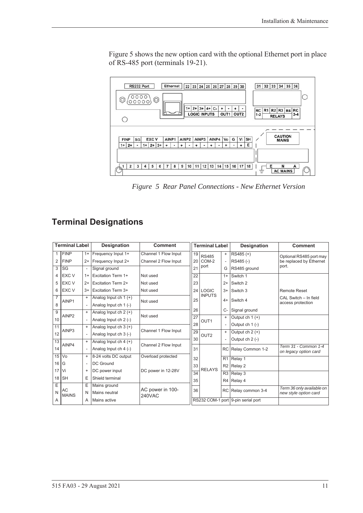[Figure 5](#page-20-1) shows the new option card with the optional Ethernet port in place of RS-485 port (terminals 19-21).



<span id="page-20-1"></span>*Figure 5 Rear Panel Connections - New Ethernet Version*

# <span id="page-20-0"></span>**Terminal Designations**

|                 | <b>Terminal Label</b> |                          | Designation               | <b>Comment</b>                    | <b>Terminal Label</b> |                  |                | Designation                        | <b>Comment</b>                                |
|-----------------|-----------------------|--------------------------|---------------------------|-----------------------------------|-----------------------|------------------|----------------|------------------------------------|-----------------------------------------------|
| 1               | <b>FINP</b>           | $1+$                     | Frequency Input 1+        | Channel 1 Flow Input              | 19                    | <b>RS485</b>     | $\ddot{}$      | RS485 (+)                          | Optional RS485 port may                       |
| 2               | <b>FINP</b>           | $2+$                     | Frequency Input 2+        | Channel 2 Flow Input              | 20 <sub>1</sub>       | COM-2<br>port    |                | RS485 (-)                          | be replaced by Ethernet                       |
| 3               | SG                    | $\overline{\phantom{a}}$ | Signal ground             |                                   | 21                    |                  | G              | RS485 ground                       | port.                                         |
| 4               | EXC V                 | $1+$                     | <b>Excitation Term 1+</b> | Not used                          | 22                    |                  | $1+$           | Switch 1                           |                                               |
| 5               | EXC V                 | $2+$                     | <b>Excitation Term 2+</b> | Not used                          | 23                    |                  | $2+$           | Switch 2                           |                                               |
| 6               | <b>EXC V</b>          | $3+$                     | Excitation Term 3+        | Not used                          | 24                    | <b>LOGIC</b>     | $3+$           | Switch 3                           | <b>Remote Reset</b>                           |
| $\overline{7}$  | AINP1                 | $\ddot{}$                | Analog Input ch $1 (+)$   | Not used                          |                       | <b>INPUTS</b>    | $4+$           | Switch 4                           | CAL Switch - In field                         |
| 8               |                       |                          | Analog Input ch 1 (-)     |                                   |                       |                  |                |                                    | access protection                             |
| 9               | AINP <sub>2</sub>     | $\ddot{}$                | Analog Input ch $2 (+)$   | Not used                          |                       |                  | $C-$           | Signal ground                      |                                               |
| 10              |                       |                          | Analog Input ch 2 (-)     |                                   |                       | OUT <sub>1</sub> | $+$            | Output ch $1 (+)$                  |                                               |
| 11              |                       | $\ddot{}$                | Analog Input ch $3 (+)$   |                                   | 28<br>29              |                  |                | Output $ch 1$ (-)                  |                                               |
| 12              | AINP3                 | $\overline{\phantom{a}}$ | Analog Input ch 3 (-)     | Channel 1 Flow Input              |                       | OUT <sub>2</sub> | $\ddot{}$      | Output ch $2 (+)$                  |                                               |
| $\overline{13}$ |                       | $\ddot{}$                | Analog Input ch $4 (+)$   |                                   |                       |                  |                | Output $ch 2$ (-)                  |                                               |
| 14              | AINP4                 |                          | Analog Input ch 4 (-)     | Channel 2 Flow Input              | 31                    |                  | <b>RC</b>      | Relay Common 1-2                   | Term 31 - Common 1-4<br>on legacy option card |
| 15              | Vo                    | $\ddot{}$                | 8-24 volts DC output      | Overload protected                | 32                    |                  | R <sub>1</sub> | Relay 1                            |                                               |
| 16              | G                     | $\overline{\phantom{a}}$ | <b>DC</b> Ground          |                                   | 33                    |                  | R2             | Relay 2                            |                                               |
| 17              | Vi                    | $\ddot{}$                | DC power input            | DC power in 12-28V                | $\overline{34}$       | <b>RELAYS</b>    | R3             | Relay 3                            |                                               |
| 18              | <b>SH</b>             | E                        | Shield terminal           |                                   |                       | 35               | R4             | Relay 4                            |                                               |
| Ε               |                       | Ε                        | Mains ground              | AC power in 100-<br><b>240VAC</b> |                       |                  |                |                                    | Term 36 only available on                     |
| N               | AC<br><b>MAINS</b>    | N                        | Mains neutral             |                                   |                       | 36               | RC             | Relay common 3-4                   | new style option card                         |
| A               |                       | Α                        | Mains active              |                                   |                       |                  |                | RS232 COM-1 port 9-pin serial port |                                               |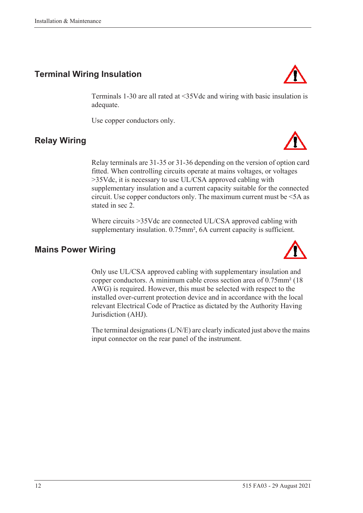# <span id="page-21-0"></span>**Terminal Wiring Insulation**

Terminals 1-30 are all rated at <35Vdc and wiring with basic insulation is adequate.

Use copper conductors only.

# <span id="page-21-1"></span>**Relay Wiring**

Relay terminals are 31-35 or 31-36 depending on the version of option card fitted. When controlling circuits operate at mains voltages, or voltages >35Vdc, it is necessary to use UL/CSA approved cabling with supplementary insulation and a current capacity suitable for the connected circuit. Use copper conductors only. The maximum current must be <5A as stated in sec 2.

Where circuits >35Vdc are connected UL/CSA approved cabling with supplementary insulation. 0.75mm<sup>2</sup>, 6A current capacity is sufficient.

### <span id="page-21-2"></span>**Mains Power Wiring**

Only use UL/CSA approved cabling with supplementary insulation and copper conductors. A minimum cable cross section area of 0.75mm² (18 AWG) is required. However, this must be selected with respect to the installed over-current protection device and in accordance with the local relevant Electrical Code of Practice as dictated by the Authority Having Jurisdiction (AHJ).

The terminal designations (L/N/E) are clearly indicated just above the mains input connector on the rear panel of the instrument.





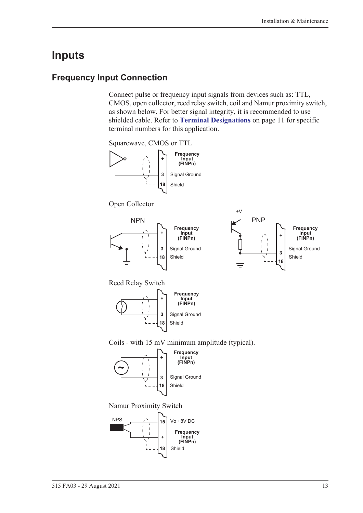# <span id="page-22-0"></span>**Inputs**

### <span id="page-22-1"></span>**Frequency Input Connection**

Connect pulse or frequency input signals from devices such as: TTL, CMOS, open collector, reed relay switch, coil and Namur proximity switch, as shown below. For better signal integrity, it is recommended to use shielded cable. Refer to **[Terminal Designations](#page-20-0)** on page 11 for specific terminal numbers for this application.

Squarewave, CMOS or TTL



Open Collector





Reed Relay Switch



Coils - with 15 mV minimum amplitude (typical).



Namur Proximity Switch

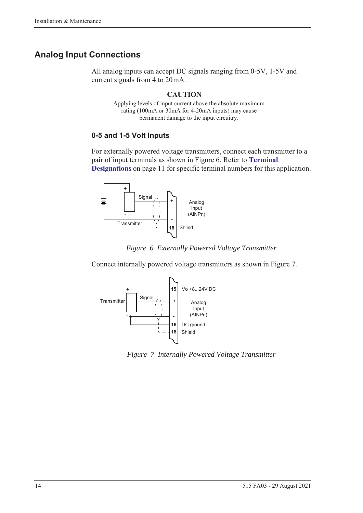# <span id="page-23-0"></span>**Analog Input Connections**

All analog inputs can accept DC signals ranging from 0-5V, 1-5V and current signals from 4 to 20 mA.

### **CAUTION**

Applying levels of input current above the absolute maximum rating (100mA or 30mA for 4-20mA inputs) may cause permanent damage to the input circuitry.

### **0-5 and 1-5 Volt Inputs**

For externally powered voltage transmitters, connect each transmitter to a pair of input terminals as shown in [Figure 6](#page-23-1). Refer to **[Terminal](#page-20-0)  [Designations](#page-20-0)** on page 11 for specific terminal numbers for this application.





<span id="page-23-1"></span>Connect internally powered voltage transmitters as shown in [Figure 7.](#page-23-2)



<span id="page-23-2"></span>*Figure 7 Internally Powered Voltage Transmitter*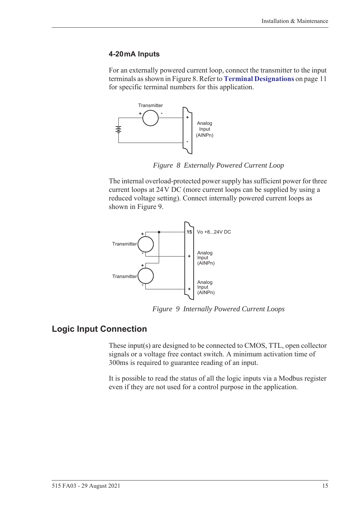#### **4-20 mA Inputs**

For an externally powered current loop, connect the transmitter to the input terminals as shown in [Figure 8.](#page-24-1) Refer to **[Terminal Designations](#page-20-0)** on page 11 for specific terminal numbers for this application.



*Figure 8 Externally Powered Current Loop*

<span id="page-24-1"></span>The internal overload-protected power supply has sufficient power for three current loops at 24 V DC (more current loops can be supplied by using a reduced voltage setting). Connect internally powered current loops as shown in [Figure 9.](#page-24-2)



*Figure 9 Internally Powered Current Loops*

### <span id="page-24-0"></span>**Logic Input Connection**

<span id="page-24-2"></span>These input(s) are designed to be connected to CMOS, TTL, open collector signals or a voltage free contact switch. A minimum activation time of 300ms is required to guarantee reading of an input.

It is possible to read the status of all the logic inputs via a Modbus register even if they are not used for a control purpose in the application.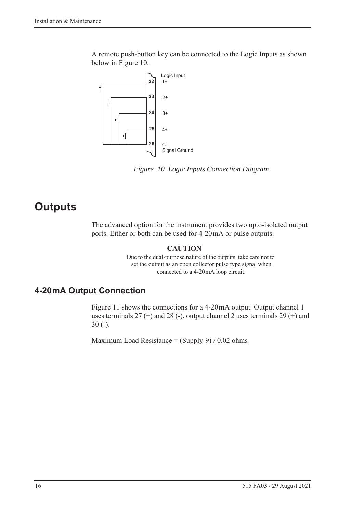A remote push-button key can be connected to the Logic Inputs as shown below in [Figure 10](#page-25-2).



<span id="page-25-2"></span>*Figure 10 Logic Inputs Connection Diagram*

# <span id="page-25-0"></span>**Outputs**

The advanced option for the instrument provides two opto-isolated output ports. Either or both can be used for 4-20 mA or pulse outputs.

#### **CAUTION**

Due to the dual-purpose nature of the outputs, take care not to set the output as an open collector pulse type signal when connected to a 4-20 mA loop circuit.

# <span id="page-25-1"></span>**4-20 mA Output Connection**

[Figure 11](#page-26-1) shows the connections for a 4-20 mA output. Output channel 1 uses terminals  $27$  (+) and  $28$  (-), output channel 2 uses terminals  $29$  (+) and 30 (-).

Maximum Load Resistance =  $(Supply-9) / 0.02$  ohms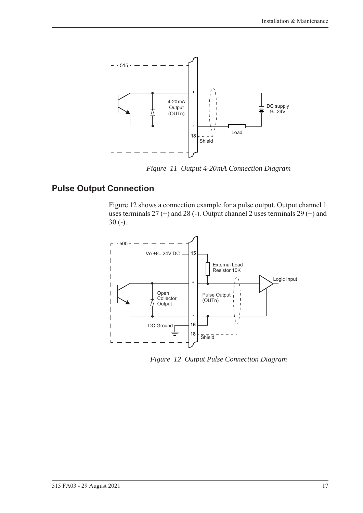

*Figure 11 Output 4-20 mA Connection Diagram*

# <span id="page-26-0"></span>**Pulse Output Connection**

<span id="page-26-1"></span>[Figure 12](#page-26-2) shows a connection example for a pulse output. Output channel 1 uses terminals 27 (+) and 28 (-). Output channel 2 uses terminals 29 (+) and 30 (-).



<span id="page-26-2"></span>*Figure 12 Output Pulse Connection Diagram*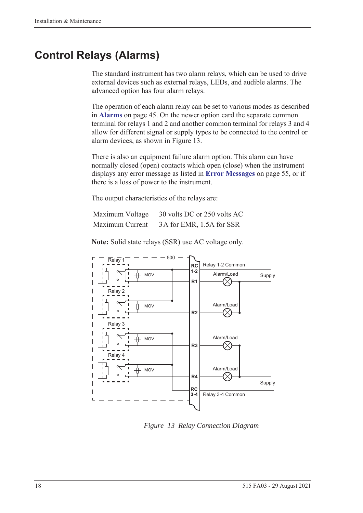# <span id="page-27-0"></span>**Control Relays (Alarms)**

The standard instrument has two alarm relays, which can be used to drive external devices such as external relays, LEDs, and audible alarms. The advanced option has four alarm relays.

The operation of each alarm relay can be set to various modes as described in **Alarms** [on page 45](#page-54-1). On the newer option card the separate common terminal for relays 1 and 2 and another common terminal for relays 3 and 4 allow for different signal or supply types to be connected to the control or alarm devices, as shown in [Figure 13.](#page-27-1)

There is also an equipment failure alarm option. This alarm can have normally closed (open) contacts which open (close) when the instrument displays any error message as listed in **[Error Messages](#page-64-2)** on page 55, or if there is a loss of power to the instrument.

The output characteristics of the relays are:

| Maximum Voltage | 30 volts DC or 250 volts AC |
|-----------------|-----------------------------|
| Maximum Current | 3A for EMR, 1.5A for SSR    |

**Note:** Solid state relays (SSR) use AC voltage only.



<span id="page-27-1"></span>*Figure 13 Relay Connection Diagram*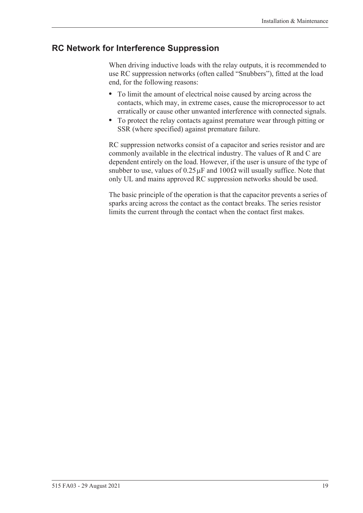### <span id="page-28-0"></span>**RC Network for Interference Suppression**

When driving inductive loads with the relay outputs, it is recommended to use RC suppression networks (often called "Snubbers"), fitted at the load end, for the following reasons:

- **•** To limit the amount of electrical noise caused by arcing across the contacts, which may, in extreme cases, cause the microprocessor to act erratically or cause other unwanted interference with connected signals.
- **•** To protect the relay contacts against premature wear through pitting or SSR (where specified) against premature failure.

RC suppression networks consist of a capacitor and series resistor and are commonly available in the electrical industry. The values of R and C are dependent entirely on the load. However, if the user is unsure of the type of snubber to use, values of  $0.25 \mu$ F and  $100 \Omega$  will usually suffice. Note that only UL and mains approved RC suppression networks should be used.

The basic principle of the operation is that the capacitor prevents a series of sparks arcing across the contact as the contact breaks. The series resistor limits the current through the contact when the contact first makes.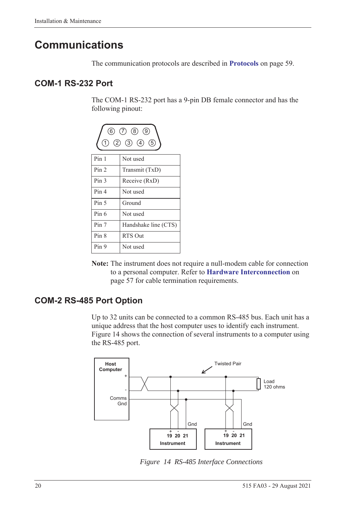# <span id="page-29-0"></span>**Communications**

The communication protocols are described in **Protocols** [on page 59.](#page-68-3)

### <span id="page-29-1"></span>**COM-1 RS-232 Port**

The COM-1 RS-232 port has a 9-pin DB female connector and has the following pinout:



**Note:** The instrument does not require a null-modem cable for connection to a personal computer. Refer to **[Hardware Interconnection](#page-66-4)** on [page 57](#page-66-4) for cable termination requirements.

# <span id="page-29-2"></span>**COM-2 RS-485 Port Option**

Up to 32 units can be connected to a common RS-485 bus. Each unit has a unique address that the host computer uses to identify each instrument. [Figure 14](#page-29-3) shows the connection of several instruments to a computer using the RS-485 port.



<span id="page-29-3"></span>*Figure 14 RS-485 Interface Connections*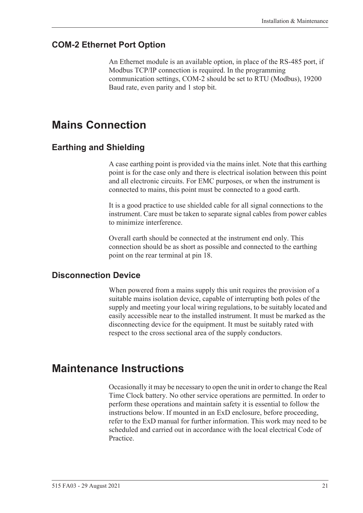### <span id="page-30-0"></span>**COM-2 Ethernet Port Option**

An Ethernet module is an available option, in place of the RS-485 port, if Modbus TCP/IP connection is required. In the programming communication settings, COM-2 should be set to RTU (Modbus), 19200 Baud rate, even parity and 1 stop bit.

# <span id="page-30-1"></span>**Mains Connection**

### <span id="page-30-2"></span>**Earthing and Shielding**

A case earthing point is provided via the mains inlet. Note that this earthing point is for the case only and there is electrical isolation between this point and all electronic circuits. For EMC purposes, or when the instrument is connected to mains, this point must be connected to a good earth.

It is a good practice to use shielded cable for all signal connections to the instrument. Care must be taken to separate signal cables from power cables to minimize interference.

Overall earth should be connected at the instrument end only. This connection should be as short as possible and connected to the earthing point on the rear terminal at pin 18.

### <span id="page-30-3"></span>**Disconnection Device**

When powered from a mains supply this unit requires the provision of a suitable mains isolation device, capable of interrupting both poles of the supply and meeting your local wiring regulations, to be suitably located and easily accessible near to the installed instrument. It must be marked as the disconnecting device for the equipment. It must be suitably rated with respect to the cross sectional area of the supply conductors.

# <span id="page-30-4"></span>**Maintenance Instructions**

Occasionally it may be necessary to open the unit in order to change the Real Time Clock battery. No other service operations are permitted. In order to perform these operations and maintain safety it is essential to follow the instructions below. If mounted in an ExD enclosure, before proceeding, refer to the ExD manual for further information. This work may need to be scheduled and carried out in accordance with the local electrical Code of Practice.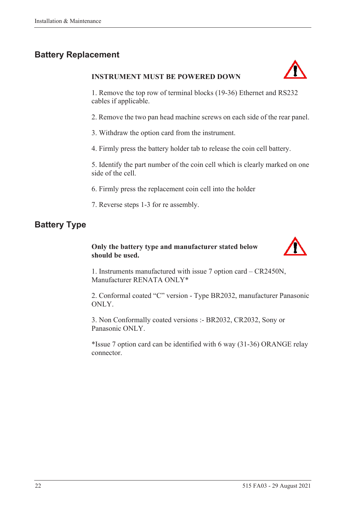# <span id="page-31-0"></span>**Battery Replacement**

#### **INSTRUMENT MUST BE POWERED DOWN**



1. Remove the top row of terminal blocks (19-36) Ethernet and RS232 cables if applicable.

2. Remove the two pan head machine screws on each side of the rear panel.

3. Withdraw the option card from the instrument.

4. Firmly press the battery holder tab to release the coin cell battery.

5. Identify the part number of the coin cell which is clearly marked on one side of the cell.

6. Firmly press the replacement coin cell into the holder

7. Reverse steps 1-3 for re assembly.

# <span id="page-31-1"></span>**Battery Type**

### **Only the battery type and manufacturer stated below should be used.**



1. Instruments manufactured with issue 7 option card – CR2450N, Manufacturer RENATA ONLY\*

2. Conformal coated "C" version - Type BR2032, manufacturer Panasonic ONLY.

3. Non Conformally coated versions :- BR2032, CR2032, Sony or Panasonic ONLY.

\*Issue 7 option card can be identified with 6 way (31-36) ORANGE relay connector.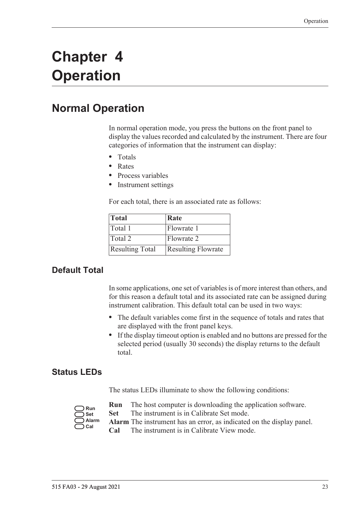# <span id="page-32-0"></span>**Chapter 4 Operation**

# <span id="page-32-1"></span>**Normal Operation**

In normal operation mode, you press the buttons on the front panel to display the values recorded and calculated by the instrument. There are four categories of information that the instrument can display:

- **•** Totals
- **•** Rates
- **•** Process variables
- **•** Instrument settings

For each total, there is an associated rate as follows:

| Total                  | Rate                      |
|------------------------|---------------------------|
| Total 1                | Flowrate 1                |
| Total 2                | Flowrate 2                |
| <b>Resulting Total</b> | <b>Resulting Flowrate</b> |

# <span id="page-32-2"></span>**Default Total**

In some applications, one set of variables is of more interest than others, and for this reason a default total and its associated rate can be assigned during instrument calibration. This default total can be used in two ways:

- **•** The default variables come first in the sequence of totals and rates that are displayed with the front panel keys.
- **•** If the display timeout option is enabled and no buttons are pressed for the selected period (usually 30 seconds) the display returns to the default total.

### <span id="page-32-3"></span>**Status LEDs**

The status LEDs illuminate to show the following conditions:

| Run   |
|-------|
| Set   |
| Alarm |
| Cal   |

- **Run** The host computer is downloading the application software.
- **Set** The instrument is in Calibrate Set mode.
- **Alarm** The instrument has an error, as indicated on the display panel.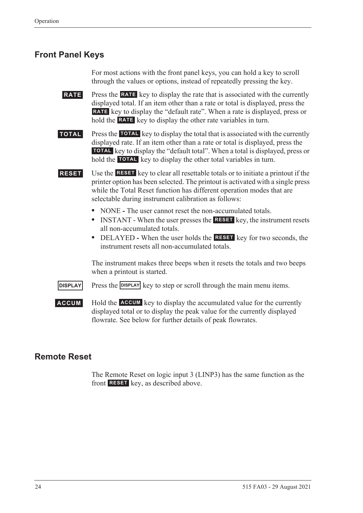# <span id="page-33-0"></span>**Front Panel Keys**

For most actions with the front panel keys, you can hold a key to scroll through the values or options, instead of repeatedly pressing the key.

**RATE** Press the **RATE** key to display the rate that is associated with the currently displayed total. If an item other than a rate or total is displayed, press the RATE key to display the "default rate". When a rate is displayed, press or hold the **RATE** key to display the other rate variables in turn.

**TOTAL** Press the TOTAL key to display the total that is associated with the currently displayed rate. If an item other than a rate or total is displayed, press the **TOTAL** key to display the "default total". When a total is displayed, press or hold the **TOTAL** key to display the other total variables in turn.

**RESET** Use the **RESET** key to clear all resettable totals or to initiate a printout if the printer option has been selected. The printout is activated with a single press while the Total Reset function has different operation modes that are selectable during instrument calibration as follows:

- NONE The user cannot reset the non-accumulated totals.
- INSTANT When the user presses the **RESET** key, the instrument resets all non-accumulated totals.
- DELAYED When the user holds the **RESET** key for two seconds, the instrument resets all non-accumulated totals.

The instrument makes three beeps when it resets the totals and two beeps when a printout is started.

**DISPLAY** Press the **DISPLAY** key to step or scroll through the main menu items.

**ACCUM** Hold the **ACCUM** key to display the accumulated value for the currently displayed total or to display the peak value for the currently displayed flowrate. See below for further details of peak flowrates.

### <span id="page-33-1"></span>**Remote Reset**

The Remote Reset on logic input 3 (LINP3) has the same function as the front **RESET** key, as described above.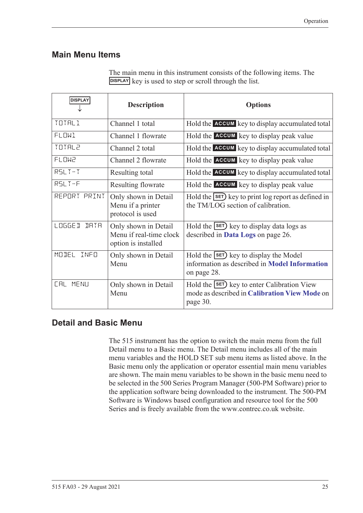### <span id="page-34-0"></span>**Main Menu Items**

| <b>DISPLAY</b>         | <b>Description</b>                                                     | <b>Options</b>                                                                                                 |
|------------------------|------------------------------------------------------------------------|----------------------------------------------------------------------------------------------------------------|
| TOTAL1                 | Channel 1 total                                                        | Hold the ACCUM key to display accumulated total                                                                |
| <b>FLOW1</b>           | Channel 1 flowrate                                                     | Hold the ACCUM key to display peak value                                                                       |
| TOTAL2                 | Channel 2 total                                                        | Hold the ACCUM key to display accumulated total                                                                |
| <b>FLOW2</b>           | Channel 2 flowrate                                                     | Hold the <b>ACCUM</b> key to display peak value                                                                |
| $RSLT-T$               | Resulting total                                                        | Hold the ACCUM key to display accumulated total                                                                |
| RSLT-F                 | Resulting flowrate                                                     | Hold the ACCUM key to display peak value                                                                       |
| REPORT PRINT           | Only shown in Detail<br>Menu if a printer<br>protocol is used          | Hold the SET) key to print log report as defined in<br>the TM/LOG section of calibration.                      |
| <b>LOGGE D</b><br>IRTR | Only shown in Detail<br>Menu if real-time clock<br>option is installed | Hold the $\text{SET}$ key to display data logs as<br>described in Data Logs on page 26.                        |
| MODEL<br>INFO          | Only shown in Detail<br>Menu                                           | Hold the $\text{SET}$ key to display the Model<br>information as described in Model Information<br>on page 28. |
| <b>CAL MENU</b>        | Only shown in Detail<br>Menu                                           | Hold the <b>SET</b> key to enter Calibration View<br>mode as described in Calibration View Mode on<br>page 30. |

The main menu in this instrument consists of the following items. The **DISPLAY** key is used to step or scroll through the list.

# <span id="page-34-1"></span>**Detail and Basic Menu**

The 515 instrument has the option to switch the main menu from the full Detail menu to a Basic menu. The Detail menu includes all of the main menu variables and the HOLD SET sub menu items as listed above. In the Basic menu only the application or operator essential main menu variables are shown. The main menu variables to be shown in the basic menu need to be selected in the 500 Series Program Manager (500-PM Software) prior to the application software being downloaded to the instrument. The 500-PM Software is Windows based configuration and resource tool for the 500 Series and is freely available from the www.contrec.co.uk website.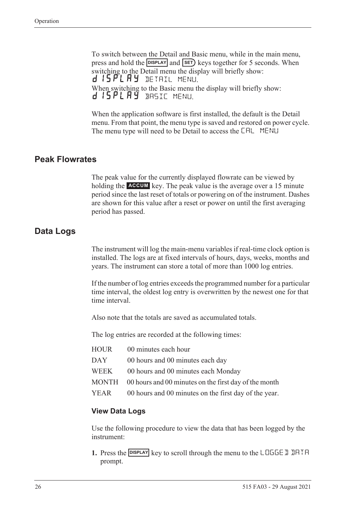To switch between the Detail and Basic menu, while in the main menu, press and hold the **DISPLAY** and **SET**) keys together for 5 seconds. When switching to the Detail menu the display will briefly show: d 15 PL A Y DETAIL MENU. When switching to the Basic menu the display will briefly show: d 15PLAY BASIC MENU.

When the application software is first installed, the default is the Detail menu. From that point, the menu type is saved and restored on power cycle. The menu type will need to be Detail to access the CAL MENU

### <span id="page-35-0"></span>**Peak Flowrates**

The peak value for the currently displayed flowrate can be viewed by holding the **ACCUM** key. The peak value is the average over a 15 minute period since the last reset of totals or powering on of the instrument. Dashes are shown for this value after a reset or power on until the first averaging period has passed.

### <span id="page-35-1"></span>**Data Logs**

The instrument will log the main-menu variables if real-time clock option is installed. The logs are at fixed intervals of hours, days, weeks, months and years. The instrument can store a total of more than 1000 log entries.

If the number of log entries exceeds the programmed number for a particular time interval, the oldest log entry is overwritten by the newest one for that time interval.

Also note that the totals are saved as accumulated totals.

The log entries are recorded at the following times:

| HOUR | 00 minutes each hour                                        |
|------|-------------------------------------------------------------|
| DAY  | 00 hours and 00 minutes each day                            |
| WEEK | 00 hours and 00 minutes each Monday                         |
|      | MONTH 00 hours and 00 minutes on the first day of the month |
| YEAR | 00 hours and 00 minutes on the first day of the year.       |

#### **View Data Logs**

Use the following procedure to view the data that has been logged by the instrument:

**1.** Press the **DISPLAY** key to scroll through the menu to the LOGGE D DATA prompt.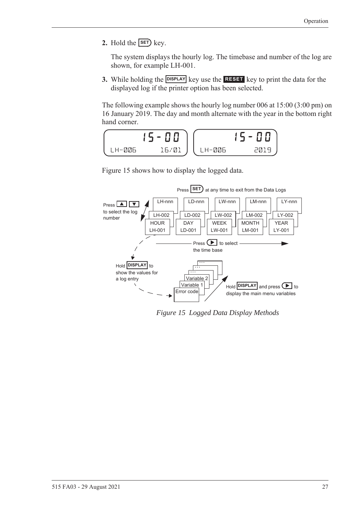**2.** Hold the  $\overline{\text{SET}}$  key.

The system displays the hourly log. The timebase and number of the log are shown, for example LH-001.

**3.** While holding the **DISPLAY** key use the **RESET** key to print the data for the displayed log if the printer option has been selected.

The following example shows the hourly log number 006 at 15:00 (3:00 pm) on 16 January 2019. The day and month alternate with the year in the bottom right hand corner.



[Figure 15](#page-36-0) shows how to display the logged data.



<span id="page-36-0"></span>*Figure 15 Logged Data Display Methods*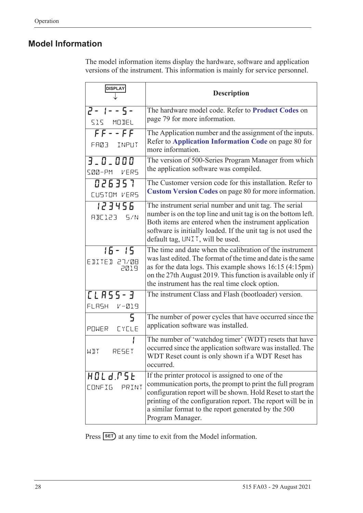### <span id="page-37-0"></span>**Model Information**

The model information items display the hardware, software and application versions of the instrument. This information is mainly for service personnel.

| <b>DISPLAY</b>                     | <b>Description</b>                                                                                                                                                                                                                                                                                                      |
|------------------------------------|-------------------------------------------------------------------------------------------------------------------------------------------------------------------------------------------------------------------------------------------------------------------------------------------------------------------------|
| $2 - 1 - 5 -$<br>SIS MODEL         | The hardware model code. Refer to Product Codes on<br>page 79 for more information.                                                                                                                                                                                                                                     |
| $FF--FF$<br>FA03 INPUT             | The Application number and the assignment of the inputs.<br>Refer to Application Information Code on page 80 for<br>more information.                                                                                                                                                                                   |
| $3 - 0 - 000$<br>SØØ-PM VERS       | The version of 500-Series Program Manager from which<br>the application software was compiled.                                                                                                                                                                                                                          |
| 026357<br>CUSTOM VERS              | The Customer version code for this installation. Refer to<br>Custom Version Codes on page 80 for more information.                                                                                                                                                                                                      |
| 123456<br>RBE123 5/N               | The instrument serial number and unit tag. The serial<br>number is on the top line and unit tag is on the bottom left.<br>Both items are entered when the instrument application<br>software is initially loaded. If the unit tag is not used the<br>default tag, UNIT, will be used.                                   |
| $15 - 15$<br>EDITED 27/08<br>2019  | The time and date when the calibration of the instrument<br>was last edited. The format of the time and date is the same<br>as for the data logs. This example shows $16:15$ (4:15pm)<br>on the 27th August 2019. This function is available only if<br>the instrument has the real time clock option.                  |
| [LA55-3<br>FLASH V-019             | The instrument Class and Flash (bootloader) version.                                                                                                                                                                                                                                                                    |
| 5<br>POWER EYELE                   | The number of power cycles that have occurred since the<br>application software was installed.                                                                                                                                                                                                                          |
| RESET<br>WIT                       | The number of 'watchdog timer' (WDT) resets that have<br>occurred since the application software was installed. The<br>WDT Reset count is only shown if a WDT Reset has<br>occurred.                                                                                                                                    |
| HOLd.PSE<br><b>CONFIG</b><br>PRINT | If the printer protocol is assigned to one of the<br>communication ports, the prompt to print the full program<br>configuration report will be shown. Hold Reset to start the<br>printing of the configuration report. The report will be in<br>a similar format to the report generated by the 500<br>Program Manager. |

Press **SET**) at any time to exit from the Model information.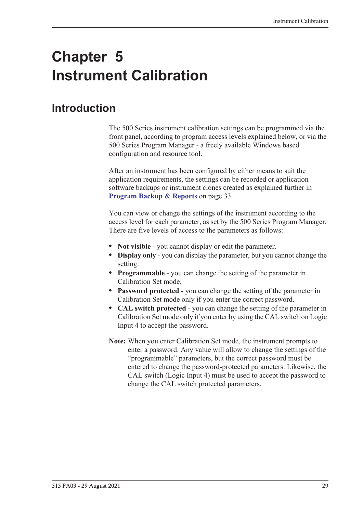# **Chapter 5 Instrument Calibration**

# **Introduction**

The 500 Series instrument calibration settings can be programmed via the front panel, according to program access levels explained below, or via the 500 Series Program Manager - a freely available Windows based configuration and resource tool.

After an instrument has been configured by either means to suit the application requirements, the settings can be recorded or application software backups or instrument clones created as explained further in **[Program Backup & Reports](#page-42-0)** on page 33.

You can view or change the settings of the instrument according to the access level for each parameter, as set by the 500 Series Program Manager. There are five levels of access to the parameters as follows:

- **• Not visible** you cannot display or edit the parameter.
- **• Display only** you can display the parameter, but you cannot change the setting.
- **• Programmable** you can change the setting of the parameter in Calibration Set mode.
- **• Password protected** you can change the setting of the parameter in Calibration Set mode only if you enter the correct password.
- **• CAL switch protected**  you can change the setting of the parameter in Calibration Set mode only if you enter by using the CAL switch on Logic Input 4 to accept the password.
- **Note:** When you enter Calibration Set mode, the instrument prompts to enter a password. Any value will allow to change the settings of the "programmable" parameters, but the correct password must be entered to change the password-protected parameters. Likewise, the CAL switch (Logic Input 4) must be used to accept the password to change the CAL switch protected parameters.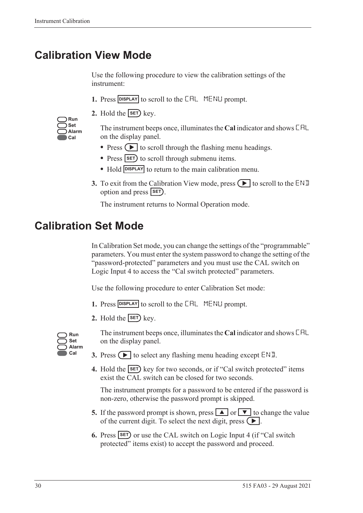# **Calibration View Mode**

Use the following procedure to view the calibration settings of the instrument:

- 1. Press **DISPLAY** to scroll to the **CAL** MENLI prompt.
- **2.** Hold the  $\overline{\text{SET}}$  key.

| Run   |
|-------|
| Set   |
| Alarm |
| Cal   |

The instrument beeps once, illuminates the **Cal** indicator and shows CAL on the display panel.

- Press  $\left( \blacktriangleright \right)$  to scroll through the flashing menu headings.
- Press **SET** to scroll through submenu items.
- Hold **DISPLAY** to return to the main calibration menu.
- **3.** To exit from the Calibration View mode, press  $\Box$  to scroll to the END option and press **SET**).

The instrument returns to Normal Operation mode.

# **Calibration Set Mode**

In Calibration Set mode, you can change the settings of the "programmable" parameters. You must enter the system password to change the setting of the "password-protected" parameters and you must use the CAL switch on Logic Input 4 to access the "Cal switch protected" parameters.

Use the following procedure to enter Calibration Set mode:

- **1.** Press **DISPLAY** to scroll to the **CAL** MENLI prompt.
- **2.** Hold the  $\overline{\text{SET}}$  key.



The instrument beeps once, illuminates the **Cal** indicator and shows CAL on the display panel.

- **3.** Press  $\left( \blacktriangleright \right)$  to select any flashing menu heading except END.
- **4.** Hold the **SET** key for two seconds, or if "Cal switch protected" items exist the CAL switch can be closed for two seconds.

The instrument prompts for a password to be entered if the password is non-zero, otherwise the password prompt is skipped.

- **5.** If the password prompt is shown, press  $\boxed{\blacktriangle}$  or  $\boxed{\blacktriangledown}$  to change the value of the current digit. To select the next digit, press  $\left( \blacktriangleright \right)$ .
- **6.** Press **SET** or use the CAL switch on Logic Input 4 (if "Cal switch protected" items exist) to accept the password and proceed.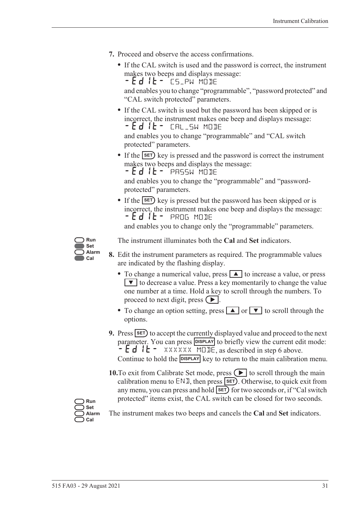- **7.** Proceed and observe the access confirmations.
	- **•** If the CAL switch is used and the password is correct, the instrument makes two beeps and displays message: - Ed IL - CS\_PW MODE

and enables you to change "programmable", "password protected" and "CAL switch protected" parameters.

**•** If the CAL switch is used but the password has been skipped or is incorrect, the instrument makes one beep and displays message: -EDIT- CAL\_SW MODE

and enables you to change "programmable" and "CAL switch protected" parameters.

• If the **SET**) key is pressed and the password is correct the instrument makes two beeps and displays the message:

 $-Ed$  it - PASSW MODE

and enables you to change the "programmable" and "passwordprotected" parameters.

• If the **SET**) key is pressed but the password has been skipped or is incorrect, the instrument makes one beep and displays the message: -EDIT- PROG MODE

and enables you to change only the "programmable" parameters.



The instrument illuminates both the **Cal** and **Set** indicators.

- **8.** Edit the instrument parameters as required. The programmable values are indicated by the flashing display.
	- To change a numerical value, press **A** to increase a value, or press  $\blacktriangledown$  to decrease a value. Press a key momentarily to change the value one number at a time. Hold a key to scroll through the numbers. To proceed to next digit, press  $( \blacktriangleright ).$
	- To change an option setting, press **A** or **V** to scroll through the options.
- **9.** Press **SET** to accept the currently displayed value and proceed to the next parameter. You can press **DISPLAY** to briefly view the current edit mode:  $\div$  E d I E – XXXXXX MODE, as described in step 6 above. Continue to hold the **DISPLAY** key to return to the main calibration menu.
- **10.**To exit from Calibrate Set mode, press  $\left( \blacktriangleright \right)$  to scroll through the main calibration menu to  $ENI$ , then press  $SET$ . Otherwise, to quick exit from any menu, you can press and hold **SET** for two seconds or, if "Cal switch protected" items exist, the CAL switch can be closed for two seconds.

**Run Set Alarm Cal**

The instrument makes two beeps and cancels the **Cal** and **Set** indicators.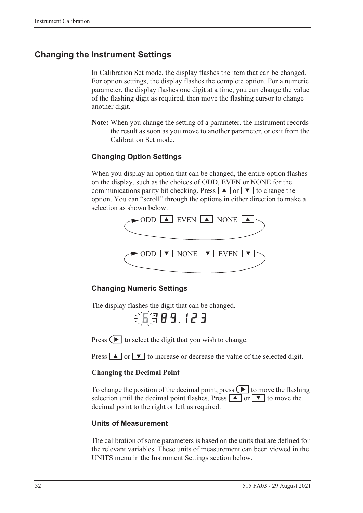### **Changing the Instrument Settings**

In Calibration Set mode, the display flashes the item that can be changed. For option settings, the display flashes the complete option. For a numeric parameter, the display flashes one digit at a time, you can change the value of the flashing digit as required, then move the flashing cursor to change another digit.

**Note:** When you change the setting of a parameter, the instrument records the result as soon as you move to another parameter, or exit from the Calibration Set mode.

#### **Changing Option Settings**

When you display an option that can be changed, the entire option flashes on the display, such as the choices of ODD, EVEN or NONE for the communications parity bit checking. Press  $\boxed{\blacktriangle}$  or  $\boxed{\blacktriangledown}$  to change the option. You can "scroll" through the options in either direction to make a selection as shown below.



#### **Changing Numeric Settings**

The display flashes the digit that can be changed.

6789.123

Press  $\left( \blacktriangleright \right)$  to select the digit that you wish to change.

Press  $\boxed{\blacktriangle}$  or  $\boxed{\blacktriangledown}$  to increase or decrease the value of the selected digit.

#### **Changing the Decimal Point**

To change the position of the decimal point, press  $\Box$  to move the flashing selection until the decimal point flashes. Press  $\boxed{\blacktriangle}$  or  $\boxed{\blacktriangledown}$  to move the decimal point to the right or left as required.

#### **Units of Measurement**

The calibration of some parameters is based on the units that are defined for the relevant variables. These units of measurement can been viewed in the UNITS menu in the Instrument Settings section below.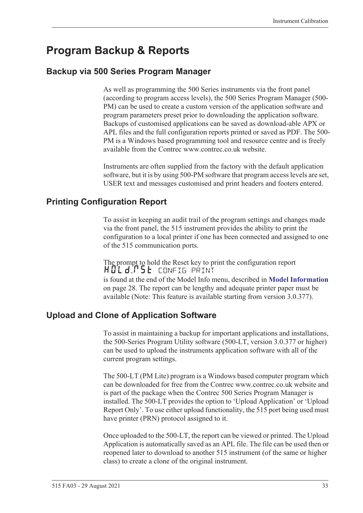# <span id="page-42-0"></span>**Program Backup & Reports**

### **Backup via 500 Series Program Manager**

As well as programming the 500 Series instruments via the front panel (according to program access levels), the 500 Series Program Manager (500- PM) can be used to create a custom version of the application software and program parameters preset prior to downloading the application software. Backups of customised applications can be saved as download-able APX or APL files and the full configuration reports printed or saved as PDF. The 500- PM is a Windows based programming tool and resource centre and is freely available from the Contrec www.contrec.co.uk website.

Instruments are often supplied from the factory with the default application software, but it is by using 500-PM software that program access levels are set, USER text and messages customised and print headers and footers entered.

### **Printing Configuration Report**

To assist in keeping an audit trail of the program settings and changes made via the front panel, the 515 instrument provides the ability to print the configuration to a local printer if one has been connected and assigned to one of the 515 communication ports.

The prompt to hold the Reset key to print the configuration report HOLd:P5E config print is found at the end of the Model Info menu, described in **[Model Information](#page-37-0)** [on page 28](#page-37-0). The report can be lengthy and adequate printer paper must be available (Note: This feature is available starting from version 3.0.377).

### **Upload and Clone of Application Software**

To assist in maintaining a backup for important applications and installations, the 500-Series Program Utility software (500-LT, version 3.0.377 or higher) can be used to upload the instruments application software with all of the current program settings.

The 500-LT (PM Lite) program is a Windows based computer program which can be downloaded for free from the Contrec www.contrec.co.uk website and is part of the package when the Contrec 500 Series Program Manager is installed. The 500-LT provides the option to 'Upload Application' or 'Upload Report Only'. To use either upload functionality, the 515 port being used must have printer (PRN) protocol assigned to it.

Once uploaded to the 500-LT, the report can be viewed or printed. The Upload Application is automatically saved as an APL file. The file can be used then or reopened later to download to another 515 instrument (of the same or higher class) to create a clone of the original instrument.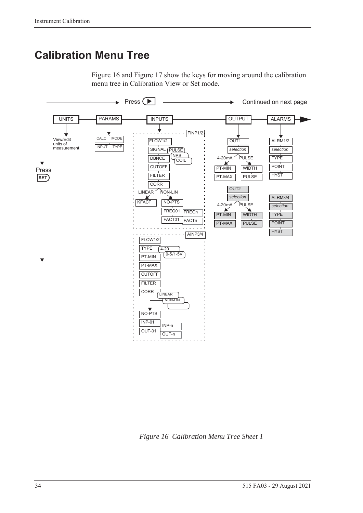# **Calibration Menu Tree**

[Figure 16](#page-43-0) and [Figure 17](#page-44-0) show the keys for moving around the calibration menu tree in Calibration View or Set mode.



<span id="page-43-0"></span>*Figure 16 Calibration Menu Tree Sheet 1*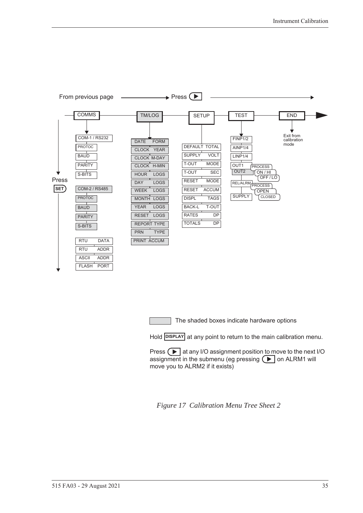

The shaded boxes indicate hardware options

Hold **DISPLAY** at any point to return to the main calibration menu.

Press  $\Box$  at any I/O assignment position to move to the next I/O assignment in the submenu (eg pressing  $\left( \blacktriangleright \right)$  on ALRM1 will move you to ALRM2 if it exists)

<span id="page-44-0"></span>*Figure 17 Calibration Menu Tree Sheet 2*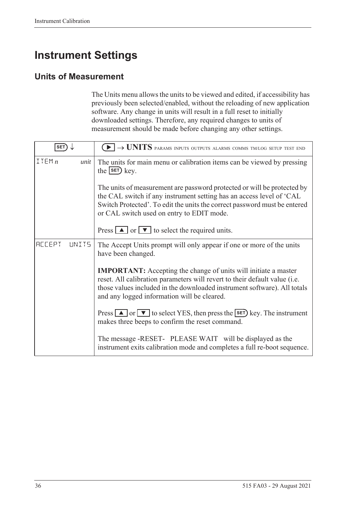# **Instrument Settings**

### **Units of Measurement**

The Units menu allows the units to be viewed and edited, if accessibility has previously been selected/enabled, without the reloading of new application software. Any change in units will result in a full reset to initially downloaded settings. Therefore, any required changes to units of measurement should be made before changing any other settings.

| <b>SET</b>              | $\blacktriangleright$ $\rightarrow$ UNITS params inputs outputs alarms comms tm/log setup test end                                                                                                                                                                              |  |
|-------------------------|---------------------------------------------------------------------------------------------------------------------------------------------------------------------------------------------------------------------------------------------------------------------------------|--|
| ITEMn<br>unit           | The units for main menu or calibration items can be viewed by pressing<br>the $s$ $F$ $k$ ey.                                                                                                                                                                                   |  |
|                         | The units of measurement are password protected or will be protected by<br>the CAL switch if any instrument setting has an access level of 'CAL<br>Switch Protected'. To edit the units the correct password must be entered<br>or CAL switch used on entry to EDIT mode.       |  |
|                         | Press $\boxed{\blacktriangle}$ or $\boxed{\blacktriangledown}$ to select the required units.                                                                                                                                                                                    |  |
| <b>ACCEPT</b><br>LINIT5 | The Accept Units prompt will only appear if one or more of the units<br>have been changed.                                                                                                                                                                                      |  |
|                         | <b>IMPORTANT:</b> Accepting the change of units will initiate a master<br>reset. All calibration parameters will revert to their default value (i.e.<br>those values included in the downloaded instrument software). All totals<br>and any logged information will be cleared. |  |
|                         | Press $\Box$ or $\nabla$ to select YES, then press the <b>SET</b> ) key. The instrument<br>makes three beeps to confirm the reset command.                                                                                                                                      |  |
|                         | The message -RESET- PLEASE WAIT will be displayed as the<br>instrument exits calibration mode and completes a full re-boot sequence.                                                                                                                                            |  |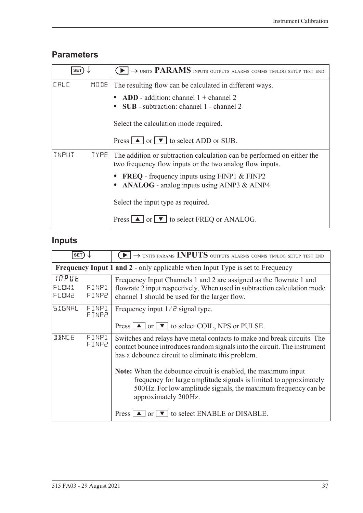### **Parameters**

| <b>SET</b> |             | $\blacktriangleright$ $\rightarrow$ units PARAMS inputs outputs alarms comms tm/log setup test end                                 |
|------------|-------------|------------------------------------------------------------------------------------------------------------------------------------|
| LALL       | MODE        | The resulting flow can be calculated in different ways.                                                                            |
|            |             | ADD - addition: channel $1 +$ channel 2<br><b>SUB</b> - subtraction: channel 1 - channel 2                                         |
|            |             | Select the calculation mode required.                                                                                              |
|            |             | Press $\boxed{\blacktriangle}$ or $\boxed{\blacktriangledown}$ to select ADD or SUB.                                               |
| INPUT      | <b>TYPE</b> | The addition or subtraction calculation can be performed on either the<br>two frequency flow inputs or the two analog flow inputs. |
|            |             | <b>FREQ</b> - frequency inputs using FINP1 & FINP2<br>• ANALOG - analog inputs using AINP3 & AINP4                                 |
|            |             | Select the input type as required.                                                                                                 |
|            |             | Press $\boxed{\blacktriangle}$ or $\boxed{\blacktriangledown}$ to select FREQ or ANALOG.                                           |

# **Inputs**

| SET <sup>'</sup>        |                | $\rightarrow$ UNITS PARAMS INPUTS OUTPUTS ALARMS COMMS TM/LOG SETUP TEST END                                                                                                                                                  |
|-------------------------|----------------|-------------------------------------------------------------------------------------------------------------------------------------------------------------------------------------------------------------------------------|
|                         |                | <b>Frequency Input 1 and 2 - only applicable when Input Type is set to Frequency</b>                                                                                                                                          |
| INPUE<br>FLOWl<br>FLOW2 | FINP1<br>FINP2 | Frequency Input Channels 1 and 2 are assigned as the flowrate 1 and<br>flowrate 2 input respectively. When used in subtraction calculation mode<br>channel 1 should be used for the larger flow.                              |
| SIGNAL                  | FINPl<br>FINP2 | Frequency input $1/\bar{c}$ signal type.<br>Press $\Box$ or $\nabla$ to select COIL, NPS or PULSE.                                                                                                                            |
| <b>JANCE</b>            | FINP1<br>FINP2 | Switches and relays have metal contacts to make and break circuits. The<br>contact bounce introduces random signals into the circuit. The instrument<br>has a debounce circuit to eliminate this problem.                     |
|                         |                | Note: When the debounce circuit is enabled, the maximum input<br>frequency for large amplitude signals is limited to approximately<br>500 Hz. For low amplitude signals, the maximum frequency can be<br>approximately 200Hz. |
|                         |                | Press $\Box$ or $\nabla$ to select ENABLE or DISABLE.                                                                                                                                                                         |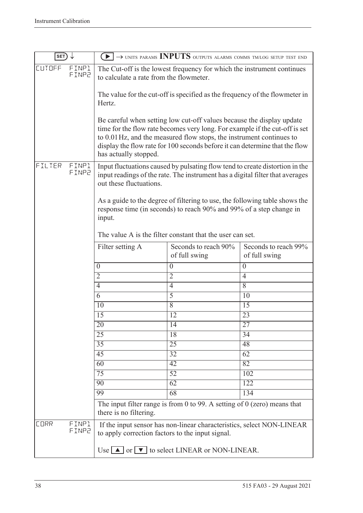| SET)          |                |                                                                                                                   | $\blacktriangleright$ $\rightarrow$ units params <b>INPUTS</b> outputs alarms comms tm/log setup test end                                                                                                                                                                                                   |                                       |
|---------------|----------------|-------------------------------------------------------------------------------------------------------------------|-------------------------------------------------------------------------------------------------------------------------------------------------------------------------------------------------------------------------------------------------------------------------------------------------------------|---------------------------------------|
| <b>CUTOFF</b> | FINP1<br>FINP2 | The Cut-off is the lowest frequency for which the instrument continues<br>to calculate a rate from the flowmeter. |                                                                                                                                                                                                                                                                                                             |                                       |
|               |                | Hertz.                                                                                                            | The value for the cut-off is specified as the frequency of the flowmeter in                                                                                                                                                                                                                                 |                                       |
|               |                | has actually stopped.                                                                                             | Be careful when setting low cut-off values because the display update<br>time for the flow rate becomes very long. For example if the cut-off is set<br>to 0.01 Hz, and the measured flow stops, the instrument continues to<br>display the flow rate for 100 seconds before it can determine that the flow |                                       |
| FILTER        | FINP1<br>FINP2 | out these fluctuations.                                                                                           | Input fluctuations caused by pulsating flow tend to create distortion in the<br>input readings of the rate. The instrument has a digital filter that averages                                                                                                                                               |                                       |
|               |                | input.                                                                                                            | As a guide to the degree of filtering to use, the following table shows the<br>response time (in seconds) to reach 90% and 99% of a step change in                                                                                                                                                          |                                       |
|               |                |                                                                                                                   | The value A is the filter constant that the user can set.                                                                                                                                                                                                                                                   |                                       |
|               |                | Filter setting A                                                                                                  | Seconds to reach 90%<br>of full swing                                                                                                                                                                                                                                                                       | Seconds to reach 99%<br>of full swing |
|               |                | $\boldsymbol{0}$                                                                                                  | $\boldsymbol{0}$                                                                                                                                                                                                                                                                                            | $\boldsymbol{0}$                      |
|               |                | $\overline{2}$                                                                                                    | $\overline{2}$                                                                                                                                                                                                                                                                                              | $\overline{4}$                        |
|               |                | 4                                                                                                                 | $\overline{4}$                                                                                                                                                                                                                                                                                              | 8                                     |
|               |                | 6                                                                                                                 | $\overline{5}$                                                                                                                                                                                                                                                                                              | 10                                    |
|               |                | 10                                                                                                                | $\overline{8}$                                                                                                                                                                                                                                                                                              | 15                                    |
|               |                | 15                                                                                                                | 12                                                                                                                                                                                                                                                                                                          | 23                                    |
|               |                | 20                                                                                                                | 14                                                                                                                                                                                                                                                                                                          | 27                                    |
|               |                | $\overline{25}$                                                                                                   | 18                                                                                                                                                                                                                                                                                                          | 34                                    |
|               |                | 35                                                                                                                | $\overline{25}$                                                                                                                                                                                                                                                                                             | 48                                    |
|               |                | $\overline{45}$                                                                                                   | 32                                                                                                                                                                                                                                                                                                          | 62                                    |
|               |                | $\overline{60}$                                                                                                   | $\overline{42}$                                                                                                                                                                                                                                                                                             | 82                                    |
|               |                | $\overline{75}$                                                                                                   | $\overline{52}$                                                                                                                                                                                                                                                                                             | 102                                   |
|               |                | 90                                                                                                                | 62                                                                                                                                                                                                                                                                                                          | 122                                   |
|               |                | 99                                                                                                                | $\overline{68}$                                                                                                                                                                                                                                                                                             | 134                                   |
|               |                | there is no filtering.                                                                                            | The input filter range is from 0 to 99. A setting of $0$ (zero) means that                                                                                                                                                                                                                                  |                                       |
| <b>CORR</b>   | FINP1<br>FINP2 | to apply correction factors to the input signal.                                                                  | If the input sensor has non-linear characteristics, select NON-LINEAR                                                                                                                                                                                                                                       |                                       |
|               |                |                                                                                                                   | Use $\Box$ or $\Box$ to select LINEAR or NON-LINEAR.                                                                                                                                                                                                                                                        |                                       |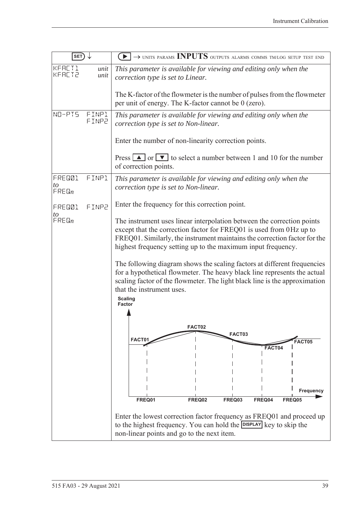| $SET) \downarrow$           |                | $\rightarrow$ UNITS PARAMS INPUTS OUTPUTS ALARMS COMMS TM/LOG SETUP TEST END                                                                                                                                                                                                                       |  |
|-----------------------------|----------------|----------------------------------------------------------------------------------------------------------------------------------------------------------------------------------------------------------------------------------------------------------------------------------------------------|--|
| KFACT1<br><b>KFACT2</b>     | unit<br>unit   | This parameter is available for viewing and editing only when the<br>correction type is set to Linear.                                                                                                                                                                                             |  |
|                             |                | The K-factor of the flowmeter is the number of pulses from the flowmeter<br>per unit of energy. The K-factor cannot be 0 (zero).                                                                                                                                                                   |  |
| NO-PIS                      | FINP1<br>FINP2 | This parameter is available for viewing and editing only when the<br>correction type is set to Non-linear.                                                                                                                                                                                         |  |
|                             |                | Enter the number of non-linearity correction points.                                                                                                                                                                                                                                               |  |
|                             |                | Press $\boxed{\blacktriangle}$ or $\boxed{\blacktriangledown}$ to select a number between 1 and 10 for the number<br>of correction points.                                                                                                                                                         |  |
| FRED01<br>to<br>$F$ REQ $n$ | FINP1          | This parameter is available for viewing and editing only when the<br>correction type is set to Non-linear.                                                                                                                                                                                         |  |
| FRED01                      | FINP2          | Enter the frequency for this correction point.                                                                                                                                                                                                                                                     |  |
| to<br>$F$ RE $\mathbb{G}_n$ |                | The instrument uses linear interpolation between the correction points<br>except that the correction factor for FREQ01 is used from 0Hz up to<br>FREQ01. Similarly, the instrument maintains the correction factor for the<br>highest frequency setting up to the maximum input frequency.         |  |
|                             |                | The following diagram shows the scaling factors at different frequencies<br>for a hypothetical flowmeter. The heavy black line represents the actual<br>scaling factor of the flowmeter. The light black line is the approximation<br>that the instrument uses.<br><b>Scaling</b><br><b>Factor</b> |  |
|                             |                |                                                                                                                                                                                                                                                                                                    |  |
|                             |                | FACT02<br>FACT03                                                                                                                                                                                                                                                                                   |  |
|                             |                | FACT01<br>FACT05<br>FACT04                                                                                                                                                                                                                                                                         |  |
|                             |                |                                                                                                                                                                                                                                                                                                    |  |
|                             |                |                                                                                                                                                                                                                                                                                                    |  |
|                             |                | Frequency<br>FREQ01<br>FREQ02<br>FREQ03<br>FREQ04<br>FREQ05                                                                                                                                                                                                                                        |  |
|                             |                | Enter the lowest correction factor frequency as FREQ01 and proceed up<br>to the highest frequency. You can hold the DISPLAY key to skip the<br>non-linear points and go to the next item.                                                                                                          |  |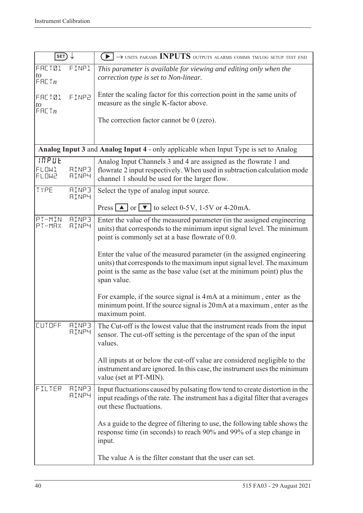| SET                              |                              | $\left\lceil\blacktriangleright\right\rceil\to$ units params INPUTS outputs alarms comms tmlog setup test end                                                                                                                              |
|----------------------------------|------------------------------|--------------------------------------------------------------------------------------------------------------------------------------------------------------------------------------------------------------------------------------------|
| <b>FACT01</b><br>to<br>F H C T n | FIMP1                        | This parameter is available for viewing and editing only when the<br>correction type is set to Non-linear.                                                                                                                                 |
| FACT01<br>to<br>F H L T n        | FINP2                        | Enter the scaling factor for this correction point in the same units of<br>measure as the single K-factor above.                                                                                                                           |
|                                  |                              | The correction factor cannot be $0$ (zero).                                                                                                                                                                                                |
|                                  |                              | Analog Input 3 and Analog Input 4 - only applicable when Input Type is set to Analog                                                                                                                                                       |
| INPUE<br>FLOW1<br><b>FLOW2</b>   | <b>AINP3</b><br><b>AINP4</b> | Analog Input Channels 3 and 4 are assigned as the flowrate 1 and<br>flowrate 2 input respectively. When used in subtraction calculation mode<br>channel 1 should be used for the larger flow.                                              |
| TYPE                             | <b>AINP3</b><br><b>AINP4</b> | Select the type of analog input source.                                                                                                                                                                                                    |
|                                  |                              | Press $\boxed{\triangle}$ or $\boxed{\triangledown}$ to select 0-5V, 1-5V or 4-20mA.                                                                                                                                                       |
| PT-MIN<br>PT-MAX                 | <b>AINP3</b><br><b>AINP4</b> | Enter the value of the measured parameter (in the assigned engineering<br>units) that corresponds to the minimum input signal level. The minimum<br>point is commonly set at a base flowrate of 0.0.                                       |
|                                  |                              | Enter the value of the measured parameter (in the assigned engineering<br>units) that corresponds to the maximum input signal level. The maximum<br>point is the same as the base value (set at the minimum point) plus the<br>span value. |
|                                  |                              | For example, if the source signal is 4mA at a minimum, enter as the<br>minimum point. If the source signal is 20mA at a maximum, enter as the<br>maximum point.                                                                            |
| CUIDEE                           | <b>AINP3</b><br><b>AINP4</b> | The Cut-off is the lowest value that the instrument reads from the input<br>sensor. The cut-off setting is the percentage of the span of the input<br>values.                                                                              |
|                                  |                              | All inputs at or below the cut-off value are considered negligible to the<br>instrument and are ignored. In this case, the instrument uses the minimum<br>value (set at PT-MIN).                                                           |
| FILTER                           | <b>AINP3</b><br><b>AINP4</b> | Input fluctuations caused by pulsating flow tend to create distortion in the<br>input readings of the rate. The instrument has a digital filter that averages<br>out these fluctuations.                                                   |
|                                  |                              | As a guide to the degree of filtering to use, the following table shows the<br>response time (in seconds) to reach 90% and 99% of a step change in<br>input.                                                                               |
|                                  |                              | The value A is the filter constant that the user can set.                                                                                                                                                                                  |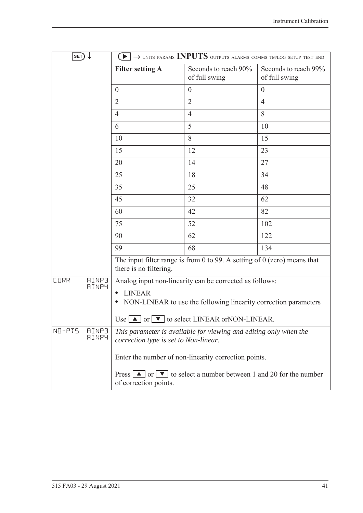| $\ket{\texttt{SET}} \downarrow$             |                                       | $\blacktriangleright$ $\rightarrow$ units params INPUTS outputs alarms comms tm/log setup test end                |                                       |
|---------------------------------------------|---------------------------------------|-------------------------------------------------------------------------------------------------------------------|---------------------------------------|
|                                             | <b>Filter setting A</b>               | Seconds to reach 90%<br>of full swing                                                                             | Seconds to reach 99%<br>of full swing |
|                                             | $\overline{0}$                        | $\theta$                                                                                                          | $\theta$                              |
|                                             | $\overline{2}$                        | $\overline{2}$                                                                                                    | $\overline{4}$                        |
|                                             | 4                                     | $\overline{4}$                                                                                                    | 8                                     |
|                                             | 6                                     | 5                                                                                                                 | 10                                    |
|                                             | 10                                    | 8                                                                                                                 | 15                                    |
|                                             | 15                                    | 12                                                                                                                | 23                                    |
|                                             | 20                                    | 14                                                                                                                | 27                                    |
|                                             | 25                                    | 18                                                                                                                | 34                                    |
|                                             | 35                                    | 25                                                                                                                | 48                                    |
|                                             | 45                                    | 32                                                                                                                | 62                                    |
|                                             | 60                                    | 42                                                                                                                | 82                                    |
|                                             | 75                                    | 52                                                                                                                | 102                                   |
|                                             | 90                                    | 62                                                                                                                | 122                                   |
|                                             | 99                                    | 68                                                                                                                | 134                                   |
|                                             | there is no filtering.                | The input filter range is from 0 to 99. A setting of $0$ (zero) means that                                        |                                       |
| <b>AINP3</b><br><b>CORR</b><br><b>AINP4</b> |                                       | Analog input non-linearity can be corrected as follows:                                                           |                                       |
|                                             | <b>LINEAR</b>                         |                                                                                                                   |                                       |
|                                             |                                       | NON-LINEAR to use the following linearity correction parameters                                                   |                                       |
|                                             |                                       | Use $\Box$ or $\nabla$ to select LINEAR or NON-LINEAR.                                                            |                                       |
| NO-PIS<br><b>AINP3</b><br><b>AINP4</b>      | correction type is set to Non-linear. | This parameter is available for viewing and editing only when the                                                 |                                       |
|                                             |                                       | Enter the number of non-linearity correction points.                                                              |                                       |
|                                             | of correction points.                 | Press $\boxed{\blacktriangle}$ or $\boxed{\blacktriangledown}$ to select a number between 1 and 20 for the number |                                       |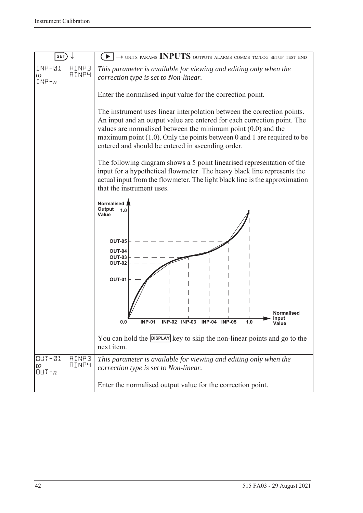| <b>SET</b>                                                    | $\rightarrow$ units params INPUTS outputs alarms comms tm/log setup test end                                                                                                                                                                                                                                                                             |  |  |
|---------------------------------------------------------------|----------------------------------------------------------------------------------------------------------------------------------------------------------------------------------------------------------------------------------------------------------------------------------------------------------------------------------------------------------|--|--|
| INP-01<br><b>AINP3</b><br>AINP4<br>to<br>$INP - n$            | This parameter is available for viewing and editing only when the<br>correction type is set to Non-linear.                                                                                                                                                                                                                                               |  |  |
|                                                               | Enter the normalised input value for the correction point.                                                                                                                                                                                                                                                                                               |  |  |
|                                                               | The instrument uses linear interpolation between the correction points.<br>An input and an output value are entered for each correction point. The<br>values are normalised between the minimum point $(0.0)$ and the<br>maximum point $(1.0)$ . Only the points between 0 and 1 are required to be<br>entered and should be entered in ascending order. |  |  |
|                                                               | The following diagram shows a 5 point linearised representation of the<br>input for a hypothetical flowmeter. The heavy black line represents the<br>actual input from the flowmeter. The light black line is the approximation<br>that the instrument uses.                                                                                             |  |  |
|                                                               | Normalised<br>Output<br>1.0<br>Value                                                                                                                                                                                                                                                                                                                     |  |  |
|                                                               | <b>OUT-05</b><br>OUT-04<br><b>OUT-03</b><br><b>OUT-02</b>                                                                                                                                                                                                                                                                                                |  |  |
|                                                               | <b>OUT-01</b>                                                                                                                                                                                                                                                                                                                                            |  |  |
|                                                               | <b>Normalised</b><br>Input<br><b>INP-01</b><br><b>INP-02 INP-03</b><br>$INP-04$<br><b>INP-05</b><br>1.0<br>0.0                                                                                                                                                                                                                                           |  |  |
|                                                               | You can hold the DISPLAY key to skip the non-linear points and go to the<br>next item.                                                                                                                                                                                                                                                                   |  |  |
| $UUT - QL$<br><b>AINP3</b><br><b>AINP4</b><br>to<br>$QUT - n$ | This parameter is available for viewing and editing only when the<br>correction type is set to Non-linear.                                                                                                                                                                                                                                               |  |  |
|                                                               | Enter the normalised output value for the correction point.                                                                                                                                                                                                                                                                                              |  |  |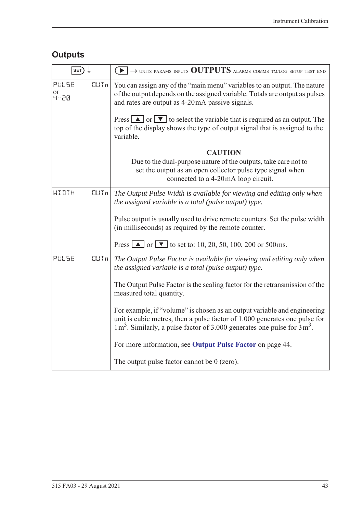# **Outputs**

| $\overline{\ket{\texttt{SET}}} \downarrow$ |                 | $\left(\blacktriangleright\right)\rightarrow$ units params inputs $\text{OUTPUTS}$ alarms comms tm/log setup test end                                                                                                                  |
|--------------------------------------------|-----------------|----------------------------------------------------------------------------------------------------------------------------------------------------------------------------------------------------------------------------------------|
| PULSE<br>or<br>4-20                        | [[]]            | You can assign any of the "main menu" variables to an output. The nature<br>of the output depends on the assigned variable. Totals are output as pulses<br>and rates are output as 4-20mA passive signals.                             |
|                                            |                 | Press $\Delta$ or $\nabla$ to select the variable that is required as an output. The<br>top of the display shows the type of output signal that is assigned to the<br>variable.                                                        |
|                                            |                 | <b>CAUTION</b>                                                                                                                                                                                                                         |
|                                            |                 | Due to the dual-purpose nature of the outputs, take care not to<br>set the output as an open collector pulse type signal when<br>connected to a 4-20mA loop circuit.                                                                   |
| WIDTH                                      | $\Box \Box T_n$ | The Output Pulse Width is available for viewing and editing only when<br>the assigned variable is a total (pulse output) type.                                                                                                         |
|                                            |                 | Pulse output is usually used to drive remote counters. Set the pulse width<br>(in milliseconds) as required by the remote counter.                                                                                                     |
|                                            |                 | Press $\blacksquare$ or $\blacksquare$ to set to: 10, 20, 50, 100, 200 or 500 ms.                                                                                                                                                      |
| PULSE                                      | QUTn            | The Output Pulse Factor is available for viewing and editing only when<br>the assigned variable is a total (pulse output) type.                                                                                                        |
|                                            |                 | The Output Pulse Factor is the scaling factor for the retransmission of the<br>measured total quantity.                                                                                                                                |
|                                            |                 | For example, if "volume" is chosen as an output variable and engineering<br>unit is cubic metres, then a pulse factor of 1.000 generates one pulse for<br>$1 m3$ . Similarly, a pulse factor of 3.000 generates one pulse for $3 m3$ . |
|                                            |                 | For more information, see Output Pulse Factor on page 44.                                                                                                                                                                              |
|                                            |                 | The output pulse factor cannot be $0$ (zero).                                                                                                                                                                                          |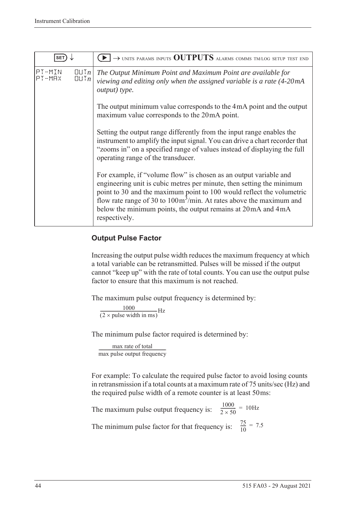| <b>SET</b>       |                                  | $\rightarrow$ units params inputs OUTPUTS alarms comms tmlog setup test end                                                                                                                                                                                                                                                                                                                     |
|------------------|----------------------------------|-------------------------------------------------------------------------------------------------------------------------------------------------------------------------------------------------------------------------------------------------------------------------------------------------------------------------------------------------------------------------------------------------|
| PT-MIN<br>PT-MAX | $\Box \Box Tn$<br>$\Box \Box Tn$ | The Output Minimum Point and Maximum Point are available for<br>viewing and editing only when the assigned variable is a rate (4-20mA<br>output) type.                                                                                                                                                                                                                                          |
|                  |                                  | The output minimum value corresponds to the 4mA point and the output<br>maximum value corresponds to the 20mA point.                                                                                                                                                                                                                                                                            |
|                  |                                  | Setting the output range differently from the input range enables the<br>instrument to amplify the input signal. You can drive a chart recorder that<br>"zooms in" on a specified range of values instead of displaying the full<br>operating range of the transducer.                                                                                                                          |
|                  |                                  | For example, if "volume flow" is chosen as an output variable and<br>engineering unit is cubic metres per minute, then setting the minimum<br>point to 30 and the maximum point to 100 would reflect the volumetric<br>flow rate range of 30 to $100 \text{m}^3/\text{min}$ . At rates above the maximum and<br>below the minimum points, the output remains at 20 mA and 4 mA<br>respectively. |

#### <span id="page-53-0"></span>**Output Pulse Factor**

Increasing the output pulse width reduces the maximum frequency at which a total variable can be retransmitted. Pulses will be missed if the output cannot "keep up" with the rate of total counts. You can use the output pulse factor to ensure that this maximum is not reached.

The maximum pulse output frequency is determined by:

 $\frac{1000}{(2 \times \text{pulse width in ms})} \text{Hz}$ 

The minimum pulse factor required is determined by:

max rate of total max rate of total<br>max pulse output frequency

For example: To calculate the required pulse factor to avoid losing counts in retransmission if a total counts at a maximum rate of 75 units/sec (Hz) and the required pulse width of a remote counter is at least 50ms:

The maximum pulse output frequency is:  $\frac{1000}{2 \times 50}$  = 10Hz The minimum pulse factor for that frequency is:  $\frac{75}{10}$  $\frac{75}{10}$  = 7.5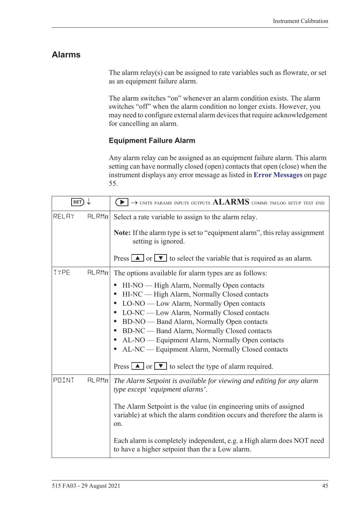### **Alarms**

The alarm relay(s) can be assigned to rate variables such as flowrate, or set as an equipment failure alarm.

The alarm switches "on" whenever an alarm condition exists. The alarm switches "off" when the alarm condition no longer exists. However, you may need to configure external alarm devices that require acknowledgement for cancelling an alarm.

#### **Equipment Failure Alarm**

Any alarm relay can be assigned as an equipment failure alarm. This alarm setting can have normally closed (open) contacts that open (close) when the instrument displays any error message as listed in **[Error Messages](#page-64-0)** on page [55.](#page-64-0)

| SET)  |       | $\rightarrow$ units params inputs outputs $ALARMS$ comms tm/log setup test end                                                                                                                                                                                                                                                                                                                                                                                                                                                                                                                                                              |
|-------|-------|---------------------------------------------------------------------------------------------------------------------------------------------------------------------------------------------------------------------------------------------------------------------------------------------------------------------------------------------------------------------------------------------------------------------------------------------------------------------------------------------------------------------------------------------------------------------------------------------------------------------------------------------|
| RELAY | FLRMn | Select a rate variable to assign to the alarm relay.<br>Note: If the alarm type is set to "equipment alarm", this relay assignment<br>setting is ignored.                                                                                                                                                                                                                                                                                                                                                                                                                                                                                   |
|       |       | Press $\boxed{\blacktriangle}$ or $\boxed{\blacktriangledown}$ to select the variable that is required as an alarm.                                                                                                                                                                                                                                                                                                                                                                                                                                                                                                                         |
| TYPE  | HLRMn | The options available for alarm types are as follows:<br>HI-NO — High Alarm, Normally Open contacts<br>$\bullet$<br>HI-NC — High Alarm, Normally Closed contacts<br>LO-NO — Low Alarm, Normally Open contacts<br>$\bullet$<br>LO-NC — Low Alarm, Normally Closed contacts<br>$\bullet$<br>BD-NO — Band Alarm, Normally Open contacts<br>$\bullet$<br>BD-NC — Band Alarm, Normally Closed contacts<br>$\bullet$<br>AL-NO — Equipment Alarm, Normally Open contacts<br>$\bullet$<br>AL-NC — Equipment Alarm, Normally Closed contacts<br>Press $\boxed{\blacktriangle}$ or $\boxed{\blacktriangledown}$ to select the type of alarm required. |
| POINT | HLRMn | The Alarm Setpoint is available for viewing and editing for any alarm<br>type except 'equipment alarms'.<br>The Alarm Setpoint is the value (in engineering units of assigned<br>variable) at which the alarm condition occurs and therefore the alarm is<br>on.<br>Each alarm is completely independent, e.g. a High alarm does NOT need<br>to have a higher setpoint than the a Low alarm.                                                                                                                                                                                                                                                |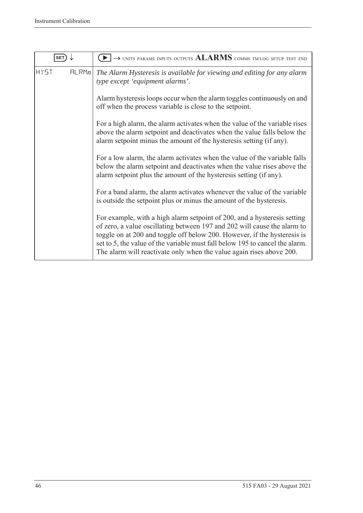| SET                  | $\rightarrow$ units params inputs outputs $ALARNING$ comms tm/log setup test end                                                                                                                                                                                                                                                                                                         |
|----------------------|------------------------------------------------------------------------------------------------------------------------------------------------------------------------------------------------------------------------------------------------------------------------------------------------------------------------------------------------------------------------------------------|
| <b>HY5T</b><br>FLRMn | The Alarm Hysteresis is available for viewing and editing for any alarm<br>type except 'equipment alarms'.                                                                                                                                                                                                                                                                               |
|                      | Alarm hysteresis loops occur when the alarm toggles continuously on and<br>off when the process variable is close to the setpoint.                                                                                                                                                                                                                                                       |
|                      | For a high alarm, the alarm activates when the value of the variable rises<br>above the alarm setpoint and deactivates when the value falls below the<br>alarm setpoint minus the amount of the hysteresis setting (if any).                                                                                                                                                             |
|                      | For a low alarm, the alarm activates when the value of the variable falls<br>below the alarm setpoint and deactivates when the value rises above the<br>alarm setpoint plus the amount of the hysteresis setting (if any).                                                                                                                                                               |
|                      | For a band alarm, the alarm activates whenever the value of the variable<br>is outside the setpoint plus or minus the amount of the hysteresis.                                                                                                                                                                                                                                          |
|                      | For example, with a high alarm setpoint of 200, and a hysteresis setting<br>of zero, a value oscillating between 197 and 202 will cause the alarm to<br>toggle on at 200 and toggle off below 200. However, if the hysteresis is<br>set to 5, the value of the variable must fall below 195 to cancel the alarm.<br>The alarm will reactivate only when the value again rises above 200. |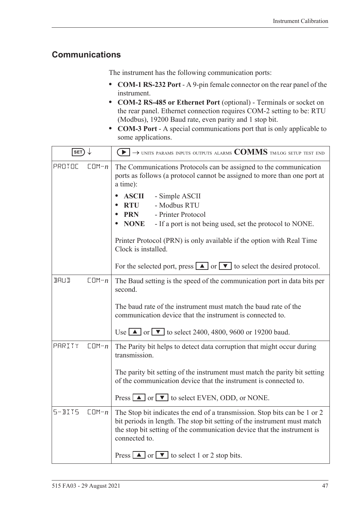### <span id="page-56-0"></span>**Communications**

The instrument has the following communication ports:

- **• COM-1 RS-232 Port** A 9-pin female connector on the rear panel of the instrument.
- **• COM-2 RS-485 or Ethernet Port** (optional) Terminals or socket on the rear panel. Ethernet connection requires COM-2 setting to be: RTU (Modbus), 19200 Baud rate, even parity and 1 stop bit.
- **• COM-3 Port** A special communications port that is only applicable to some applications.

| SET)        |           | $\textcolor{blue}{\blacktriangleright} \rightarrow$ units params inputs outputs alarms $\textcolor{blue}{\mathbf{COMMS}}$ tmlog setup test end                                                                                                    |  |  |  |  |
|-------------|-----------|---------------------------------------------------------------------------------------------------------------------------------------------------------------------------------------------------------------------------------------------------|--|--|--|--|
| PROTOC      | $CDM - n$ | The Communications Protocols can be assigned to the communication<br>ports as follows (a protocol cannot be assigned to more than one port at<br>a time):                                                                                         |  |  |  |  |
|             |           | <b>ASCII</b><br>- Simple ASCII<br>- Modbus RTU<br><b>RTU</b>                                                                                                                                                                                      |  |  |  |  |
|             |           | - Printer Protocol<br><b>PRN</b>                                                                                                                                                                                                                  |  |  |  |  |
|             |           | <b>NONE</b><br>- If a port is not being used, set the protocol to NONE.                                                                                                                                                                           |  |  |  |  |
|             |           | Printer Protocol (PRN) is only available if the option with Real Time<br>Clock is installed.                                                                                                                                                      |  |  |  |  |
|             |           | For the selected port, press $\boxed{\blacktriangle}$ or $\boxed{\blacktriangledown}$ to select the desired protocol.                                                                                                                             |  |  |  |  |
| <b>BRUD</b> | $CDM - n$ | The Baud setting is the speed of the communication port in data bits per<br>second.                                                                                                                                                               |  |  |  |  |
|             |           | The baud rate of the instrument must match the baud rate of the<br>communication device that the instrument is connected to.                                                                                                                      |  |  |  |  |
|             |           | Use $\blacksquare$ or $\blacksquare$ to select 2400, 4800, 9600 or 19200 baud.                                                                                                                                                                    |  |  |  |  |
| PARITY      | $CDM - n$ | The Parity bit helps to detect data corruption that might occur during<br>transmission.                                                                                                                                                           |  |  |  |  |
|             |           | The parity bit setting of the instrument must match the parity bit setting<br>of the communication device that the instrument is connected to.                                                                                                    |  |  |  |  |
|             |           | Press $\Box$ or $\nabla$ to select EVEN, ODD, or NONE.                                                                                                                                                                                            |  |  |  |  |
| $5 - B115$  | $CDM - n$ | The Stop bit indicates the end of a transmission. Stop bits can be 1 or 2<br>bit periods in length. The stop bit setting of the instrument must match<br>the stop bit setting of the communication device that the instrument is<br>connected to. |  |  |  |  |
|             |           | Press $\boxed{\blacktriangle}$ or $\boxed{\blacktriangledown}$ to select 1 or 2 stop bits.                                                                                                                                                        |  |  |  |  |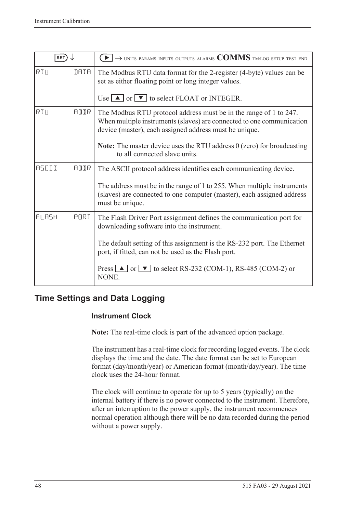| SET)         |             | $\rightarrow$ units params inputs outputs alarms $\text{COMMS}$ tm/log setup test end                                                                                                                |
|--------------|-------------|------------------------------------------------------------------------------------------------------------------------------------------------------------------------------------------------------|
| RTU          | <b>IRTR</b> | The Modbus RTU data format for the 2-register (4-byte) values can be<br>set as either floating point or long integer values.                                                                         |
|              |             | Use $\Box$ or $\nabla$ to select FLOAT or INTEGER.                                                                                                                                                   |
| RTU          | <b>AIIR</b> | The Modbus RTU protocol address must be in the range of 1 to 247.<br>When multiple instruments (slaves) are connected to one communication<br>device (master), each assigned address must be unique. |
|              |             | <b>Note:</b> The master device uses the RTU address $0$ (zero) for broadcasting<br>to all connected slave units.                                                                                     |
| <b>RSCII</b> | AIIR        | The ASCII protocol address identifies each communicating device.                                                                                                                                     |
|              |             | The address must be in the range of 1 to 255. When multiple instruments<br>(slaves) are connected to one computer (master), each assigned address<br>must be unique.                                 |
| FLASH        | PORT        | The Flash Driver Port assignment defines the communication port for<br>downloading software into the instrument.                                                                                     |
|              |             | The default setting of this assignment is the RS-232 port. The Ethernet<br>port, if fitted, can not be used as the Flash port.                                                                       |
|              |             | Press $\Box$ or $\nabla$ to select RS-232 (COM-1), RS-485 (COM-2) or<br>NONE.                                                                                                                        |

### **Time Settings and Data Logging**

#### **Instrument Clock**

**Note:** The real-time clock is part of the advanced option package.

The instrument has a real-time clock for recording logged events. The clock displays the time and the date. The date format can be set to European format (day/month/year) or American format (month/day/year). The time clock uses the 24-hour format.

The clock will continue to operate for up to 5 years (typically) on the internal battery if there is no power connected to the instrument. Therefore, after an interruption to the power supply, the instrument recommences normal operation although there will be no data recorded during the period without a power supply.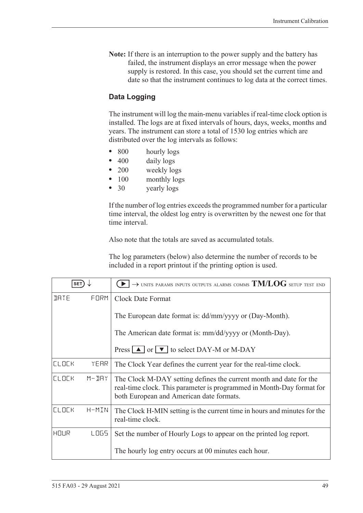**Note:** If there is an interruption to the power supply and the battery has failed, the instrument displays an error message when the power supply is restored. In this case, you should set the current time and date so that the instrument continues to log data at the correct times.

#### **Data Logging**

The instrument will log the main-menu variables if real-time clock option is installed. The logs are at fixed intervals of hours, days, weeks, months and years. The instrument can store a total of 1530 log entries which are distributed over the log intervals as follows:

- 800 hourly logs
- 400 daily logs
- **•** 200 weekly logs
- 100 monthly logs
- **•** 30 yearly logs

If the number of log entries exceeds the programmed number for a particular time interval, the oldest log entry is overwritten by the newest one for that time interval.

Also note that the totals are saved as accumulated totals.

The log parameters (below) also determine the number of records to be included in a report printout if the printing option is used.

| <b>SET</b>   |           | $\rightarrow$ units params inputs outputs alarms comms $\text{TM/LOG}$ setup test end                                                                                                   |  |  |
|--------------|-----------|-----------------------------------------------------------------------------------------------------------------------------------------------------------------------------------------|--|--|
| <b>JRTE</b>  | FORM      | <b>Clock Date Format</b>                                                                                                                                                                |  |  |
|              |           | The European date format is: dd/mm/yyyy or (Day-Month).                                                                                                                                 |  |  |
|              |           | The American date format is: mm/dd/yyyy or (Month-Day).                                                                                                                                 |  |  |
|              |           | Press $\boxed{\blacktriangle}$ or $\boxed{\blacktriangledown}$ to select DAY-M or M-DAY                                                                                                 |  |  |
| <b>CLOCK</b> | YEAR      | The Clock Year defines the current year for the real-time clock.                                                                                                                        |  |  |
| <b>CLOCK</b> | $M - JHY$ | The Clock M-DAY setting defines the current month and date for the<br>real-time clock. This parameter is programmed in Month-Day format for<br>both European and American date formats. |  |  |
| <b>CLOCK</b> | H-MIN     | The Clock H-MIN setting is the current time in hours and minutes for the<br>real-time clock.                                                                                            |  |  |
| HOUR         | LOGS.     | Set the number of Hourly Logs to appear on the printed log report.                                                                                                                      |  |  |
|              |           | The hourly log entry occurs at 00 minutes each hour.                                                                                                                                    |  |  |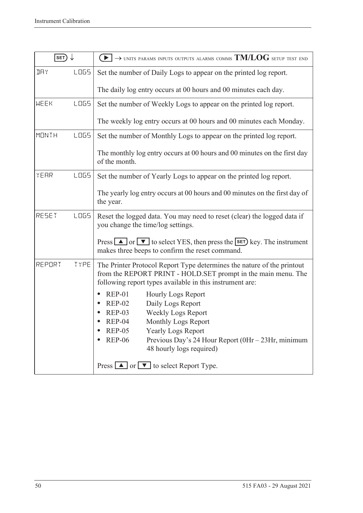| SET)         |             | $\rightarrow$ units params inputs outputs alarms comms $TM/LOG$ setup test end                                                                                                                                                                                                                                        |  |  |  |
|--------------|-------------|-----------------------------------------------------------------------------------------------------------------------------------------------------------------------------------------------------------------------------------------------------------------------------------------------------------------------|--|--|--|
| <b>IRY</b>   | LOG5        | Set the number of Daily Logs to appear on the printed log report.                                                                                                                                                                                                                                                     |  |  |  |
|              |             | The daily log entry occurs at 00 hours and 00 minutes each day.                                                                                                                                                                                                                                                       |  |  |  |
| MEEK         | <b>LOGS</b> | Set the number of Weekly Logs to appear on the printed log report.                                                                                                                                                                                                                                                    |  |  |  |
|              |             | The weekly log entry occurs at 00 hours and 00 minutes each Monday.                                                                                                                                                                                                                                                   |  |  |  |
| <b>MONTH</b> | LO65        | Set the number of Monthly Logs to appear on the printed log report.                                                                                                                                                                                                                                                   |  |  |  |
|              |             | The monthly log entry occurs at 00 hours and 00 minutes on the first day<br>of the month.                                                                                                                                                                                                                             |  |  |  |
| YEAR         | LO65        | Set the number of Yearly Logs to appear on the printed log report.                                                                                                                                                                                                                                                    |  |  |  |
|              |             | The yearly log entry occurs at 00 hours and 00 minutes on the first day of<br>the year.                                                                                                                                                                                                                               |  |  |  |
| RESET        | <b>LOGS</b> | Reset the logged data. You may need to reset (clear) the logged data if<br>you change the time/log settings.                                                                                                                                                                                                          |  |  |  |
|              |             | Press $\Box$ or $\nabla$ to select YES, then press the <b>SET</b> ) key. The instrument<br>makes three beeps to confirm the reset command.                                                                                                                                                                            |  |  |  |
| REPORT       | TYPE        | The Printer Protocol Report Type determines the nature of the printout<br>from the REPORT PRINT - HOLD.SET prompt in the main menu. The<br>following report types available in this instrument are:                                                                                                                   |  |  |  |
|              |             | <b>REP-01</b><br><b>Hourly Logs Report</b><br>Daily Logs Report<br><b>REP-02</b><br>Weekly Logs Report<br><b>REP-03</b><br>$REP-04$<br>Monthly Logs Report<br><b>REP-05</b><br><b>Yearly Logs Report</b><br><b>REP-06</b><br>Previous Day's 24 Hour Report $(0Hr - 23Hr, \text{minimum})$<br>48 hourly logs required) |  |  |  |
|              |             | Press $\boxed{\blacktriangle}$ or $\boxed{\blacktriangledown}$ to select Report Type.                                                                                                                                                                                                                                 |  |  |  |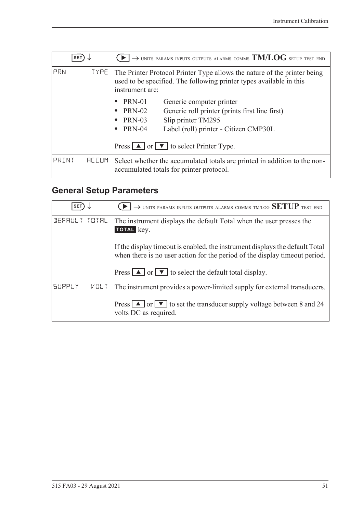| <b>SET</b> |                   | $\rightarrow$ units params inputs outputs alarms comms $\mathrm{TM/LOG}$ setup test end                                                                            |  |  |  |
|------------|-------------------|--------------------------------------------------------------------------------------------------------------------------------------------------------------------|--|--|--|
| PRN        | TYPE <sup>1</sup> | The Printer Protocol Printer Type allows the nature of the printer being<br>used to be specified. The following printer types available in this<br>instrument are: |  |  |  |
|            |                   | <b>PRN-01</b><br>Generic computer printer                                                                                                                          |  |  |  |
|            |                   | <b>PRN-02</b><br>Generic roll printer (prints first line first)                                                                                                    |  |  |  |
|            |                   | Slip printer TM295<br><b>PRN-03</b><br>$\bullet$                                                                                                                   |  |  |  |
|            |                   | <b>PRN-04</b><br>Label (roll) printer - Citizen CMP30L<br>٠                                                                                                        |  |  |  |
|            |                   | Press $\boxed{\blacktriangle}$ or $\boxed{\blacktriangledown}$ to select Printer Type.                                                                             |  |  |  |
| PRINT      | <b>REEUM</b>      | Select whether the accumulated totals are printed in addition to the non-<br>accumulated totals for printer protocol.                                              |  |  |  |

# <span id="page-60-0"></span>**General Setup Parameters**

| <b>SET</b>                   | $\rightarrow$ units params inputs outputs alarms comms tm/log SETUP test end                                                                                 |
|------------------------------|--------------------------------------------------------------------------------------------------------------------------------------------------------------|
| DEFAULT TOTAL                | The instrument displays the default Total when the user presses the<br>TOTAL key.                                                                            |
|                              | If the display time out is enabled, the instrument displays the default Total<br>when there is no user action for the period of the display time out period. |
|                              | Press $\Box$ or $\Box$ to select the default total display.                                                                                                  |
| <b>SUPPLY</b><br><b>VOLT</b> | The instrument provides a power-limited supply for external transducers.                                                                                     |
|                              | Press $\boxed{\blacktriangle}$ or $\boxed{\blacktriangledown}$ to set the transducer supply voltage between 8 and 24<br>volts DC as required.                |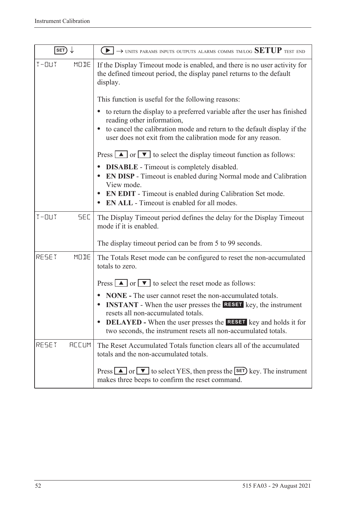| SET)                    | $\rightarrow$ units params inputs outputs alarms comms tm/log SETUP test end                                                                                                         |
|-------------------------|--------------------------------------------------------------------------------------------------------------------------------------------------------------------------------------|
| $T - 11T$<br>MODE       | If the Display Timeout mode is enabled, and there is no user activity for<br>the defined timeout period, the display panel returns to the default<br>display.                        |
|                         | This function is useful for the following reasons:                                                                                                                                   |
|                         | to return the display to a preferred variable after the user has finished<br>$\bullet$<br>reading other information,                                                                 |
|                         | to cancel the calibration mode and return to the default display if the<br>$\bullet$<br>user does not exit from the calibration mode for any reason.                                 |
|                         | Press $\Box$ or $\nabla$ to select the display timeout function as follows:                                                                                                          |
|                         | <b>DISABLE</b> - Timeout is completely disabled.<br>$\bullet$<br><b>EN DISP</b> - Timeout is enabled during Normal mode and Calibration<br>View mode.                                |
|                         | <b>EN EDIT</b> - Timeout is enabled during Calibration Set mode.<br>$\bullet$<br><b>EN ALL</b> - Timeout is enabled for all modes.                                                   |
| $T - 11T$<br><b>SEC</b> | The Display Timeout period defines the delay for the Display Timeout<br>mode if it is enabled.                                                                                       |
|                         | The display timeout period can be from 5 to 99 seconds.                                                                                                                              |
| MODE<br>RESET           | The Totals Reset mode can be configured to reset the non-accumulated<br>totals to zero.                                                                                              |
|                         | Press $\boxed{\blacktriangle}$ or $\boxed{\blacktriangledown}$ to select the reset mode as follows:                                                                                  |
|                         | <b>NONE</b> - The user cannot reset the non-accumulated totals.<br><b>INSTANT</b> - When the user presses the <b>RESET</b> key, the instrument<br>resets all non-accumulated totals. |
|                         | <b>DELAYED</b> - When the user presses the <b>RESET</b> key and holds it for<br>two seconds, the instrument resets all non-accumulated totals.                                       |
| RESET<br><b>REEUM</b>   | The Reset Accumulated Totals function clears all of the accumulated<br>totals and the non-accumulated totals.                                                                        |
|                         | Press $\Box$ or $\nabla$ to select YES, then press the SET key. The instrument<br>makes three beeps to confirm the reset command.                                                    |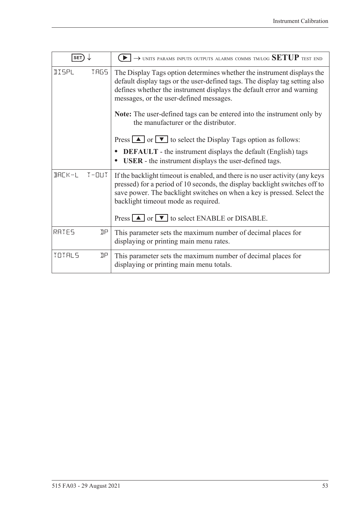| <b>SET</b>   |      | $\rightarrow$ units params inputs outputs alarms comms tm/log SETUP test end                                                                                                                                                                                                                                                                                                                       |
|--------------|------|----------------------------------------------------------------------------------------------------------------------------------------------------------------------------------------------------------------------------------------------------------------------------------------------------------------------------------------------------------------------------------------------------|
| <b>IISPL</b> | TRG5 | The Display Tags option determines whether the instrument displays the<br>default display tags or the user-defined tags. The display tag setting also<br>defines whether the instrument displays the default error and warning<br>messages, or the user-defined messages.<br><b>Note:</b> The user-defined tags can be entered into the instrument only by<br>the manufacturer or the distributor. |
|              |      | Press $\Box$ or $\nabla$ to select the Display Tags option as follows:                                                                                                                                                                                                                                                                                                                             |
|              |      | <b>DEFAULT</b> - the instrument displays the default (English) tags<br><b>USER</b> - the instrument displays the user-defined tags.                                                                                                                                                                                                                                                                |
| BACK-L T-OUT |      | If the backlight timeout is enabled, and there is no user activity (any keys<br>pressed) for a period of 10 seconds, the display backlight switches off to<br>save power. The backlight switches on when a key is pressed. Select the<br>backlight timeout mode as required.<br>Press $\Box$ or $\nabla$ to select ENABLE or DISABLE.                                                              |
|              |      |                                                                                                                                                                                                                                                                                                                                                                                                    |
| RATES        | ηp   | This parameter sets the maximum number of decimal places for<br>displaying or printing main menu rates.                                                                                                                                                                                                                                                                                            |
| TOTALS       | ηp   | This parameter sets the maximum number of decimal places for<br>displaying or printing main menu totals.                                                                                                                                                                                                                                                                                           |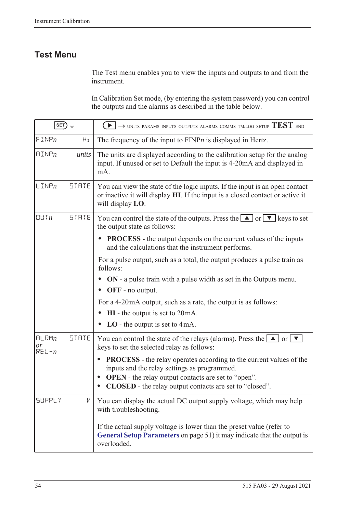### **Test Menu**

The Test menu enables you to view the inputs and outputs to and from the instrument.

In Calibration Set mode, (by entering the system password) you can control the outputs and the alarms as described in the table below.

| SET)                     |              | $\rightarrow$ units params inputs outputs alarms comms tm/log setup $\mathrm{TEST}$ end                                                                                                                                                                                                           |
|--------------------------|--------------|---------------------------------------------------------------------------------------------------------------------------------------------------------------------------------------------------------------------------------------------------------------------------------------------------|
| FINPn                    | Hz           | The frequency of the input to $FINPn$ is displayed in Hertz.                                                                                                                                                                                                                                      |
| $\text{HIMP}_n$          | units        | The units are displayed according to the calibration setup for the analog<br>input. If unused or set to Default the input is 4-20mA and displayed in<br>mA.                                                                                                                                       |
| $L$ INP $n$              | STATE        | You can view the state of the logic inputs. If the input is an open contact<br>or inactive it will display HI. If the input is a closed contact or active it<br>will display LO.                                                                                                                  |
| $Q$ $U$ $T$ $n$          | <b>STRTE</b> | You can control the state of the outputs. Press the $\Box$ or $\neg$ keys to set<br>the output state as follows:                                                                                                                                                                                  |
|                          |              | <b>PROCESS</b> - the output depends on the current values of the inputs<br>and the calculations that the instrument performs.                                                                                                                                                                     |
|                          |              | For a pulse output, such as a total, the output produces a pulse train as<br>follows:                                                                                                                                                                                                             |
|                          |              | ON - a pulse train with a pulse width as set in the Outputs menu.<br>OFF - no output.                                                                                                                                                                                                             |
|                          |              | For a 4-20 mA output, such as a rate, the output is as follows:                                                                                                                                                                                                                                   |
|                          |              | $HI$ - the output is set to $20mA$ .                                                                                                                                                                                                                                                              |
|                          |              | $LO$ - the output is set to 4mA.                                                                                                                                                                                                                                                                  |
| HLRMn<br>or<br>$REL - n$ | <b>STATE</b> | You can control the state of the relays (alarms). Press the $\Box$ or $\nabla$<br>keys to set the selected relay as follows:                                                                                                                                                                      |
|                          |              | <b>PROCESS</b> - the relay operates according to the current values of the<br>$\bullet$<br>inputs and the relay settings as programmed.<br><b>OPEN</b> - the relay output contacts are set to "open".<br>$\bullet$<br><b>CLOSED</b> - the relay output contacts are set to "closed".<br>$\bullet$ |
| <b>SUPPLY</b>            | V            | You can display the actual DC output supply voltage, which may help<br>with troubleshooting.                                                                                                                                                                                                      |
|                          |              | If the actual supply voltage is lower than the preset value (refer to<br>General Setup Parameters on page 51) it may indicate that the output is<br>overloaded.                                                                                                                                   |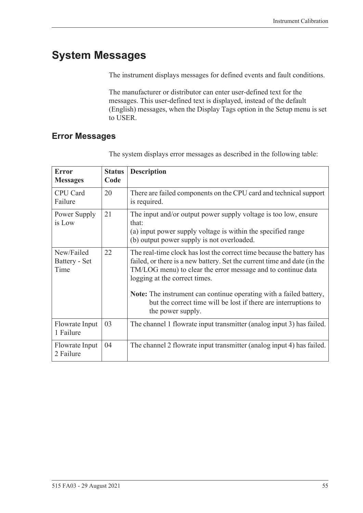# **System Messages**

The instrument displays messages for defined events and fault conditions.

The manufacturer or distributor can enter user-defined text for the messages. This user-defined text is displayed, instead of the default (English) messages, when the Display Tags option in the Setup menu is set to USER.

### <span id="page-64-0"></span>**Error Messages**

| <b>Error</b><br><b>Messages</b>     | <b>Status</b><br>Code | <b>Description</b>                                                                                                                                                                                                                                 |
|-------------------------------------|-----------------------|----------------------------------------------------------------------------------------------------------------------------------------------------------------------------------------------------------------------------------------------------|
| CPU Card<br>Failure                 | 20                    | There are failed components on the CPU card and technical support<br>is required.                                                                                                                                                                  |
| Power Supply<br>is Low              | 21                    | The input and/or output power supply voltage is too low, ensure<br>that:<br>(a) input power supply voltage is within the specified range<br>(b) output power supply is not overloaded.                                                             |
| New/Failed<br>Battery - Set<br>Time | 22                    | The real-time clock has lost the correct time because the battery has<br>failed, or there is a new battery. Set the current time and date (in the<br>TM/LOG menu) to clear the error message and to continue data<br>logging at the correct times. |
|                                     |                       | Note: The instrument can continue operating with a failed battery,<br>but the correct time will be lost if there are interruptions to<br>the power supply.                                                                                         |
| Flowrate Input<br>1 Failure         | 03                    | The channel 1 flowrate input transmitter (analog input 3) has failed.                                                                                                                                                                              |
| Flowrate Input<br>2 Failure         | 04                    | The channel 2 flowrate input transmitter (analog input 4) has failed.                                                                                                                                                                              |

The system displays error messages as described in the following table: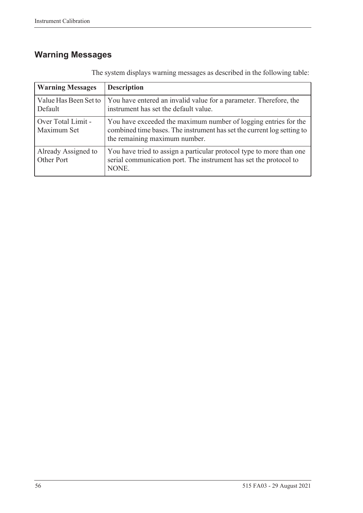# **Warning Messages**

| <b>Warning Messages</b>           | <b>Description</b>                                                                                                                                                         |  |  |  |  |  |  |  |  |  |
|-----------------------------------|----------------------------------------------------------------------------------------------------------------------------------------------------------------------------|--|--|--|--|--|--|--|--|--|
| Value Has Been Set to<br>Default  | You have entered an invalid value for a parameter. Therefore, the<br>instrument has set the default value.                                                                 |  |  |  |  |  |  |  |  |  |
| Over Total Limit -<br>Maximum Set | You have exceeded the maximum number of logging entries for the<br>combined time bases. The instrument has set the current log setting to<br>the remaining maximum number. |  |  |  |  |  |  |  |  |  |
| Already Assigned to<br>Other Port | You have tried to assign a particular protocol type to more than one<br>serial communication port. The instrument has set the protocol to<br>NONE.                         |  |  |  |  |  |  |  |  |  |

The system displays warning messages as described in the following table: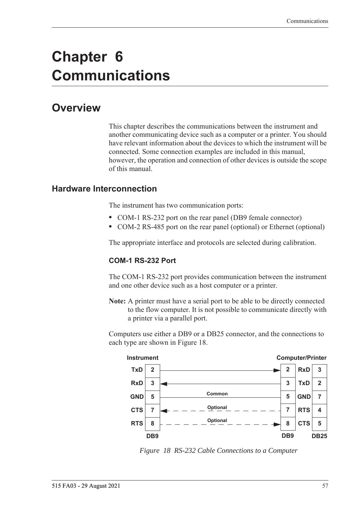# **Chapter 6 Communications**

# **Overview**

This chapter describes the communications between the instrument and another communicating device such as a computer or a printer. You should have relevant information about the devices to which the instrument will be connected. Some connection examples are included in this manual, however, the operation and connection of other devices is outside the scope of this manual.

#### **Hardware Interconnection**

The instrument has two communication ports:

- **•** COM-1 RS-232 port on the rear panel (DB9 female connector)
- **•** COM-2 RS-485 port on the rear panel (optional) or Ethernet (optional)

The appropriate interface and protocols are selected during calibration.

#### **COM-1 RS-232 Port**

The COM-1 RS-232 port provides communication between the instrument and one other device such as a host computer or a printer.

**Note:** A printer must have a serial port to be able to be directly connected to the flow computer. It is not possible to communicate directly with a printer via a parallel port.

Computers use either a DB9 or a DB25 connector, and the connections to each type are shown in [Figure 18.](#page-66-0)



<span id="page-66-0"></span>*Figure 18 RS-232 Cable Connections to a Computer*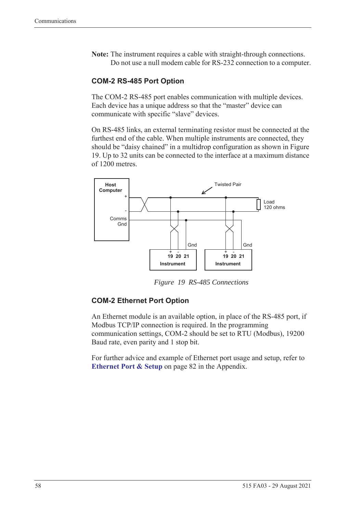**Note:** The instrument requires a cable with straight-through connections. Do not use a null modem cable for RS-232 connection to a computer.

#### **COM-2 RS-485 Port Option**

The COM-2 RS-485 port enables communication with multiple devices. Each device has a unique address so that the "master" device can communicate with specific "slave" devices.

On RS-485 links, an external terminating resistor must be connected at the furthest end of the cable. When multiple instruments are connected, they should be "daisy chained" in a multidrop configuration as shown in Figure [19](#page-67-0). Up to 32 units can be connected to the interface at a maximum distance of 1200 metres.



*Figure 19 RS-485 Connections*

#### <span id="page-67-0"></span>**COM-2 Ethernet Port Option**

An Ethernet module is an available option, in place of the RS-485 port, if Modbus TCP/IP connection is required. In the programming communication settings, COM-2 should be set to RTU (Modbus), 19200 Baud rate, even parity and 1 stop bit.

For further advice and example of Ethernet port usage and setup, refer to **[Ethernet Port & Setup](#page-91-0)** on page 82 in the Appendix.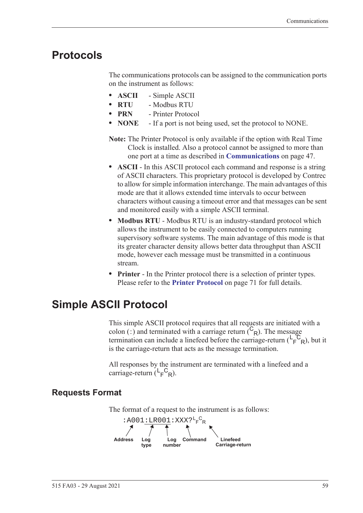## **Protocols**

The communications protocols can be assigned to the communication ports on the instrument as follows:

- **• ASCII** Simple ASCII
- **• RTU** Modbus RTU
- **• PRN** Printer Protocol
- **• NONE** If a port is not being used, set the protocol to NONE.
- **Note:** The Printer Protocol is only available if the option with Real Time Clock is installed. Also a protocol cannot be assigned to more than one port at a time as described in **[Communications](#page-56-0)** on page 47.
- **• ASCII** In this ASCII protocol each command and response is a string of ASCII characters. This proprietary protocol is developed by Contrec to allow for simple information interchange. The main advantages of this mode are that it allows extended time intervals to occur between characters without causing a timeout error and that messages can be sent and monitored easily with a simple ASCII terminal.
- **• Modbus RTU** Modbus RTU is an industry-standard protocol which allows the instrument to be easily connected to computers running supervisory software systems. The main advantage of this mode is that its greater character density allows better data throughput than ASCII mode, however each message must be transmitted in a continuous stream.
- **• Printer** In the Printer protocol there is a selection of printer types. Please refer to the **[Printer Protocol](#page-80-0)** on page 71 for full details.

# **Simple ASCII Protocol**

This simple ASCII protocol requires that all requests are initiated with a colon (:) and terminated with a carriage return  $\binom{C_R}{R}$ . The message termination can include a linefeed before the carriage-return  $(\mathsf{L}_\mathsf{F}^\mathsf{C}_{\mathsf{R}})$ , but it is the carriage-return that acts as the message termination.

All responses by the instrument are terminated with a linefeed and a carriage-return  $(L_F^C_R)$ .

### **Requests Format**

The format of a request to the instrument is as follows:

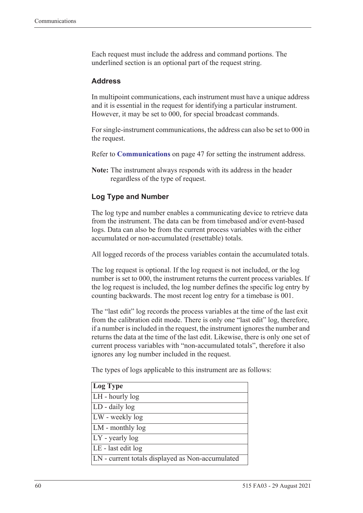Each request must include the address and command portions. The underlined section is an optional part of the request string.

#### **Address**

In multipoint communications, each instrument must have a unique address and it is essential in the request for identifying a particular instrument. However, it may be set to 000, for special broadcast commands.

For single-instrument communications, the address can also be set to 000 in the request.

Refer to **[Communications](#page-56-0)** on page 47 for setting the instrument address.

**Note:** The instrument always responds with its address in the header regardless of the type of request.

#### **Log Type and Number**

The log type and number enables a communicating device to retrieve data from the instrument. The data can be from timebased and/or event-based logs. Data can also be from the current process variables with the either accumulated or non-accumulated (resettable) totals.

All logged records of the process variables contain the accumulated totals.

The log request is optional. If the log request is not included, or the log number is set to 000, the instrument returns the current process variables. If the log request is included, the log number defines the specific log entry by counting backwards. The most recent log entry for a timebase is 001.

The "last edit" log records the process variables at the time of the last exit from the calibration edit mode. There is only one "last edit" log, therefore, if a number is included in the request, the instrument ignores the number and returns the data at the time of the last edit. Likewise, there is only one set of current process variables with "non-accumulated totals", therefore it also ignores any log number included in the request.

The types of logs applicable to this instrument are as follows:

| Log Type                                         |
|--------------------------------------------------|
| LH - hourly log                                  |
| LD - daily log                                   |
| LW - weekly log                                  |
| LM - monthly log                                 |
| $LY$ - yearly log                                |
| LE - last edit log                               |
| LN - current totals displayed as Non-accumulated |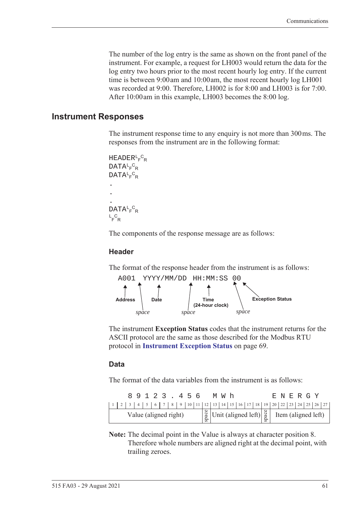The number of the log entry is the same as shown on the front panel of the instrument. For example, a request for LH003 would return the data for the log entry two hours prior to the most recent hourly log entry. If the current time is between 9:00 am and 10:00 am, the most recent hourly log LH001 was recorded at 9:00. Therefore, LH002 is for 8:00 and LH003 is for 7:00. After 10:00 am in this example, LH003 becomes the 8:00 log.

#### **Instrument Responses**

The instrument response time to any enquiry is not more than 300 ms. The responses from the instrument are in the following format:

```
HEADER<sup>L</sup>F<sup>C</sup>R
DATA<sup>L</sup>F<sup>C</sup>R
DATA<sup>L</sup>F<sup>C</sup>R
.
.
.
DATA<sup>L</sup>F<sup>C</sup>R
L_F^CR
```
The components of the response message are as follows:

#### **Header**

The format of the response header from the instrument is as follows:



The instrument **Exception Status** codes that the instrument returns for the ASCII protocol are the same as those described for the Modbus RTU protocol in **[Instrument Exception Status](#page-78-0)** on page 69.

#### **Data**

The format of the data variables from the instrument is as follows:

|                       |  |  |  |  |  | 89123.456 |  |  |  |  | MW h |  |  |  |  | E N E R G Y                                                                                                                                                        |  |  |
|-----------------------|--|--|--|--|--|-----------|--|--|--|--|------|--|--|--|--|--------------------------------------------------------------------------------------------------------------------------------------------------------------------|--|--|
|                       |  |  |  |  |  |           |  |  |  |  |      |  |  |  |  |                                                                                                                                                                    |  |  |
| Value (aligned right) |  |  |  |  |  |           |  |  |  |  |      |  |  |  |  | $\begin{bmatrix} \frac{8}{9} \\ \frac{8}{9} \end{bmatrix}$ Unit (aligned left) $\begin{bmatrix} 8 \\ \frac{8}{9} \\ \frac{8}{9} \end{bmatrix}$ Item (aligned left) |  |  |

**Note:** The decimal point in the Value is always at character position 8. Therefore whole numbers are aligned right at the decimal point, with trailing zeroes.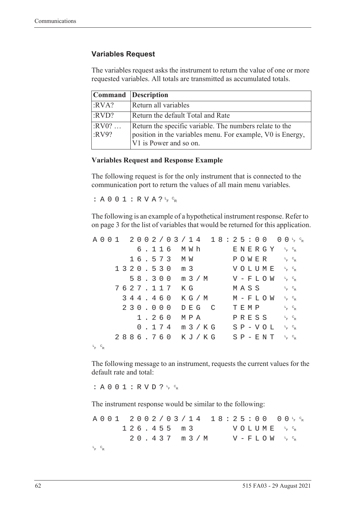#### **Variables Request**

The variables request asks the instrument to return the value of one or more requested variables. All totals are transmitted as accumulated totals.

|                  | <b>Command</b> Description                                                                                                                      |
|------------------|-------------------------------------------------------------------------------------------------------------------------------------------------|
| :RVA?            | Return all variables                                                                                                                            |
| :RVD?            | Return the default Total and Rate                                                                                                               |
| $:RV0?$<br>:RV9? | Return the specific variable. The numbers relate to the<br>position in the variables menu. For example, V0 is Energy,<br>V1 is Power and so on. |

#### **Variables Request and Response Example**

The following request is for the only instrument that is connected to the communication port to return the values of all main menu variables.

:  $A 0 0 1 : R V A ? \frac{C}{F} C_R$ 

The following is an example of a hypothetical instrument response. Refer to [on page 3](#page-12-0) for the list of variables that would be returned for this application.

|             |  |  |  |  |          |  |                  |  |       | $A\ 0\ 0\ 1\quad 2\ 0\ 0\ 2\ / \ 0\ 3\ / \ 1\ 4\quad 1\ 8:2\ 5:0\ 0\quad 0\ 0\ _{F}\ ^{c}{}_{R}$ |  |      |  |               |                                              |                                   |  |
|-------------|--|--|--|--|----------|--|------------------|--|-------|--------------------------------------------------------------------------------------------------|--|------|--|---------------|----------------------------------------------|-----------------------------------|--|
|             |  |  |  |  |          |  | 6.116 MWh        |  |       |                                                                                                  |  |      |  |               | ENERGY 'F <sup>c</sup> r                     |                                   |  |
|             |  |  |  |  |          |  | 16.573 MW        |  |       |                                                                                                  |  |      |  |               | POWER                                        | $L_{F}$ $C_{R}$                   |  |
|             |  |  |  |  |          |  | 1320.530 m 3     |  |       |                                                                                                  |  |      |  |               | VOLUME <sup>L<sub>E</sub>C<sub>R</sub></sup> |                                   |  |
|             |  |  |  |  |          |  |                  |  |       | 58.300 m 3/M                                                                                     |  |      |  |               | $V - F L O W \leftarrow c_R$                 |                                   |  |
|             |  |  |  |  | 7627.117 |  | КG               |  |       |                                                                                                  |  |      |  | MASS          |                                              | $L_F$ $C_R$                       |  |
|             |  |  |  |  | 344.460  |  |                  |  |       | K G / M                                                                                          |  |      |  |               | M – F L O W                                  | $L$ <sub>F</sub> $C$ <sub>R</sub> |  |
|             |  |  |  |  | 230.000  |  |                  |  | DEG C |                                                                                                  |  | TEMP |  |               |                                              | $L_F$ $C_R$                       |  |
|             |  |  |  |  | 1.260    |  | МРА              |  |       |                                                                                                  |  |      |  | PRESS         |                                              | $L_{F}$ $C_{R}$                   |  |
|             |  |  |  |  |          |  | $0.174$ m $3/KG$ |  |       |                                                                                                  |  |      |  | $S P - V O L$ |                                              | $L_{F}$ $C_{R}$                   |  |
|             |  |  |  |  |          |  |                  |  |       | 2886.760 KJ/KG SP-ENT FR                                                                         |  |      |  |               |                                              |                                   |  |
| $L_F$ $C_R$ |  |  |  |  |          |  |                  |  |       |                                                                                                  |  |      |  |               |                                              |                                   |  |

The following message to an instrument, requests the current values for the default rate and total:

: A 0 0 1 : R V D ?  $L_F$   $C_R$ 

The instrument response would be similar to the following:

A001 2002/03/14 18:25:00  $F$   $\circ$ <sub>R</sub>  $126.455 m3$ <sup>F</sup> <sup>C</sup> R  $20.437$  m  $3/M$  $F$   $\circ$ <sub>R</sub> L <sup>F</sup> <sup>C</sup> R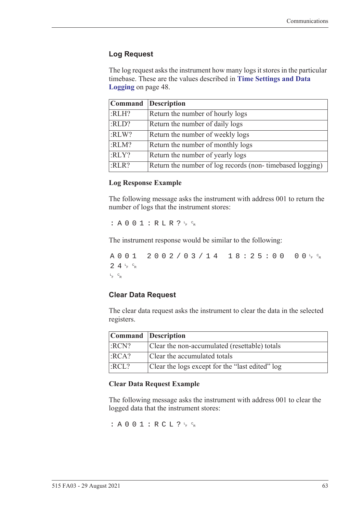### **Log Request**

The log request asks the instrument how many logs it stores in the particular timebase. These are the values described in **[Time Settings and Data](#page-57-0)  Logging** [on page 48](#page-57-0).

|       | Command Description                                      |
|-------|----------------------------------------------------------|
| :RLH? | Return the number of hourly logs                         |
| :RLD? | Return the number of daily logs                          |
| :RLW? | Return the number of weekly logs                         |
| :RLM? | Return the number of monthly logs                        |
| :RLY? | Return the number of yearly logs                         |
| :RLR? | Return the number of log records (non-timebased logging) |

#### **Log Response Example**

The following message asks the instrument with address 001 to return the number of logs that the instrument stores:

 $: A 0 0 1 : R L R ? \nmid R$ 

The instrument response would be similar to the following:

A001 2002/03/14 18:25:00  $F$   $\circ$ R  $24r$ <sub>F</sub>  $c_R$ L <sup>F</sup> <sup>C</sup> R

#### **Clear Data Request**

The clear data request asks the instrument to clear the data in the selected registers.

| Command Description |                                                 |
|---------------------|-------------------------------------------------|
| :RCN?               | Clear the non-accumulated (resettable) totals   |
| $ $ :RCA?           | Clear the accumulated totals                    |
| :RCL?               | Clear the logs except for the "last edited" log |

#### **Clear Data Request Example**

The following message asks the instrument with address 001 to clear the logged data that the instrument stores:

: A 0 0 1 : R C L ?  $L_F$   $c_R$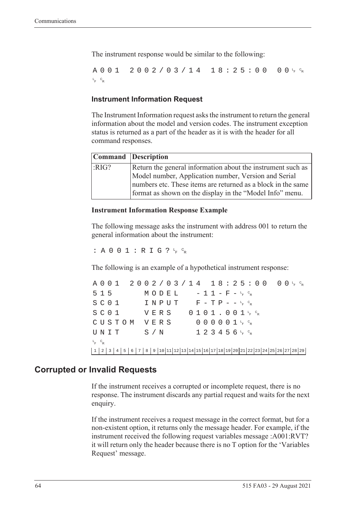The instrument response would be similar to the following:

A001 2002/03/14 18:25:00  $F$   $\circ$ <sub>R</sub> L <sup>F</sup> <sup>C</sup> R

### **Instrument Information Request**

The Instrument Information request asks the instrument to return the general information about the model and version codes. The instrument exception status is returned as a part of the header as it is with the header for all command responses.

|      | Command Description                                                                                                      |  |
|------|--------------------------------------------------------------------------------------------------------------------------|--|
| RIG? | Return the general information about the instrument such as                                                              |  |
|      | Model number, Application number, Version and Serial                                                                     |  |
|      | numbers etc. These items are returned as a block in the same<br>format as shown on the display in the "Model Info" menu. |  |

#### **Instrument Information Response Example**

The following message asks the instrument with address 001 to return the general information about the instrument:

: A 0 0 1 : R I G ?  $L_F$   $C_R$ 

The following is an example of a hypothetical instrument response:

A001 2002/03/14 18:25:00 <sup>F</sup> <sup>C</sup> R  $515$   $MODEL$   $-11-F-F_{R}^{c}$  $S$  C O  $1$  I N P U T F - T P - - <sup>L</sup><sub>F</sub> <sup>C</sup>R  $S$  C O  $1$  V E R S O  $1$  O  $1$  J  $1$  , O  $0$   $1$   $1$   $1$   $6$   $8$ CUSTOM VERS 000001<sup>t</sup>F<sup>c</sup>r  $\texttt{UNIT}$  S/N 123456<sup>L</sup>F <sup>C</sup>R L <sup>F</sup> <sup>C</sup> R 1 2 3 4 5 6 7 8 9 10 11 12 13 14 15 16 17 18 19 20 21 22 23 24 25 26 27 28 29

### **Corrupted or Invalid Requests**

If the instrument receives a corrupted or incomplete request, there is no response. The instrument discards any partial request and waits for the next enquiry.

If the instrument receives a request message in the correct format, but for a non-existent option, it returns only the message header. For example, if the instrument received the following request variables message :A001:RVT? it will return only the header because there is no T option for the 'Variables Request' message.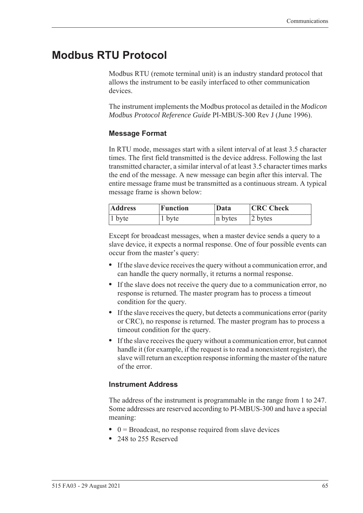# **Modbus RTU Protocol**

<span id="page-74-0"></span>Modbus RTU (remote terminal unit) is an industry standard protocol that allows the instrument to be easily interfaced to other communication devices.

The instrument implements the Modbus protocol as detailed in the *Modicon Modbus Protocol Reference Guide* PI-MBUS-300 Rev J (June 1996).

### **Message Format**

In RTU mode, messages start with a silent interval of at least 3.5 character times. The first field transmitted is the device address. Following the last transmitted character, a similar interval of at least 3.5 character times marks the end of the message. A new message can begin after this interval. The entire message frame must be transmitted as a continuous stream. A typical message frame is shown below:

| <b>Address</b> | <b>Function</b> | Data    | <b>CRC</b> Check |
|----------------|-----------------|---------|------------------|
| $ 1$ byte      | 1 byte          | n bytes | 2 bytes          |

Except for broadcast messages, when a master device sends a query to a slave device, it expects a normal response. One of four possible events can occur from the master's query:

- **•** If the slave device receives the query without a communication error, and can handle the query normally, it returns a normal response.
- **•** If the slave does not receive the query due to a communication error, no response is returned. The master program has to process a timeout condition for the query.
- **•** If the slave receives the query, but detects a communications error (parity or CRC), no response is returned. The master program has to process a timeout condition for the query.
- **•** If the slave receives the query without a communication error, but cannot handle it (for example, if the request is to read a nonexistent register), the slave will return an exception response informing the master of the nature of the error.

### **Instrument Address**

The address of the instrument is programmable in the range from 1 to 247. Some addresses are reserved according to PI-MBUS-300 and have a special meaning:

- 0 = Broadcast, no response required from slave devices
- **•** 248 to 255 Reserved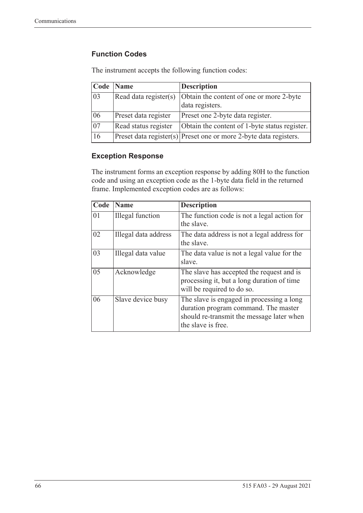### **Function Codes**

| Code            | <b>Name</b>           | <b>Description</b>                                                    |
|-----------------|-----------------------|-----------------------------------------------------------------------|
| 03              | Read data register(s) | Obtain the content of one or more 2-byte<br>data registers.           |
| 06              | Preset data register  | Preset one 2-byte data register.                                      |
| $\overline{07}$ | Read status register  | Obtain the content of 1-byte status register.                         |
| 16              |                       | $ $ Preset data register(s) Preset one or more 2-byte data registers. |

The instrument accepts the following function codes:

### **Exception Response**

The instrument forms an exception response by adding 80H to the function code and using an exception code as the 1-byte data field in the returned frame. Implemented exception codes are as follows:

| Code | Name                 | <b>Description</b>                                                                                                                                   |
|------|----------------------|------------------------------------------------------------------------------------------------------------------------------------------------------|
| 01   | Illegal function     | The function code is not a legal action for<br>the slave.                                                                                            |
| 02   | Illegal data address | The data address is not a legal address for<br>the slave.                                                                                            |
| 03   | Illegal data value   | The data value is not a legal value for the<br>slave.                                                                                                |
| 05   | Acknowledge          | The slave has accepted the request and is<br>processing it, but a long duration of time<br>will be required to do so.                                |
| 06   | Slave device busy    | The slave is engaged in processing a long<br>duration program command. The master<br>should re-transmit the message later when<br>the slave is free. |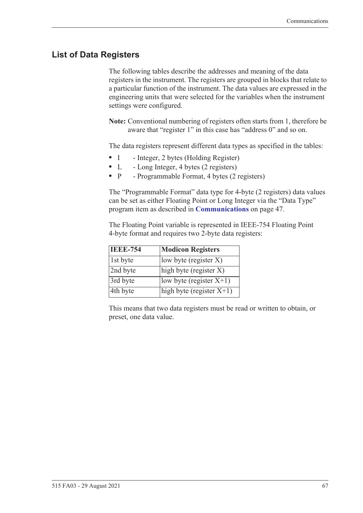# **List of Data Registers**

The following tables describe the addresses and meaning of the data registers in the instrument. The registers are grouped in blocks that relate to a particular function of the instrument. The data values are expressed in the engineering units that were selected for the variables when the instrument settings were configured.

**Note:** Conventional numbering of registers often starts from 1, therefore be aware that "register 1" in this case has "address 0" and so on.

The data registers represent different data types as specified in the tables:

- I Integer, 2 bytes (Holding Register)
- L Long Integer, 4 bytes (2 registers)
- P Programmable Format, 4 bytes (2 registers)

The "Programmable Format" data type for 4-byte (2 registers) data values can be set as either Floating Point or Long Integer via the "Data Type" program item as described in **[Communications](#page-56-0)** on page 47.

The Floating Point variable is represented in IEEE-754 Floating Point 4-byte format and requires two 2-byte data registers:

| <b>IEEE-754</b> | <b>Modicon Registers</b>                       |
|-----------------|------------------------------------------------|
| 1st byte        | low byte (register $X$ )                       |
| 2nd byte        | $\left  \text{high byte (register X)} \right $ |
| 3rd byte        | low byte (register $X+1$ )                     |
| 4th byte        | high byte (register $X+1$ )                    |

This means that two data registers must be read or written to obtain, or preset, one data value.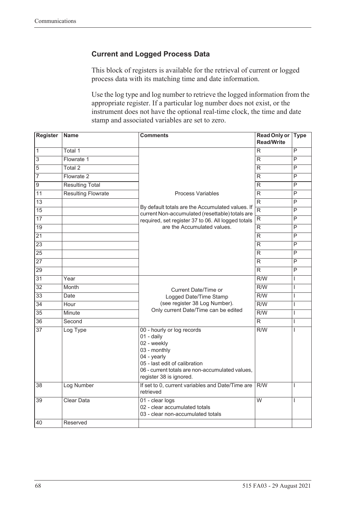### **Current and Logged Process Data**

This block of registers is available for the retrieval of current or logged process data with its matching time and date information.

Use the log type and log number to retrieve the logged information from the appropriate register. If a particular log number does not exist, or the instrument does not have the optional real-time clock, the time and date stamp and associated variables are set to zero.

| Register         | <b>Name</b>               | <b>Comments</b>                                                                                                                                                                                         | <b>Read Only or</b><br><b>Read/Write</b> | <b>Type</b>             |
|------------------|---------------------------|---------------------------------------------------------------------------------------------------------------------------------------------------------------------------------------------------------|------------------------------------------|-------------------------|
| $\overline{1}$   | Total 1                   |                                                                                                                                                                                                         | R                                        | P                       |
| $\overline{3}$   | Flowrate 1                |                                                                                                                                                                                                         | R                                        | P                       |
| $\overline{5}$   | Total <sub>2</sub>        |                                                                                                                                                                                                         | R                                        | P                       |
| $\overline{7}$   | Flowrate 2                |                                                                                                                                                                                                         | R                                        | P                       |
| $\boldsymbol{9}$ | <b>Resulting Total</b>    |                                                                                                                                                                                                         | R                                        | P                       |
| $\overline{11}$  | <b>Resulting Flowrate</b> | <b>Process Variables</b>                                                                                                                                                                                | R                                        | $\overline{P}$          |
| 13               |                           |                                                                                                                                                                                                         | $\overline{R}$                           | P                       |
| 15               |                           | By default totals are the Accumulated values. If<br>current Non-accumulated (resettable) totals are                                                                                                     | $\overline{R}$                           | $\overline{P}$          |
| $\overline{17}$  |                           | required, set register 37 to 06. All logged totals                                                                                                                                                      | $\overline{\mathsf{R}}$                  | $\overline{P}$          |
| $\overline{19}$  |                           | are the Accumulated values.                                                                                                                                                                             | R                                        | P                       |
| 21               |                           |                                                                                                                                                                                                         | $\overline{R}$                           | P                       |
| $\overline{23}$  |                           |                                                                                                                                                                                                         | R                                        | P                       |
| $\overline{25}$  |                           |                                                                                                                                                                                                         | R                                        | P                       |
| $\overline{27}$  |                           |                                                                                                                                                                                                         | R                                        | $\overline{\mathsf{P}}$ |
| 29               |                           |                                                                                                                                                                                                         | $\overline{R}$                           | P                       |
| $\overline{31}$  | Year                      |                                                                                                                                                                                                         | R/W                                      | L                       |
| $\overline{32}$  | Month                     | Current Date/Time or                                                                                                                                                                                    | $\overline{R/W}$                         | $\mathsf{I}$            |
| $\overline{33}$  | Date                      | Logged Date/Time Stamp                                                                                                                                                                                  | $\overline{R/W}$                         | $\overline{1}$          |
| $\overline{34}$  | Hour                      | (see register 38 Log Number).                                                                                                                                                                           | R/W                                      | $\overline{1}$          |
| $\overline{35}$  | Minute                    | Only current Date/Time can be edited                                                                                                                                                                    | $\overline{R/W}$                         | $\mathsf{I}$            |
| $\overline{36}$  | Second                    |                                                                                                                                                                                                         | $\overline{R}$                           | $\mathsf{I}$            |
| $\overline{37}$  | Log Type                  | 00 - hourly or log records<br>$01 -$ daily<br>02 - weekly<br>03 - monthly<br>04 - yearly<br>05 - last edit of calibration<br>06 - current totals are non-accumulated values,<br>register 38 is ignored. | R/W                                      | I                       |
| 38               | Log Number                | If set to 0, current variables and Date/Time are<br>retrieved                                                                                                                                           | R/W                                      | T                       |
| 39               | <b>Clear Data</b>         | 01 - clear logs<br>02 - clear accumulated totals<br>03 - clear non-accumulated totals                                                                                                                   | $\overline{W}$                           | T                       |
| 40               | Reserved                  |                                                                                                                                                                                                         |                                          |                         |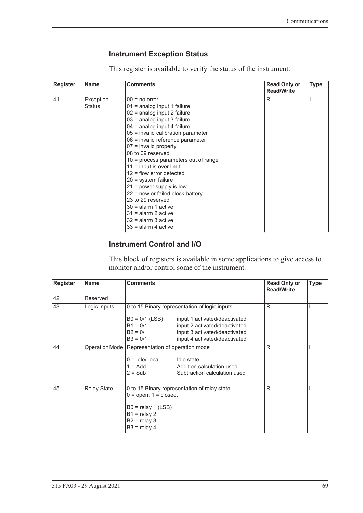### <span id="page-78-0"></span>**Instrument Exception Status**

This register is available to verify the status of the instrument.

| <b>Register</b> | <b>Name</b> | <b>Comments</b>                        | <b>Read Only or</b><br><b>Read/Write</b> | <b>Type</b> |
|-----------------|-------------|----------------------------------------|------------------------------------------|-------------|
| 41              | Exception   | $00 = no error$                        | R                                        |             |
|                 | Status      | $01$ = analog input 1 failure          |                                          |             |
|                 |             | 02 = analog input 2 failure            |                                          |             |
|                 |             | 03 = analog input 3 failure            |                                          |             |
|                 |             | $04$ = analog input 4 failure          |                                          |             |
|                 |             | 05 = invalid calibration parameter     |                                          |             |
|                 |             | 06 = invalid reference parameter       |                                          |             |
|                 |             | $07$ = invalid property                |                                          |             |
|                 |             | 08 to 09 reserved                      |                                          |             |
|                 |             | $10$ = process parameters out of range |                                          |             |
|                 |             | $11 =$ input is over limit             |                                          |             |
|                 |             | $12$ = flow error detected             |                                          |             |
|                 |             | $20 =$ system failure                  |                                          |             |
|                 |             | $21$ = power supply is low             |                                          |             |
|                 |             | $22$ = new or failed clock battery     |                                          |             |
|                 |             | 23 to 29 reserved                      |                                          |             |
|                 |             | $30 =$ alarm 1 active                  |                                          |             |
|                 |             | $31$ = alarm 2 active                  |                                          |             |
|                 |             | $32$ = alarm 3 active                  |                                          |             |
|                 |             | $33$ = alarm 4 active                  |                                          |             |

### **Instrument Control and I/O**

This block of registers is available in some applications to give access to monitor and/or control some of the instrument.

| <b>Register</b> | <b>Name</b>        | <b>Comments</b>                                                                                                                                          |                                                                                                                                  | <b>Read Only or</b><br><b>Read/Write</b> | <b>Type</b> |
|-----------------|--------------------|----------------------------------------------------------------------------------------------------------------------------------------------------------|----------------------------------------------------------------------------------------------------------------------------------|------------------------------------------|-------------|
| 42              | Reserved           |                                                                                                                                                          |                                                                                                                                  |                                          |             |
| 43              | Logic Inputs       |                                                                                                                                                          | 0 to 15 Binary representation of logic inputs                                                                                    | R                                        |             |
|                 |                    | $B0 = 0/1$ (LSB)<br>$B1 = 0/1$<br>$B2 = 0/1$<br>$B3 = 0/1$                                                                                               | input 1 activated/deactivated<br>input 2 activated/deactivated<br>input 3 activated/deactivated<br>input 4 activated/deactivated |                                          |             |
| 44              |                    | Operation Mode   Representation of operation mode<br>$0 =$ Idle/Local<br>$1 = Add$<br>$2 = Sub$                                                          | Idle state<br>Addition calculation used<br>Subtraction calculation used                                                          | R                                        |             |
| 45              | <b>Relay State</b> | 0 to 15 Binary representation of relay state.<br>$0 =$ open; $1 =$ closed.<br>$B0 =$ relay 1 (LSB)<br>$B1 =$ relay 2<br>$B2 =$ relay 3<br>$B3 =$ relay 4 |                                                                                                                                  | R                                        |             |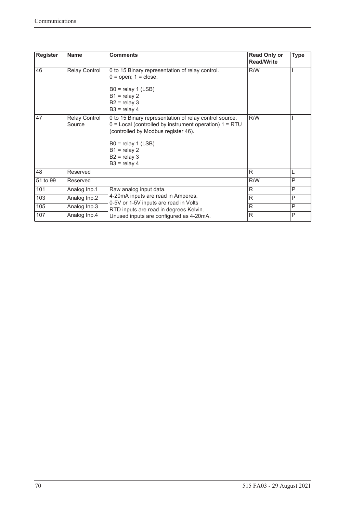| <b>Register</b> | <b>Name</b>                    | <b>Comments</b>                                                                                                                                                                                                                           | <b>Read Only or</b><br><b>Read/Write</b> | <b>Type</b> |
|-----------------|--------------------------------|-------------------------------------------------------------------------------------------------------------------------------------------------------------------------------------------------------------------------------------------|------------------------------------------|-------------|
| 46              | <b>Relay Control</b>           | 0 to 15 Binary representation of relay control.<br>$0 =$ open; $1 =$ close.<br>$B0 =$ relay 1 (LSB)<br>$B1 =$ relay 2<br>$B2 =$ relay 3<br>$B3 =$ relay 4                                                                                 | R/W                                      |             |
| 47              | <b>Relay Control</b><br>Source | 0 to 15 Binary representation of relay control source.<br>$0 =$ Local (controlled by instrument operation) $1 = RTU$<br>(controlled by Modbus register 46).<br>$B0 =$ relay 1 (LSB)<br>$B1 =$ relay 2<br>$B2 =$ relay 3<br>$B3 =$ relay 4 | R/W                                      |             |
| 48              | Reserved                       |                                                                                                                                                                                                                                           | R                                        | L           |
| 51 to 99        | Reserved                       |                                                                                                                                                                                                                                           | R/W                                      | P           |
| 101             | Analog Inp.1                   | Raw analog input data.                                                                                                                                                                                                                    | $\mathsf{R}$                             | P           |
| 103             | Analog Inp.2                   | 4-20mA inputs are read in Amperes.                                                                                                                                                                                                        | R                                        | P           |
| 105             | Analog Inp.3                   | 0-5V or 1-5V inputs are read in Volts<br>RTD inputs are read in degrees Kelvin.                                                                                                                                                           | R                                        | P           |
| 107             | Analog Inp.4                   | Unused inputs are configured as 4-20mA.                                                                                                                                                                                                   | R                                        | P           |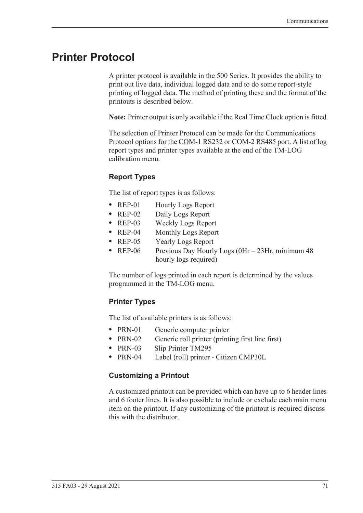# **Printer Protocol**

<span id="page-80-1"></span>A printer protocol is available in the 500 Series. It provides the ability to print out live data, individual logged data and to do some report-style printing of logged data. The method of printing these and the format of the printouts is described below.

**Note:** Printer output is only available if the Real Time Clock option is fitted.

The selection of Printer Protocol can be made for the Communications Protocol options for the COM-1 RS232 or COM-2 RS485 port. A list of log report types and printer types available at the end of the TM-LOG calibration menu.

### <span id="page-80-2"></span>**Report Types**

The list of report types is as follows:

- REP-01 Hourly Logs Report
- **•** REP-02 Daily Logs Report
- **•** REP-03 Weekly Logs Report
- **•** REP-04 Monthly Logs Report
- **•** REP-05 Yearly Logs Report
- REP-06 Previous Day Hourly Logs (0Hr 23Hr, minimum 48 hourly logs required)

The number of logs printed in each report is determined by the values programmed in the TM-LOG menu.

### <span id="page-80-3"></span>**Printer Types**

The list of available printers is as follows:

- PRN-01 Generic computer printer
- PRN-02 Generic roll printer (printing first line first)
- **•** PRN-03 Slip Printer TM295
- **•** PRN-04 Label (roll) printer Citizen CMP30L

#### <span id="page-80-0"></span>**Customizing a Printout**

A customized printout can be provided which can have up to 6 header lines and 6 footer lines. It is also possible to include or exclude each main menu item on the printout. If any customizing of the printout is required discuss this with the distributor.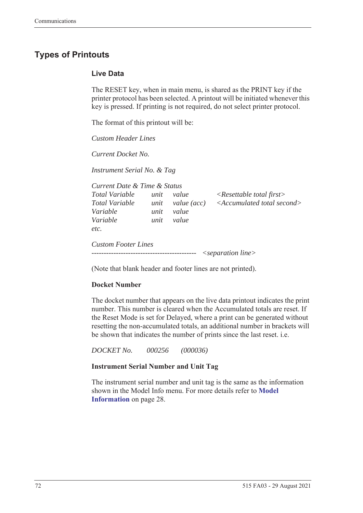# <span id="page-81-1"></span>**Types of Printouts**

### <span id="page-81-0"></span>**Live Data**

The RESET key, when in main menu, is shared as the PRINT key if the printer protocol has been selected. A printout will be initiated whenever this key is pressed. If printing is not required, do not select printer protocol.

The format of this printout will be:

*Custom Header Lines*

*Current Docket No.* 

*Instrument Serial No. & Tag*

| Current Date & Time & Status     |              |                      |                                                                                   |
|----------------------------------|--------------|----------------------|-----------------------------------------------------------------------------------|
| Total Variable<br>Total Variable | unit<br>unit | value<br>value (acc) | $\langle$ Resettable total first $\rangle$<br>$\leq$ Accumulated total second $>$ |
| Variable                         | unit         | value                |                                                                                   |
| Variable                         | unit         | value                |                                                                                   |
| etc.                             |              |                      |                                                                                   |
| <b>Custom Footer Lines</b>       |              |                      |                                                                                   |
|                                  |              |                      | $\leq$ separation line $>$                                                        |

(Note that blank header and footer lines are not printed).

### **Docket Number**

The docket number that appears on the live data printout indicates the print number. This number is cleared when the Accumulated totals are reset. If the Reset Mode is set for Delayed, where a print can be generated without resetting the non-accumulated totals, an additional number in brackets will be shown that indicates the number of prints since the last reset. i.e.

*DOCKET No. 000256 (000036)*

#### **Instrument Serial Number and Unit Tag**

The instrument serial number and unit tag is the same as the information shown in the Model Info menu. For more details refer to **[Model](#page-37-0)  [Information](#page-37-0)** on page 28.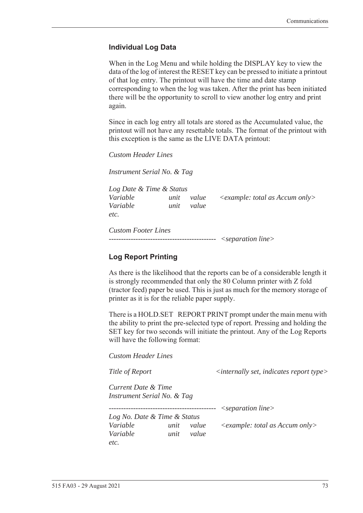### <span id="page-82-0"></span>**Individual Log Data**

When in the Log Menu and while holding the DISPLAY key to view the data of the log of interest the RESET key can be pressed to initiate a printout of that log entry. The printout will have the time and date stamp corresponding to when the log was taken. After the print has been initiated there will be the opportunity to scroll to view another log entry and print again.

Since in each log entry all totals are stored as the Accumulated value, the printout will not have any resettable totals. The format of the printout with this exception is the same as the LIVE DATA printout:

*Custom Header Lines*

*Instrument Serial No. & Tag*

*Log Date & Time & Status Variable unit value <example: total as Accum only> Variable unit value etc.*

*Custom Footer Lines -------------------------------------------- <separation line>*

### <span id="page-82-1"></span>**Log Report Printing**

As there is the likelihood that the reports can be of a considerable length it is strongly recommended that only the 80 Column printer with Z fold (tractor feed) paper be used. This is just as much for the memory storage of printer as it is for the reliable paper supply.

There is a HOLD.SET REPORT PRINT prompt under the main menu with the ability to print the pre-selected type of report. Pressing and holding the SET key for two seconds will initiate the printout. Any of the Log Reports will have the following format:

*Custom Header Lines*

*Title of Report*  $\langle$  *internally set, indicates report type>* 

*Current Date & Time Instrument Serial No. & Tag*

*-------------------------------------------- <separation line>*

*Log No. Date & Time & Status Variable unit value <example: total as Accum only> Variable unit value etc.*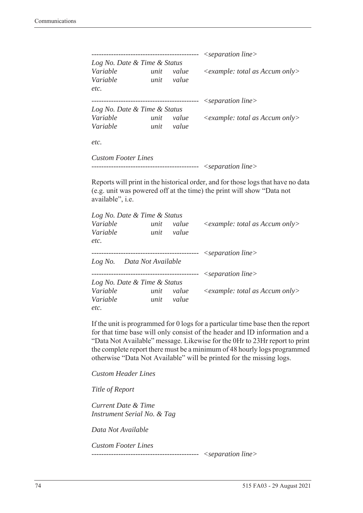|                              |      |       | $\leq$ separation line $>$              |
|------------------------------|------|-------|-----------------------------------------|
| Log No. Date & Time & Status |      |       |                                         |
| Variable                     | unit | value | $\leq$ example: total as Accum only $>$ |
| Variable                     | unit | value |                                         |
| etc.                         |      |       |                                         |
|                              |      |       | $\leq$ separation line $>$              |
| Log No. Date & Time & Status |      |       |                                         |
| Variable                     | unit | value | $\leq$ example: total as Accum only>    |
| Variable                     | unit | value |                                         |
| etc.                         |      |       |                                         |
| <b>Custom Footer Lines</b>   |      |       |                                         |

```
-------------------------------------------- <separation line>
```
Reports will print in the historical order, and for those logs that have no data (e.g. unit was powered off at the time) the print will show "Data not available", i.e.

| Log No. Date & Time & Status |      |           |                                                  |
|------------------------------|------|-----------|--------------------------------------------------|
| Variable                     | unit | value     | $\langle$ example: total as Accum only $\rangle$ |
| Variable                     | unit | value     |                                                  |
| etc.                         |      |           |                                                  |
|                              |      |           | $\leq$ separation line $>$                       |
| Log No. Data Not Available   |      |           |                                                  |
|                              |      | --------- | $\leq$ separation line $>$                       |
| Log No. Date & Time & Status |      |           |                                                  |
| Variable                     | unit | value     | $\leq$ example: total as Accum only $>$          |
| Variable                     | unit | value     |                                                  |
| etc.                         |      |           |                                                  |

If the unit is programmed for 0 logs for a particular time base then the report for that time base will only consist of the header and ID information and a "Data Not Available" message. Likewise for the 0Hr to 23Hr report to print the complete report there must be a minimum of 48 hourly logs programmed otherwise "Data Not Available" will be printed for the missing logs.

*Custom Header Lines*

*Title of Report*

*Current Date & Time Instrument Serial No. & Tag*

*Data Not Available*

*Custom Footer Lines* 

*-------------------------------------------- <separation line>*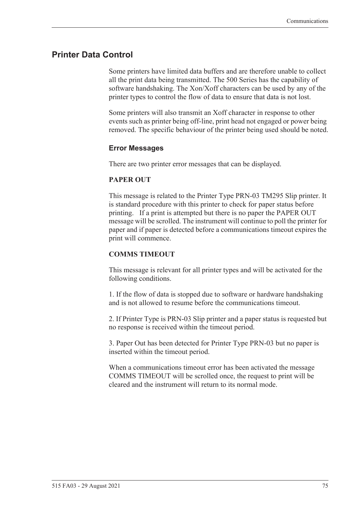### <span id="page-84-0"></span>**Printer Data Control**

Some printers have limited data buffers and are therefore unable to collect all the print data being transmitted. The 500 Series has the capability of software handshaking. The Xon/Xoff characters can be used by any of the printer types to control the flow of data to ensure that data is not lost.

Some printers will also transmit an Xoff character in response to other events such as printer being off-line, print head not engaged or power being removed. The specific behaviour of the printer being used should be noted.

### <span id="page-84-1"></span>**Error Messages**

There are two printer error messages that can be displayed.

#### **PAPER OUT**

This message is related to the Printer Type PRN-03 TM295 Slip printer. It is standard procedure with this printer to check for paper status before printing. If a print is attempted but there is no paper the PAPER OUT message will be scrolled. The instrument will continue to poll the printer for paper and if paper is detected before a communications timeout expires the print will commence.

#### **COMMS TIMEOUT**

This message is relevant for all printer types and will be activated for the following conditions.

1. If the flow of data is stopped due to software or hardware handshaking and is not allowed to resume before the communications timeout.

2. If Printer Type is PRN-03 Slip printer and a paper status is requested but no response is received within the timeout period.

3. Paper Out has been detected for Printer Type PRN-03 but no paper is inserted within the timeout period.

When a communications timeout error has been activated the message COMMS TIMEOUT will be scrolled once, the request to print will be cleared and the instrument will return to its normal mode.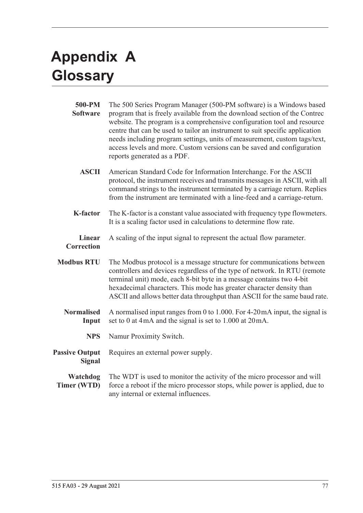# <span id="page-86-1"></span>**Appendix A Glossary**

<span id="page-86-0"></span>

| 500-PM<br><b>Software</b>              | The 500 Series Program Manager (500-PM software) is a Windows based<br>program that is freely available from the download section of the Contrec<br>website. The program is a comprehensive configuration tool and resource<br>centre that can be used to tailor an instrument to suit specific application<br>needs including program settings, units of measurement, custom tags/text,<br>access levels and more. Custom versions can be saved and configuration<br>reports generated as a PDF. |
|----------------------------------------|---------------------------------------------------------------------------------------------------------------------------------------------------------------------------------------------------------------------------------------------------------------------------------------------------------------------------------------------------------------------------------------------------------------------------------------------------------------------------------------------------|
| <b>ASCII</b>                           | American Standard Code for Information Interchange. For the ASCII<br>protocol, the instrument receives and transmits messages in ASCII, with all<br>command strings to the instrument terminated by a carriage return. Replies<br>from the instrument are terminated with a line-feed and a carriage-return.                                                                                                                                                                                      |
| <b>K-factor</b>                        | The K-factor is a constant value associated with frequency type flowmeters.<br>It is a scaling factor used in calculations to determine flow rate.                                                                                                                                                                                                                                                                                                                                                |
| <b>Linear</b><br><b>Correction</b>     | A scaling of the input signal to represent the actual flow parameter.                                                                                                                                                                                                                                                                                                                                                                                                                             |
| <b>Modbus RTU</b>                      | The Modbus protocol is a message structure for communications between<br>controllers and devices regardless of the type of network. In RTU (remote<br>terminal unit) mode, each 8-bit byte in a message contains two 4-bit<br>hexadecimal characters. This mode has greater character density than<br>ASCII and allows better data throughput than ASCII for the same baud rate.                                                                                                                  |
| <b>Normalised</b><br>Input             | A normalised input ranges from 0 to 1.000. For 4-20 mA input, the signal is<br>set to 0 at 4mA and the signal is set to 1.000 at 20mA.                                                                                                                                                                                                                                                                                                                                                            |
| <b>NPS</b>                             | Namur Proximity Switch.                                                                                                                                                                                                                                                                                                                                                                                                                                                                           |
| <b>Passive Output</b><br><b>Signal</b> | Requires an external power supply.                                                                                                                                                                                                                                                                                                                                                                                                                                                                |
| Watchdog<br>Timer (WTD)                | The WDT is used to monitor the activity of the micro processor and will<br>force a reboot if the micro processor stops, while power is applied, due to<br>any internal or external influences.                                                                                                                                                                                                                                                                                                    |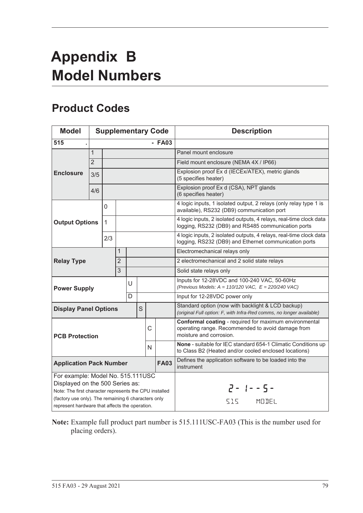# <span id="page-88-1"></span>**Appendix B Model Numbers**

# <span id="page-88-0"></span>**Product Codes**

| <b>Model</b>                                                                                                                                                                                                                            |                |              |                |   |   |   | <b>Supplementary Code</b> | <b>Description</b>                                                                                                                     |
|-----------------------------------------------------------------------------------------------------------------------------------------------------------------------------------------------------------------------------------------|----------------|--------------|----------------|---|---|---|---------------------------|----------------------------------------------------------------------------------------------------------------------------------------|
| 515                                                                                                                                                                                                                                     |                |              |                |   |   |   | $-$ FA03                  |                                                                                                                                        |
|                                                                                                                                                                                                                                         | $\mathbf{1}$   |              |                |   |   |   |                           | Panel mount enclosure                                                                                                                  |
|                                                                                                                                                                                                                                         | $\overline{2}$ |              |                |   |   |   |                           | Field mount enclosure (NEMA 4X / IP66)                                                                                                 |
| <b>Enclosure</b>                                                                                                                                                                                                                        | 3/5            |              |                |   |   |   |                           | Explosion proof Ex d (IECEx/ATEX), metric glands<br>(5 specifies heater)                                                               |
|                                                                                                                                                                                                                                         | 4/6            |              |                |   |   |   |                           | Explosion proof Ex d (CSA), NPT glands<br>(6 specifies heater)                                                                         |
|                                                                                                                                                                                                                                         |                | 0            |                |   |   |   |                           | 4 logic inputs, 1 isolated output, 2 relays (only relay type 1 is<br>available), RS232 (DB9) communication port                        |
| <b>Output Options</b>                                                                                                                                                                                                                   |                | $\mathbf{1}$ |                |   |   |   |                           | 4 logic inputs, 2 isolated outputs, 4 relays, real-time clock data<br>logging, RS232 (DB9) and RS485 communication ports               |
|                                                                                                                                                                                                                                         |                | 2/3          |                |   |   |   |                           | 4 logic inputs, 2 isolated outputs, 4 relays, real-time clock data<br>logging, RS232 (DB9) and Ethernet communication ports            |
|                                                                                                                                                                                                                                         |                |              | 1              |   |   |   |                           | Electromechanical relays only                                                                                                          |
| <b>Relay Type</b>                                                                                                                                                                                                                       |                |              | $\overline{2}$ |   |   |   |                           | 2 electromechanical and 2 solid state relays                                                                                           |
|                                                                                                                                                                                                                                         |                |              | 3              |   |   |   |                           | Solid state relays only                                                                                                                |
| <b>Power Supply</b>                                                                                                                                                                                                                     |                |              |                | U |   |   |                           | Inputs for 12-28VDC and 100-240 VAC, 50-60Hz<br>(Previous Models: $A = 110/120$ VAC, $E = 220/240$ VAC)                                |
|                                                                                                                                                                                                                                         |                |              |                | D |   |   |                           | Input for 12-28VDC power only                                                                                                          |
| <b>Display Panel Options</b>                                                                                                                                                                                                            |                |              |                |   | S |   |                           | Standard option (now with backlight & LCD backup)<br>(original Full option: F, with Infra-Red comms, no longer available)              |
| <b>PCB Protection</b>                                                                                                                                                                                                                   |                |              |                |   |   | C |                           | Conformal coating - required for maximum environmental<br>operating range. Recommended to avoid damage from<br>moisture and corrosion. |
|                                                                                                                                                                                                                                         |                |              |                |   |   | N |                           | None - suitable for IEC standard 654-1 Climatic Conditions up<br>to Class B2 (Heated and/or cooled enclosed locations)                 |
| <b>Application Pack Number</b>                                                                                                                                                                                                          |                |              |                |   |   |   | <b>FA03</b>               | Defines the application software to be loaded into the<br>instrument                                                                   |
| For example: Model No. 515.111USC<br>Displayed on the 500 Series as:<br>Note: The first character represents the CPU installed<br>(factory use only). The remaining 6 characters only<br>represent hardware that affects the operation. |                |              |                |   |   |   |                           | $2 - 1 - 5 -$<br>SIS MODEL                                                                                                             |

**Note:** Example full product part number is 515.111USC-FA03 (This is the number used for placing orders).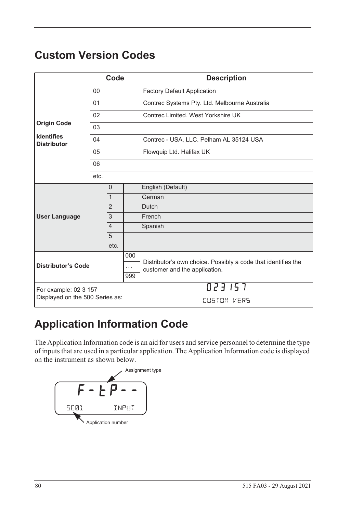# <span id="page-89-1"></span>**Custom Version Codes**

|                                         |      | Code           |          | <b>Description</b>                                            |
|-----------------------------------------|------|----------------|----------|---------------------------------------------------------------|
|                                         | 00   |                |          | <b>Factory Default Application</b>                            |
|                                         | 01   |                |          | Contrec Systems Pty. Ltd. Melbourne Australia                 |
|                                         | 02   |                |          | Contrec Limited. West Yorkshire UK                            |
| <b>Origin Code</b>                      | 03   |                |          |                                                               |
| <b>Identifies</b><br><b>Distributor</b> | 04   |                |          | Contrec - USA, LLC. Pelham AL 35124 USA                       |
|                                         | 05   |                |          | Flowquip Ltd. Halifax UK                                      |
|                                         | 06   |                |          |                                                               |
|                                         | etc. |                |          |                                                               |
|                                         |      | $\Omega$       |          | English (Default)                                             |
|                                         |      | $\mathbf{1}$   |          | German                                                        |
|                                         |      | $\overline{2}$ |          | <b>Dutch</b>                                                  |
| <b>User Language</b>                    |      | 3              |          | French                                                        |
|                                         |      | $\overline{4}$ |          | Spanish                                                       |
|                                         |      | 5              |          |                                                               |
|                                         |      | etc.           |          |                                                               |
|                                         |      |                | 000      | Distributor's own choice. Possibly a code that identifies the |
| <b>Distributor's Code</b>               |      |                | $\cdots$ | customer and the application.                                 |
|                                         |      |                | 999      |                                                               |
| For example: 02 3 157                   |      |                |          | 023157                                                        |
| Displayed on the 500 Series as:         |      |                |          | CUSTOM VERS                                                   |

# **Application Information Code**

The Application Information code is an aid for users and service personnel to determine the type of inputs that are used in a particular application. The Application Information code is displayed on the instrument as shown below.

<span id="page-89-0"></span>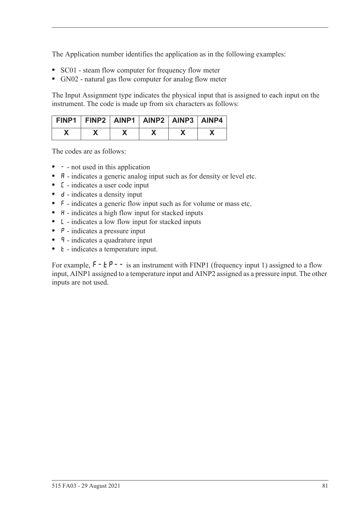The Application number identifies the application as in the following examples:

- **•** SC01 steam flow computer for frequency flow meter
- **•** GN02 natural gas flow computer for analog flow meter

The Input Assignment type indicates the physical input that is assigned to each input on the instrument. The code is made up from six characters as follows:

| FINP1   FINP2   AINP1   AINP2   AINP3   AINP4 |  |  |  |
|-----------------------------------------------|--|--|--|
|                                               |  |  |  |

The codes are as follows:

- - not used in this application
- **A** indicates a generic analog input such as for density or level etc.
- **•** C indicates a user code input
- d indicates a density input
- **•** F indicates a generic flow input such as for volume or mass etc.
- H indicates a high flow input for stacked inputs
- **•** L indicates a low flow input for stacked inputs
- **•** P indicates a pressure input
- **q** indicates a quadrature input
- *k* indicates a temperature input.

For example,  $F - tP - -$  is an instrument with FINP1 (frequency input 1) assigned to a flow input, AINP1 assigned to a temperature input and AINP2 assigned as a pressure input. The other inputs are not used.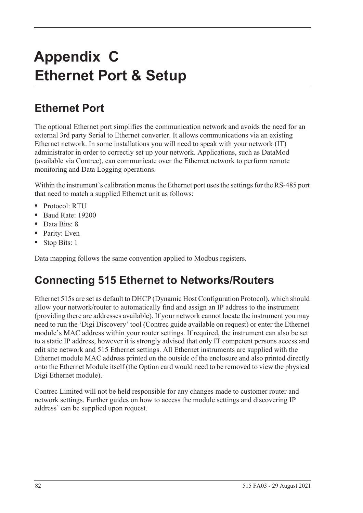# **Appendix C Ethernet Port & Setup**

# **Ethernet Port**

The optional Ethernet port simplifies the communication network and avoids the need for an external 3rd party Serial to Ethernet converter. It allows communications via an existing Ethernet network. In some installations you will need to speak with your network (IT) administrator in order to correctly set up your network. Applications, such as DataMod (available via Contrec), can communicate over the Ethernet network to perform remote monitoring and Data Logging operations.

Within the instrument's calibration menus the Ethernet port uses the settings for the RS-485 port that need to match a supplied Ethernet unit as follows:

- **•** Protocol: RTU
- **•** Baud Rate: 19200
- **•** Data Bits: 8
- **•** Parity: Even
- **•** Stop Bits: 1

Data mapping follows the same convention applied to Modbus registers.

# **Connecting 515 Ethernet to Networks/Routers**

Ethernet 515s are set as default to DHCP (Dynamic Host Configuration Protocol), which should allow your network/router to automatically find and assign an IP address to the instrument (providing there are addresses available). If your network cannot locate the instrument you may need to run the 'Digi Discovery' tool (Contrec guide available on request) or enter the Ethernet module's MAC address within your router settings. If required, the instrument can also be set to a static IP address, however it is strongly advised that only IT competent persons access and edit site network and 515 Ethernet settings. All Ethernet instruments are supplied with the Ethernet module MAC address printed on the outside of the enclosure and also printed directly onto the Ethernet Module itself (the Option card would need to be removed to view the physical Digi Ethernet module).

Contrec Limited will not be held responsible for any changes made to customer router and network settings. Further guides on how to access the module settings and discovering IP address' can be supplied upon request.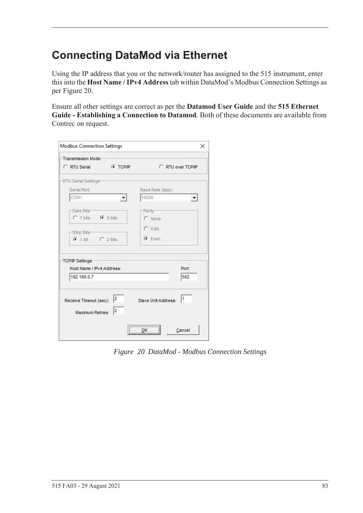# **Connecting DataMod via Ethernet**

Using the IP address that you or the network/router has assigned to the 515 instrument, enter this into the **Host Name / IPv4 Address** tab within DataMod's Modbus Connection Settings as per [Figure 20.](#page-92-0)

Ensure all other settings are correct as per the **Datamod User Guide** and the **515 Ethernet Guide - Establishing a Connection to Datamod**. Both of these documents are available from Contrec on request.

| Transmission Mode-        |                      |                     |                      |
|---------------------------|----------------------|---------------------|----------------------|
| C RTU Serial              | <b>C</b> TCP/IP      | C RTU over TCP/IP   |                      |
| -RTU Serial Settings-     |                      |                     |                      |
| Serial Port:              |                      | Baud Rate (bps):    |                      |
| COM1                      |                      | 19200               | $\blacktriangledown$ |
| -Data Bits-               |                      | -Parity-            |                      |
| C 7 bits C 8 bits         |                      | C None              |                      |
|                           |                      | $C$ Odd             |                      |
| -Stop Bits-               |                      |                     |                      |
| $C$ 1 bit $C$ 2 bits      |                      | $G$ Even            |                      |
|                           |                      |                     |                      |
| TCP/IP Settings           |                      |                     |                      |
| Host Name / IPv4 Address: |                      |                     | Port:                |
| 192.168.0.7               |                      |                     | 502                  |
|                           |                      |                     |                      |
|                           |                      |                     | 11                   |
| Receive Timeout (sec): 2  |                      | Slave Unit Address: |                      |
| Maximum Retries:          | $\vert$ <sub>2</sub> |                     |                      |
|                           |                      |                     |                      |
|                           |                      | <br>$\frac{QK}{2}$  | Cancel               |

<span id="page-92-0"></span>*Figure 20 DataMod - Modbus Connection Settings*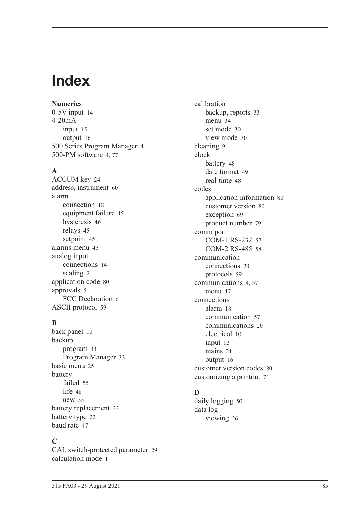# **Index**

**Numerics** 0-5V inpu[t 14](#page-23-0) 4-20mA input [15](#page-24-0) output [16](#page-25-0) 500 Series Program Manage[r 4](#page-14-0) 500-PM software [4,](#page-14-0) [77](#page-86-0)

### **A**

ACCUM ke[y 24](#page-33-0) address, instrumen[t 60](#page-69-0) alarm connection [18](#page-27-0) equipment failur[e 45](#page-54-0) hysteresi[s 46](#page-55-0) relays [45](#page-54-1) setpoin[t 45](#page-54-2) alarms menu [45](#page-54-3) analog input connection[s 14](#page-23-1) scalin[g 2](#page-12-0) application cod[e 80](#page-89-0) approvals [5](#page-15-0) FCC Declaration [6](#page-15-1) ASCII protoco[l 59](#page-68-0)

### **B**

back panel [10](#page-19-0) backup program [33](#page-42-0) Program Manage[r 33](#page-42-1) basic men[u 25](#page-34-0) battery faile[d 55](#page-64-0) lif[e 48](#page-57-1) ne[w 55](#page-64-0) battery replacemen[t 22](#page-31-0) battery typ[e 22](#page-31-1) baud rat[e 47](#page-56-1)

### **C**

CAL switch-protected parameter [29](#page-38-0) calculation mod[e 1](#page-11-0)

calibration backup, reports [33](#page-42-0) menu [34](#page-43-0) set mode [30](#page-39-0) view mode [30](#page-39-1) cleaning [9](#page-18-0) clock batter[y 48](#page-57-1) date format [49](#page-58-0) real-tim[e 48](#page-57-2) codes application information [80](#page-89-0) customer versio[n 80](#page-89-1) exception [69](#page-78-0) product numbe[r 79](#page-88-0) comm port COM-1 RS-232 [57](#page-66-0) COM-2 RS-485 [58](#page-67-0) communication connection[s 20](#page-29-0) protocols [59](#page-68-1) communication[s 4,](#page-13-0) [57](#page-66-1) menu [47](#page-56-2) connections alar[m 18](#page-27-0) communication [57](#page-66-2) communication[s 20](#page-29-0) electrical [10](#page-19-1) input [13](#page-22-0) mains [21](#page-30-0) output [16](#page-25-1) customer version codes [80](#page-89-1) customizing a printout [71](#page-80-0)

# **D**

daily logging [50](#page-59-0) data log viewing [26](#page-35-0)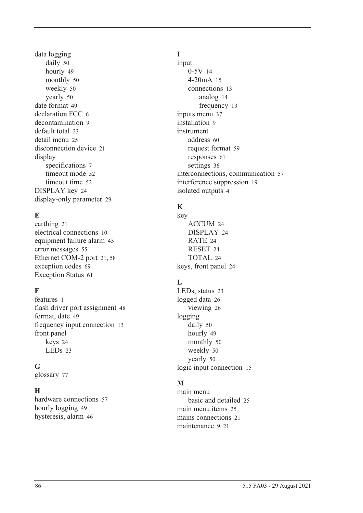data logging daily [50](#page-59-0) hourl[y 49](#page-58-1) monthly [50](#page-59-1) weekl[y 50](#page-59-2) yearly [50](#page-59-3) date format [49](#page-58-0) declaration FCC [6](#page-15-1) decontamination [9](#page-18-0) default tota[l 23](#page-32-0) detail men[u 25](#page-34-0) disconnection device [21](#page-30-1) display specifications [7](#page-16-0) timeout mod[e 52](#page-61-0) timeout time [52](#page-61-1) DISPLAY key [24](#page-33-1) display-only parameter [29](#page-38-1)

# **E**

earthin[g 21](#page-30-2) electrical connections [10](#page-19-1) equipment failure alarm [45](#page-54-0) error message[s 55](#page-64-1) Ethernet COM-2 por[t 21,](#page-30-3) [58](#page-67-1) exception codes [69](#page-78-0) Exception Status [61](#page-70-0)

# **F**

features [1](#page-10-0) flash driver port assignmen[t 48](#page-57-3) format, date [49](#page-58-0) frequency input connection [13](#page-22-1) front panel keys [24](#page-33-2) LEDs [23](#page-32-1)

# **G**

glossary [77](#page-86-1)

# **H**

hardware connections [57](#page-66-2) hourly logging [49](#page-58-1) hysteresis, alar[m 46](#page-55-0)

# **I**

input 0-5[V 14](#page-23-0) 4-20mA [15](#page-24-0) connections [13](#page-22-0) analog [14](#page-23-1) frequency [13](#page-22-1) inputs menu [37](#page-46-0) installation [9](#page-18-1) instrument address [60](#page-69-0) request forma[t 59](#page-68-2) response[s 61](#page-70-1) setting[s 36](#page-45-0) interconnections, communication [57](#page-66-2) interference suppression [19](#page-28-0) isolated output[s 4](#page-13-1)

# **K**

key ACCUM [24](#page-33-0) DISPLA[Y 24](#page-33-1) RATE [24](#page-33-3) RESE[T 24](#page-33-4) TOTAL [24](#page-33-5) keys, front panel [24](#page-33-2)

# **L**

LEDs, status [23](#page-32-1) logged dat[a 26](#page-35-0) viewin[g 26](#page-35-1) logging daily [50](#page-59-0) hourly [49](#page-58-1) monthly [50](#page-59-1) weekl[y 50](#page-59-2) yearly [50](#page-59-3) logic input connection [15](#page-24-1)

# **M**

main menu basic and detailed [25](#page-34-0) main menu item[s 25](#page-34-1) mains connections [21](#page-30-0) maintenanc[e 9,](#page-18-1) [21](#page-30-4)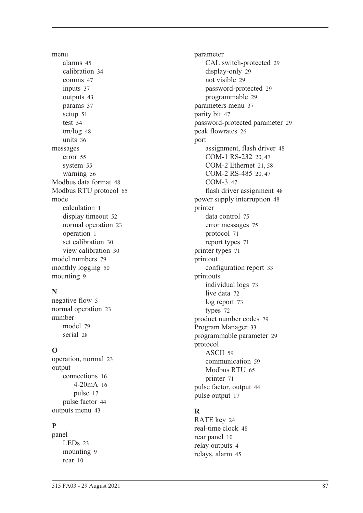menu alarm[s 45](#page-54-3) calibratio[n 34](#page-43-0) comms [47](#page-56-2) input[s 37](#page-46-0) output[s 43](#page-52-0) params [37](#page-46-1) setu[p 51](#page-60-0) test [54](#page-63-0) tm/lo[g 48](#page-57-4) unit[s 36](#page-45-1) messages erro[r 55](#page-64-1) syste[m 55](#page-64-2) warnin[g 56](#page-65-0) Modbus data forma[t 48](#page-57-5) Modbus RTU protoco[l 65](#page-74-0) mode calculation [1](#page-11-0) display timeou[t 52](#page-61-0) normal operatio[n 23](#page-32-2) operatio[n 1](#page-11-0) set calibration [30](#page-39-0) view calibration [30](#page-39-1) model number[s 79](#page-88-1) monthly logging [50](#page-59-1) mountin[g 9](#page-18-2)

# **N**

negative flow [5](#page-14-1) normal operatio[n 23](#page-32-2) number mode[l 79](#page-88-1) seria[l 28](#page-37-1)

# **O**

operation, norma[l 23](#page-32-2) output connection[s 16](#page-25-1) 4-20m[A 16](#page-25-0) puls[e 17](#page-26-0) pulse facto[r 44](#page-53-0) outputs men[u 43](#page-52-0)

# **P**

panel LED[s 23](#page-32-1) mountin[g 9](#page-18-2) rear [10](#page-19-0)

parameter CAL switch-protected [29](#page-38-0) display-only [29](#page-38-1) not visibl[e 29](#page-38-2) password-protected [29](#page-38-3) programmable [29](#page-38-4) parameters men[u 37](#page-46-1) parity bit [47](#page-56-3) password-protected parameter [29](#page-38-3) peak flowrate[s 26](#page-35-2) port assignment, flash driver [48](#page-57-3) COM-1 RS-232 [20,](#page-29-1) [47](#page-56-4) COM-2 Ethernet [21,](#page-30-3) [58](#page-67-1) COM-2 RS-485 [20,](#page-29-2) [47](#page-56-5) COM-[3 47](#page-56-6) flash driver assignment [48](#page-57-3) power supply interruption [48](#page-57-1) printer data control [75](#page-84-0) error messages [75](#page-84-1) protocol [71](#page-80-1) report types [71](#page-80-2) printer type[s 71](#page-80-3) printout configuration repor[t 33](#page-42-2) printouts individual logs [73](#page-82-0) live data [72](#page-81-0) log report [73](#page-82-1) type[s 72](#page-81-1) product number codes [79](#page-88-0) Program Manager [33](#page-42-1) programmable parameter [29](#page-38-4) protocol ASCI[I 59](#page-68-0) communication [59](#page-68-1) Modbus RT[U 65](#page-74-0) printer [71](#page-80-1) pulse factor, output [44](#page-53-0) pulse output [17](#page-26-0)

# **R**

RATE key [24](#page-33-3) real-time cloc[k 48](#page-57-2) rear panel [10](#page-19-0) relay output[s 4](#page-13-2) relays, alarm [45](#page-54-1)